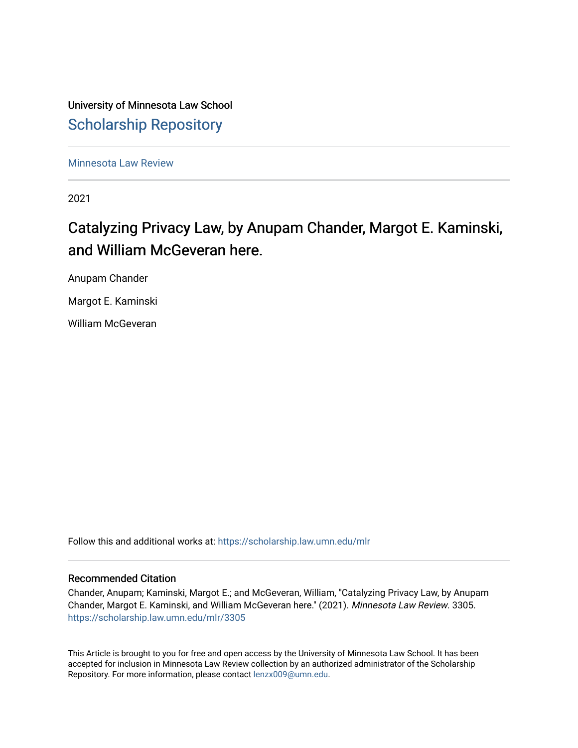University of Minnesota Law School [Scholarship Repository](https://scholarship.law.umn.edu/) 

[Minnesota Law Review](https://scholarship.law.umn.edu/mlr) 

2021

# Catalyzing Privacy Law, by Anupam Chander, Margot E. Kaminski, and William McGeveran here.

Anupam Chander

Margot E. Kaminski

William McGeveran

Follow this and additional works at: [https://scholarship.law.umn.edu/mlr](https://scholarship.law.umn.edu/mlr?utm_source=scholarship.law.umn.edu%2Fmlr%2F3305&utm_medium=PDF&utm_campaign=PDFCoverPages)

### Recommended Citation

Chander, Anupam; Kaminski, Margot E.; and McGeveran, William, "Catalyzing Privacy Law, by Anupam Chander, Margot E. Kaminski, and William McGeveran here." (2021). Minnesota Law Review. 3305. [https://scholarship.law.umn.edu/mlr/3305](https://scholarship.law.umn.edu/mlr/3305?utm_source=scholarship.law.umn.edu%2Fmlr%2F3305&utm_medium=PDF&utm_campaign=PDFCoverPages)

This Article is brought to you for free and open access by the University of Minnesota Law School. It has been accepted for inclusion in Minnesota Law Review collection by an authorized administrator of the Scholarship Repository. For more information, please contact [lenzx009@umn.edu.](mailto:lenzx009@umn.edu)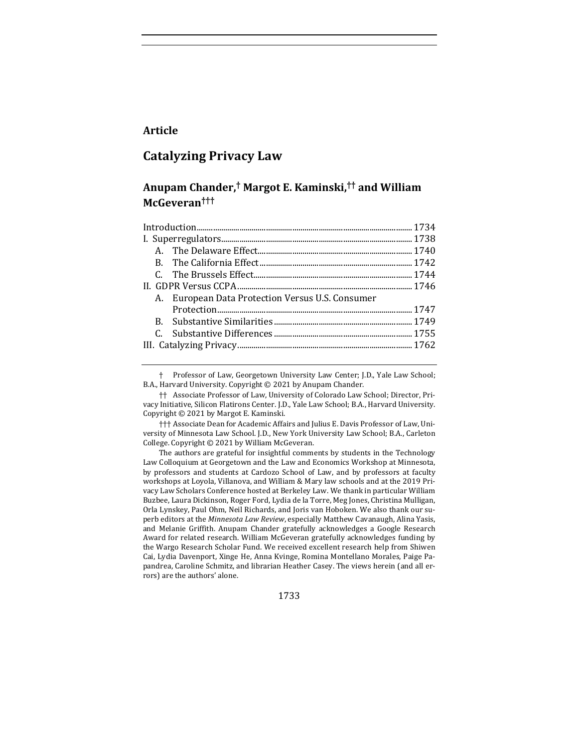## **Article**

## **Catalyzing Privacy Law**

# **Anupam Chander,† Margot E. Kaminski,†† and William McGeveran†††**

| A. European Data Protection Versus U.S. Consumer |  |
|--------------------------------------------------|--|
|                                                  |  |
|                                                  |  |
|                                                  |  |
|                                                  |  |

Professor of Law, Georgetown University Law Center; J.D., Yale Law School; B.A., Harvard University. Copyright  $©$  2021 by Anupam Chander.

 $\dagger\dagger$  Associate Professor of Law, University of Colorado Law School; Director, Privacy Initiative, Silicon Flatirons Center. J.D., Yale Law School; B.A., Harvard University. Copyright  $\odot$  2021 by Margot E. Kaminski.

††† Associate Dean for Academic Affairs and Julius E. Davis Professor of Law, University of Minnesota Law School. J.D., New York University Law School; B.A., Carleton College. Copyright  $©$  2021 by William McGeveran.

The authors are grateful for insightful comments by students in the Technology Law Colloquium at Georgetown and the Law and Economics Workshop at Minnesota, by professors and students at Cardozo School of Law, and by professors at faculty workshops at Loyola, Villanova, and William & Mary law schools and at the 2019 Privacy Law Scholars Conference hosted at Berkeley Law. We thank in particular William Buzbee, Laura Dickinson, Roger Ford, Lydia de la Torre, Meg Jones, Christina Mulligan, Orla Lynskey, Paul Ohm, Neil Richards, and Joris van Hoboken. We also thank our superb editors at the *Minnesota Law Review*, especially Matthew Cavanaugh, Alina Yasis, and Melanie Griffith. Anupam Chander gratefully acknowledges a Google Research Award for related research. William McGeveran gratefully acknowledges funding by the Wargo Research Scholar Fund. We received excellent research help from Shiwen Cai, Lydia Davenport, Xinge He, Anna Kvinge, Romina Montellano Morales, Paige Papandrea, Caroline Schmitz, and librarian Heather Casey. The views herein (and all errors) are the authors' alone.

1733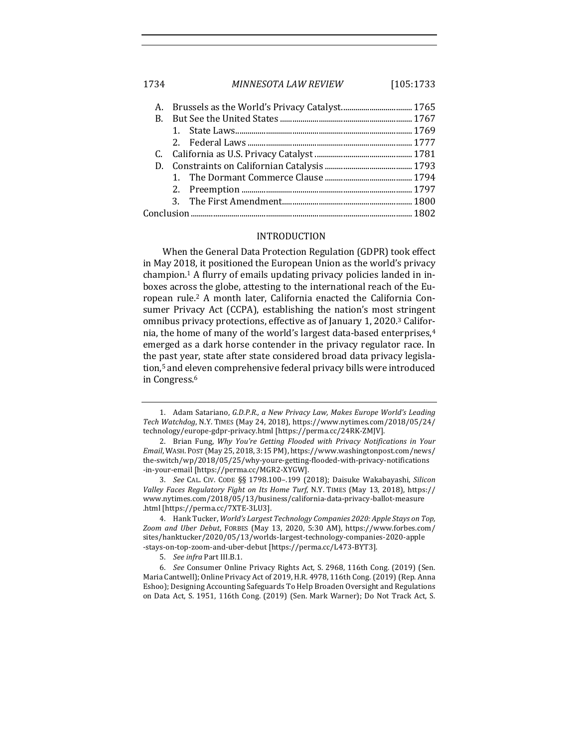1734 *MINNESOTA LAW REVIEW* [105:1733

#### INTRODUCTION

When the General Data Protection Regulation (GDPR) took effect in May 2018, it positioned the European Union as the world's privacy champion.<sup>1</sup> A flurry of emails updating privacy policies landed in inboxes across the globe, attesting to the international reach of the European rule.<sup>2</sup> A month later, California enacted the California Consumer Privacy Act (CCPA), establishing the nation's most stringent omnibus privacy protections, effective as of January 1, 2020.<sup>3</sup> California, the home of many of the world's largest data-based enterprises,<sup>4</sup> emerged as a dark horse contender in the privacy regulator race. In the past year, state after state considered broad data privacy legislation,<sup>5</sup> and eleven comprehensive federal privacy bills were introduced in Congress.<sup>6</sup>

<sup>1.</sup> Adam Satariano, *G.D.P.R., a New Privacy Law, Makes Europe World's Leading Tech Watchdog*, N.Y. TIMES (May 24, 2018), https://www.nytimes.com/2018/05/24/ technology/europe-gdpr-privacy.html [https://perma.cc/24RK-ZMJV].

<sup>2.</sup> Brian Fung, *Why You're Getting Flooded with Privacy Notifications in Your Email*, WASH. POST (May 25, 2018, 3:15 PM), https://www.washingtonpost.com/news/ the-switch/wp/2018/05/25/why-youre-getting-flooded-with-privacy-notifications -in-your-email [https://perma.cc/MGR2-XYGW].

<sup>3.</sup> *See* CAL. CIV. CODE §§ 1798.100-.199 (2018); Daisuke Wakabayashi, Silicon *Valley Faces Regulatory Fight on Its Home Turf, N.Y. TIMES (May 13, 2018), https://* www.nytimes.com/2018/05/13/business/california-data-privacy-ballot-measure .html [https://perma.cc/7XTE-3LU3].

<sup>4.</sup> Hank Tucker, *World's Largest Technology Companies 2020: Apple Stays on Top*, Zoom and Uber Debut, FORBES (May 13, 2020, 5:30 AM), https://www.forbes.com/ sites/hanktucker/2020/05/13/worlds-largest-technology-companies-2020-apple -stays-on-top-zoom-and-uber-debut [https://perma.cc/L473-BYT3].

<sup>5.</sup> *See infra* Part III.B.1.

<sup>6.</sup> *See* Consumer Online Privacy Rights Act, S. 2968, 116th Cong. (2019) (Sen. Maria Cantwell); Online Privacy Act of 2019, H.R. 4978, 116th Cong. (2019) (Rep. Anna Eshoo); Designing Accounting Safeguards To Help Broaden Oversight and Regulations on Data Act, S. 1951, 116th Cong. (2019) (Sen. Mark Warner); Do Not Track Act, S.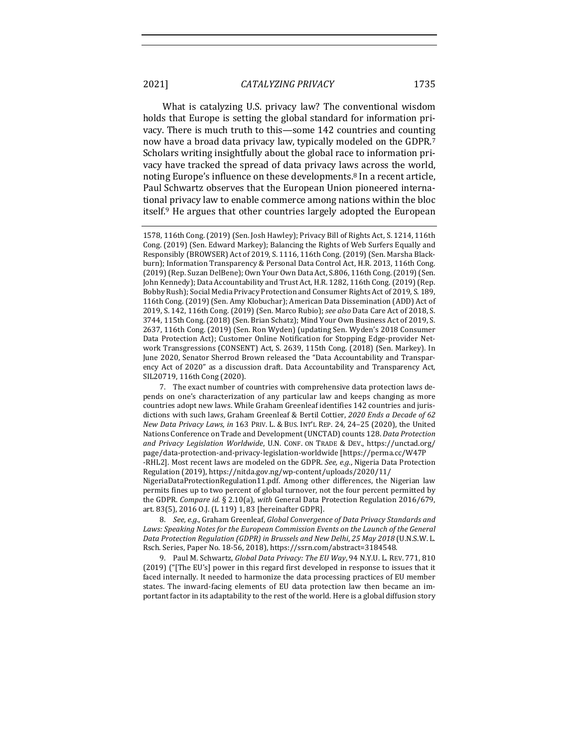What is catalyzing U.S. privacy law? The conventional wisdom holds that Europe is setting the global standard for information privacy. There is much truth to this—some 142 countries and counting now have a broad data privacy law, typically modeled on the GDPR.<sup>7</sup> Scholars writing insightfully about the global race to information privacy have tracked the spread of data privacy laws across the world, noting Europe's influence on these developments.<sup>8</sup> In a recent article, Paul Schwartz observes that the European Union pioneered international privacy law to enable commerce among nations within the bloc itself.<sup>9</sup> He argues that other countries largely adopted the European

<sup>1578, 116</sup>th Cong. (2019) (Sen. Josh Hawley); Privacy Bill of Rights Act, S. 1214, 116th Cong. (2019) (Sen. Edward Markey); Balancing the Rights of Web Surfers Equally and Responsibly (BROWSER) Act of 2019, S. 1116, 116th Cong. (2019) (Sen. Marsha Blackburn); Information Transparency & Personal Data Control Act, H.R. 2013, 116th Cong. (2019) (Rep. Suzan DelBene); Own Your Own Data Act, S.806, 116th Cong. (2019) (Sen. John Kennedy); Data Accountability and Trust Act, H.R. 1282, 116th Cong. (2019) (Rep. Bobby Rush); Social Media Privacy Protection and Consumer Rights Act of 2019, S. 189, 116th Cong. (2019) (Sen. Amy Klobuchar); American Data Dissemination (ADD) Act of 2019, S. 142, 116th Cong. (2019) (Sen. Marco Rubio); see also Data Care Act of 2018, S. 3744, 115th Cong. (2018) (Sen. Brian Schatz); Mind Your Own Business Act of 2019, S. 2637, 116th Cong. (2019) (Sen. Ron Wyden) (updating Sen. Wyden's 2018 Consumer Data Protection Act); Customer Online Notification for Stopping Edge-provider Network Transgressions (CONSENT) Act, S. 2639, 115th Cong. (2018) (Sen. Markey). In June 2020, Senator Sherrod Brown released the "Data Accountability and Transparency Act of 2020" as a discussion draft. Data Accountability and Transparency Act, SIL20719, 116th Cong (2020).

<sup>7.</sup> The exact number of countries with comprehensive data protection laws depends on one's characterization of any particular law and keeps changing as more countries adopt new laws. While Graham Greenleaf identifies 142 countries and jurisdictions with such laws, Graham Greenleaf & Bertil Cottier, 2020 Ends a Decade of 62 *New Data Privacy Laws*, *in* 163 PRIV. L. & BUS. INT'L REP. 24, 24–25 (2020), the United Nations Conference on Trade and Development (UNCTAD) counts 128. *Data Protection and Privacy Legislation Worldwide*, U.N. CONF. ON TRADE & DEV., https://unctad.org/ page/data-protection-and-privacy-legislation-worldwide [https://perma.cc/W47P -RHL2]. Most recent laws are modeled on the GDPR. See, e.g., Nigeria Data Protection Regulation (2019), https://nitda.gov.ng/wp-content/uploads/2020/11/

NigeriaDataProtectionRegulation11.pdf. Among other differences, the Nigerian law permits fines up to two percent of global turnover, not the four percent permitted by the GDPR. *Compare id.* § 2.10(a), *with* General Data Protection Regulation 2016/679, art. 83(5), 2016 O.J. (L 119) 1, 83 [hereinafter GDPR].

<sup>8.</sup> See, e.g., Graham Greenleaf, Global Convergence of Data Privacy Standards and Laws: Speaking Notes for the European Commission Events on the Launch of the General *Data Protection Regulation (GDPR) in Brussels and New Delhi*, *25 May 2018* (U.N.S.W. L. Rsch. Series, Paper No. 18-56, 2018), https://ssrn.com/abstract=3184548.

<sup>9.</sup> Paul M. Schwartz, *Global Data Privacy: The EU Way*, 94 N.Y.U. L. REV. 771, 810  $(2019)$  ("The EU's] power in this regard first developed in response to issues that it faced internally. It needed to harmonize the data processing practices of EU member states. The inward-facing elements of EU data protection law then became an important factor in its adaptability to the rest of the world. Here is a global diffusion story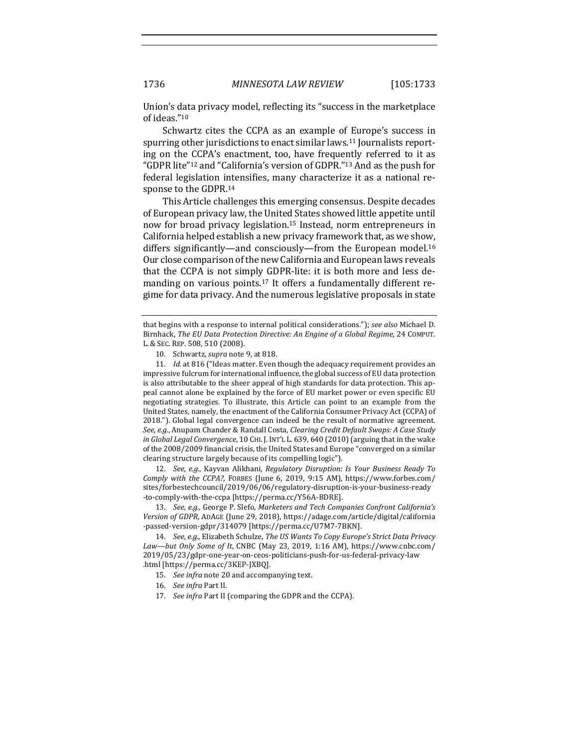Union's data privacy model, reflecting its "success in the marketplace of ideas."10

Schwartz cites the CCPA as an example of Europe's success in spurring other jurisdictions to enact similar laws.<sup>11</sup> Journalists reporting on the CCPA's enactment, too, have frequently referred to it as "GDPR lite"<sup>12</sup> and "California's version of GDPR."<sup>13</sup> And as the push for federal legislation intensifies, many characterize it as a national response to the GDPR.<sup>14</sup>

This Article challenges this emerging consensus. Despite decades of European privacy law, the United States showed little appetite until now for broad privacy legislation.<sup>15</sup> Instead, norm entrepreneurs in California helped establish a new privacy framework that, as we show, differs significantly—and consciously—from the European model.<sup>16</sup> Our close comparison of the new California and European laws reveals that the CCPA is not simply GDPR-lite: it is both more and less demanding on various points.<sup>17</sup> It offers a fundamentally different regime for data privacy. And the numerous legislative proposals in state

10. Schwartz, *supra* note 9, at 818.

11. *Id.* at 816 ("Ideas matter. Even though the adequacy requirement provides an impressive fulcrum for international influence, the global success of EU data protection is also attributable to the sheer appeal of high standards for data protection. This appeal cannot alone be explained by the force of EU market power or even specific EU negotiating strategies. To illustrate, this Article can point to an example from the United States, namely, the enactment of the California Consumer Privacy Act (CCPA) of 2018."). Global legal convergence can indeed be the result of normative agreement. See, e.g., Anupam Chander & Randall Costa, *Clearing Credit Default Swaps: A Case Study in Global Legal Convergence*, 10 CHI. J. INT'L L. 639, 640 (2010) (arguing that in the wake of the 2008/2009 financial crisis, the United States and Europe "converged on a similar clearing structure largely because of its compelling logic").

12. *See, e.g.*, Kayvan Alikhani, *Regulatory Disruption: Is Your Business Ready To Comply with the CCPA?*, FORBES (June 6, 2019, 9:15 AM), https://www.forbes.com/ sites/forbestechcouncil/2019/06/06/regulatory-disruption-is-your-business-ready -to-comply-with-the-ccpa [https://perma.cc/Y56A-BDRE].

13. *See, e.g.*, George P. Slefo, Marketers and Tech Companies Confront California's *Version of GDPR*, ADAGE (June 29, 2018), https://adage.com/article/digital/california -passed-version-gdpr/314079 [https://perma.cc/U7M7-7BKN].

14. *See, e.g.*, Elizabeth Schulze, *The US Wants To Copy Europe's Strict Data Privacy* Law—but Only Some of It, CNBC (May 23, 2019, 1:16 AM), https://www.cnbc.com/ 2019/05/23/gdpr-one-year-on-ceos-politicians-push-for-us-federal-privacy-law .html [https://perma.cc/3KEP-JXBQ].

- 15. See infra note 20 and accompanying text.
- 16. *See infra* Part II.
- 17. *See infra* Part II (comparing the GDPR and the CCPA).

that begins with a response to internal political considerations."); *see also* Michael D. Birnhack, *The EU Data Protection Directive: An Engine of a Global Regime*, 24 COMPUT. L. & SEC. REP. 508, 510 (2008).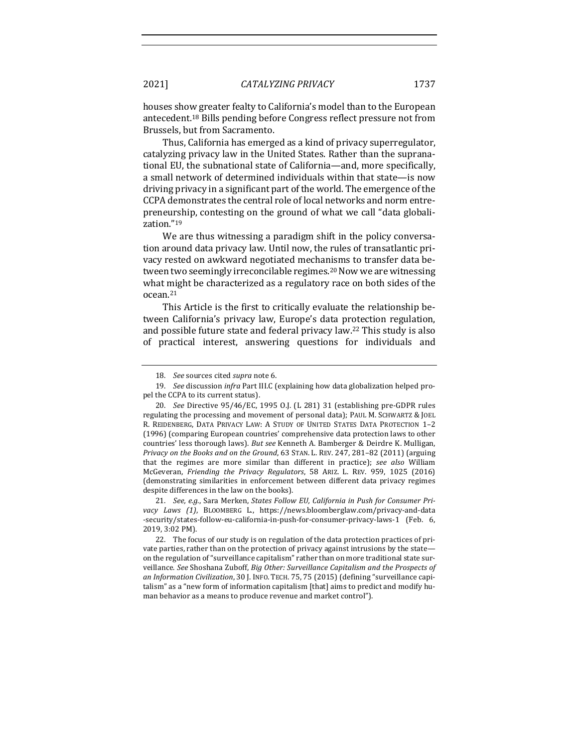houses show greater fealty to California's model than to the European antecedent.<sup>18</sup> Bills pending before Congress reflect pressure not from Brussels, but from Sacramento.

Thus, California has emerged as a kind of privacy superregulator, catalyzing privacy law in the United States. Rather than the supranational EU, the subnational state of California—and, more specifically, a small network of determined individuals within that state—is now driving privacy in a significant part of the world. The emergence of the CCPA demonstrates the central role of local networks and norm entrepreneurship, contesting on the ground of what we call "data globalization."19

We are thus witnessing a paradigm shift in the policy conversation around data privacy law. Until now, the rules of transatlantic privacy rested on awkward negotiated mechanisms to transfer data between two seemingly irreconcilable regimes.<sup>20</sup> Now we are witnessing what might be characterized as a regulatory race on both sides of the ocean.21

This Article is the first to critically evaluate the relationship between California's privacy law, Europe's data protection regulation, and possible future state and federal privacy law.<sup>22</sup> This study is also of practical interest, answering questions for individuals and

21. *See, e.g.*, Sara Merken, *States Follow EU, California in Push for Consumer Pri*vacy Laws (1), BLOOMBERG L., https://news.bloomberglaw.com/privacy-and-data -security/states-follow-eu-california-in-push-for-consumer-privacy-laws-1 (Feb. 6, 2019, 3:02 PM).

22. The focus of our study is on regulation of the data protection practices of private parties, rather than on the protection of privacy against intrusions by the state on the regulation of "surveillance capitalism" rather than on more traditional state surveillance. *See* Shoshana Zuboff, *Big Other: Surveillance Capitalism and the Prospects of*  an Information Civilization, 30 J. INFO. TECH. 75, 75 (2015) (defining "surveillance capitalism" as a "new form of information capitalism [that] aims to predict and modify human behavior as a means to produce revenue and market control").

<sup>18.</sup> *See* sources cited *supra* note 6.

<sup>19.</sup> *See* discussion *infra* Part III.C (explaining how data globalization helped propel the CCPA to its current status).

<sup>20.</sup> *See* Directive 95/46/EC, 1995 O.J. (L 281) 31 (establishing pre-GDPR rules regulating the processing and movement of personal data); PAUL M. SCHWARTZ & JOEL R. REIDENBERG, DATA PRIVACY LAW: A STUDY OF UNITED STATES DATA PROTECTION 1-2 (1996) (comparing European countries' comprehensive data protection laws to other countries' less thorough laws). *But see* Kenneth A. Bamberger & Deirdre K. Mulligan, *Privacy on the Books and on the Ground*, 63 STAN. L. REV. 247, 281–82 (2011) (arguing that the regimes are more similar than different in practice); see also William McGeveran, Friending the Privacy Regulators, 58 ARIZ. L. REV. 959, 1025 (2016) (demonstrating similarities in enforcement between different data privacy regimes despite differences in the law on the books).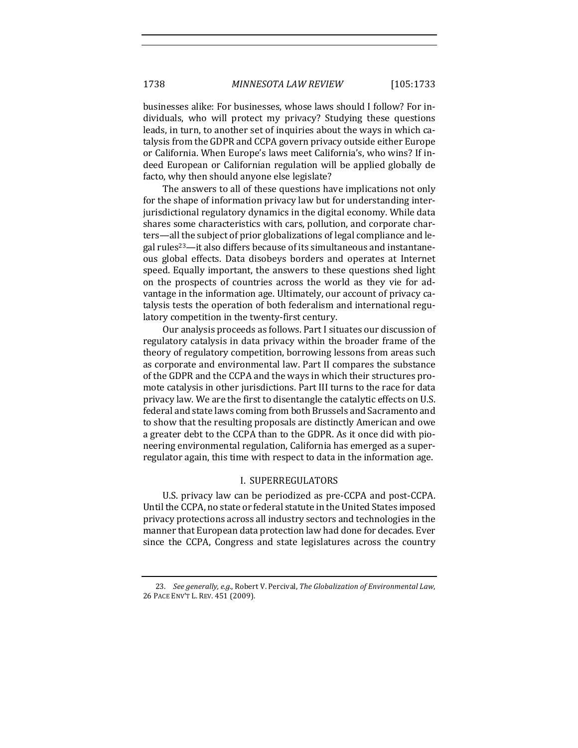businesses alike: For businesses, whose laws should I follow? For individuals, who will protect my privacy? Studying these questions leads, in turn, to another set of inquiries about the ways in which catalysis from the GDPR and CCPA govern privacy outside either Europe or California. When Europe's laws meet California's, who wins? If indeed European or Californian regulation will be applied globally de facto, why then should anyone else legislate?

The answers to all of these questions have implications not only for the shape of information privacy law but for understanding interjurisdictional regulatory dynamics in the digital economy. While data shares some characteristics with cars, pollution, and corporate charters—all the subject of prior globalizations of legal compliance and legal rules<sup>23</sup>—it also differs because of its simultaneous and instantaneous global effects. Data disobeys borders and operates at Internet speed. Equally important, the answers to these questions shed light on the prospects of countries across the world as they vie for advantage in the information age. Ultimately, our account of privacy catalysis tests the operation of both federalism and international regulatory competition in the twenty-first century.

Our analysis proceeds as follows. Part I situates our discussion of regulatory catalysis in data privacy within the broader frame of the theory of regulatory competition, borrowing lessons from areas such as corporate and environmental law. Part II compares the substance of the GDPR and the CCPA and the ways in which their structures promote catalysis in other jurisdictions. Part III turns to the race for data privacy law. We are the first to disentangle the catalytic effects on U.S. federal and state laws coming from both Brussels and Sacramento and to show that the resulting proposals are distinctly American and owe a greater debt to the CCPA than to the GDPR. As it once did with pioneering environmental regulation, California has emerged as a superregulator again, this time with respect to data in the information age.

#### I. SUPERREGULATORS

U.S. privacy law can be periodized as pre-CCPA and post-CCPA. Until the CCPA, no state or federal statute in the United States imposed privacy protections across all industry sectors and technologies in the manner that European data protection law had done for decades. Ever since the CCPA, Congress and state legislatures across the country

<sup>23.</sup> *See generally, e.g.*, Robert V. Percival, *The Globalization of Environmental Law*, 26 PACE ENV'T L. REV. 451 (2009).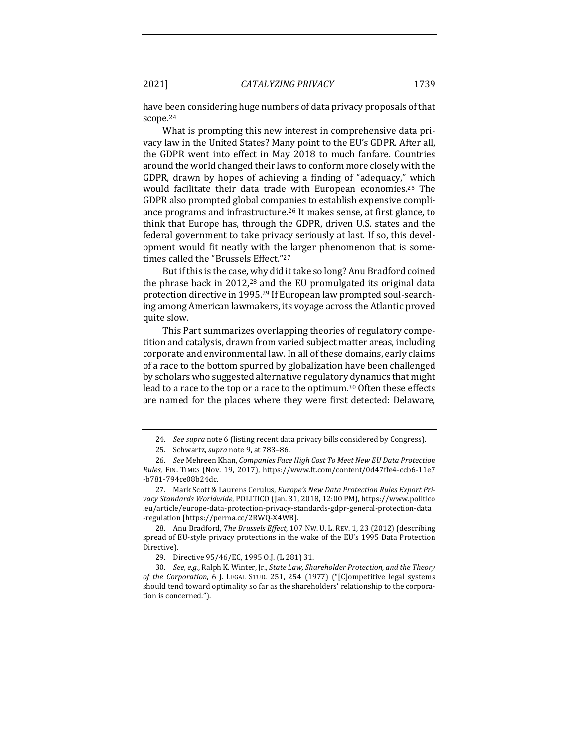have been considering huge numbers of data privacy proposals of that scope.24

What is prompting this new interest in comprehensive data privacy law in the United States? Many point to the EU's GDPR. After all, the GDPR went into effect in May 2018 to much fanfare. Countries around the world changed their laws to conform more closely with the GDPR, drawn by hopes of achieving a finding of "adequacy," which would facilitate their data trade with European economies.<sup>25</sup> The GDPR also prompted global companies to establish expensive compliance programs and infrastructure.<sup>26</sup> It makes sense, at first glance, to think that Europe has, through the GDPR, driven U.S. states and the federal government to take privacy seriously at last. If so, this development would fit neatly with the larger phenomenon that is sometimes called the "Brussels Effect."27

But if this is the case, why did it take so long? Anu Bradford coined the phrase back in 2012,<sup>28</sup> and the EU promulgated its original data protection directive in 1995.<sup>29</sup> If European law prompted soul-searching among American lawmakers, its voyage across the Atlantic proved quite slow.

This Part summarizes overlapping theories of regulatory competition and catalysis, drawn from varied subject matter areas, including corporate and environmental law. In all of these domains, early claims of a race to the bottom spurred by globalization have been challenged by scholars who suggested alternative regulatory dynamics that might lead to a race to the top or a race to the optimum.<sup>30</sup> Often these effects are named for the places where they were first detected: Delaware,

<sup>24.</sup> *See supra* note 6 (listing recent data privacy bills considered by Congress).

<sup>25.</sup> Schwartz, *supra* note 9, at 783-86.

<sup>26.</sup> *See* Mehreen Khan, *Companies Face High Cost To Meet New EU Data Protection Rules*, FIN. TIMES (Nov. 19, 2017), https://www.ft.com/content/0d47ffe4-ccb6-11e7 -b781-794ce08b24dc.

<sup>27.</sup> Mark Scott & Laurens Cerulus, *Europe's New Data Protection Rules Export Pri*vacy Standards Worldwide, POLITICO (Jan. 31, 2018, 12:00 PM), https://www.politico .eu/article/europe-data-protection-privacy-standards-gdpr-general-protection-data -regulation [https://perma.cc/2RWQ-X4WB].

<sup>28.</sup> Anu Bradford, *The Brussels Effect*, 107 NW. U. L. REV. 1, 23 (2012) (describing spread of EU-style privacy protections in the wake of the EU's 1995 Data Protection Directive).

<sup>29.</sup> Directive  $95/46$ /EC, 1995 O.J. (L 281) 31.

<sup>30.</sup> *See, e.g.*, Ralph K. Winter, Jr., *State Law, Shareholder Protection, and the Theory* of the Corporation, 6 J. LEGAL STUD. 251, 254 (1977) ("[C]ompetitive legal systems should tend toward optimality so far as the shareholders' relationship to the corporation is concerned.").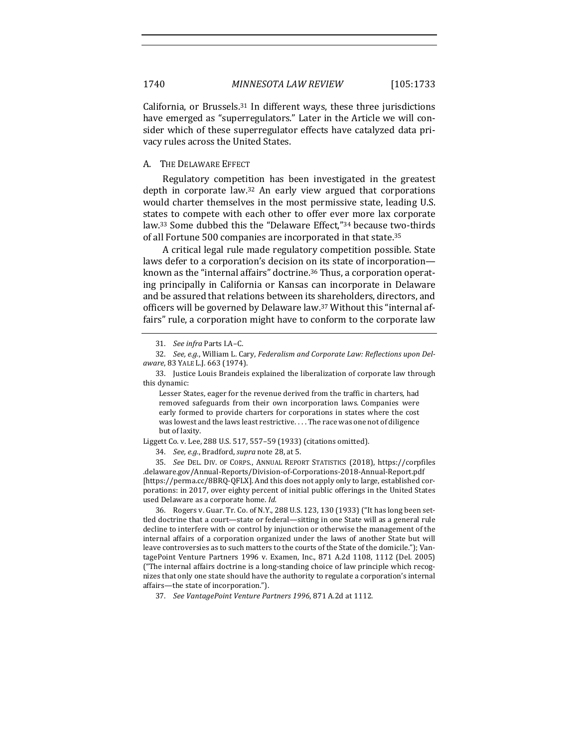California, or Brussels.<sup>31</sup> In different ways, these three jurisdictions have emerged as "superregulators." Later in the Article we will consider which of these superregulator effects have catalyzed data privacy rules across the United States.

#### A. THE DELAWARE EFFECT

Regulatory competition has been investigated in the greatest depth in corporate law.<sup>32</sup> An early view argued that corporations would charter themselves in the most permissive state, leading U.S. states to compete with each other to offer ever more lax corporate law.<sup>33</sup> Some dubbed this the "Delaware Effect,"<sup>34</sup> because two-thirds of all Fortune 500 companies are incorporated in that state.<sup>35</sup>

A critical legal rule made regulatory competition possible. State laws defer to a corporation's decision on its state of incorporation known as the "internal affairs" doctrine.<sup>36</sup> Thus, a corporation operating principally in California or Kansas can incorporate in Delaware and be assured that relations between its shareholders, directors, and officers will be governed by Delaware law.<sup>37</sup> Without this "internal affairs" rule, a corporation might have to conform to the corporate law

Lesser States, eager for the revenue derived from the traffic in charters, had removed safeguards from their own incorporation laws. Companies were early formed to provide charters for corporations in states where the cost was lowest and the laws least restrictive. . . . The race was one not of diligence but of laxity.

Liggett Co. v. Lee, 288 U.S. 517, 557-59 (1933) (citations omitted).

34. *See, e.g.*, Bradford, *supra* note 28, at 5.

35. *See* DEL. DIV. OF CORPS., ANNUAL REPORT STATISTICS (2018), https://corpfiles .delaware.gov/Annual-Reports/Division-of-Corporations-2018-Annual-Report.pdf [https://perma.cc/8BRQ-QFLX]. And this does not apply only to large, established corporations: in 2017, over eighty percent of initial public offerings in the United States used Delaware as a corporate home. *Id.* 

36. Rogers v. Guar. Tr. Co. of N.Y., 288 U.S. 123, 130 (1933) ("It has long been settled doctrine that a court-state or federal-sitting in one State will as a general rule decline to interfere with or control by injunction or otherwise the management of the internal affairs of a corporation organized under the laws of another State but will leave controversies as to such matters to the courts of the State of the domicile."); VantagePoint Venture Partners 1996 v. Examen, Inc., 871 A.2d 1108, 1112 (Del. 2005) ("The internal affairs doctrine is a long-standing choice of law principle which recognizes that only one state should have the authority to regulate a corporation's internal affairs—the state of incorporation.").

37. *See VantagePoint Venture Partners* 1996, 871 A.2d at 1112.

<sup>31.</sup> See infra Parts I.A-C.

<sup>32.</sup> See, e.g., William L. Cary, Federalism and Corporate Law: Reflections upon Del*aware*, 83 YALE L.J. 663 (1974).

<sup>33.</sup> Justice Louis Brandeis explained the liberalization of corporate law through this dynamic: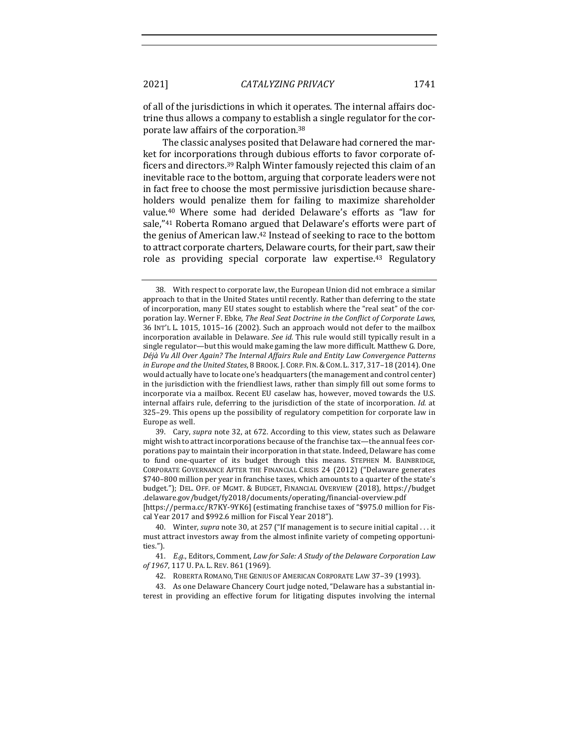of all of the jurisdictions in which it operates. The internal affairs doctrine thus allows a company to establish a single regulator for the corporate law affairs of the corporation.<sup>38</sup>

The classic analyses posited that Delaware had cornered the market for incorporations through dubious efforts to favor corporate officers and directors.<sup>39</sup> Ralph Winter famously rejected this claim of an inevitable race to the bottom, arguing that corporate leaders were not in fact free to choose the most permissive jurisdiction because shareholders would penalize them for failing to maximize shareholder value.<sup>40</sup> Where some had derided Delaware's efforts as "law for sale,"<sup>41</sup> Roberta Romano argued that Delaware's efforts were part of the genius of American law.<sup>42</sup> Instead of seeking to race to the bottom to attract corporate charters, Delaware courts, for their part, saw their role as providing special corporate law expertise.<sup>43</sup> Regulatory

39. Cary, *supra* note 32, at 672. According to this view, states such as Delaware might wish to attract incorporations because of the franchise tax—the annual fees corporations pay to maintain their incorporation in that state. Indeed, Delaware has come to fund one-quarter of its budget through this means. STEPHEN M. BAINBRIDGE, CORPORATE GOVERNANCE AFTER THE FINANCIAL CRISIS 24 (2012) ("Delaware generates \$740–800 million per year in franchise taxes, which amounts to a quarter of the state's budget."); DEL. OFF. OF MGMT. & BUDGET, FINANCIAL OVERVIEW (2018), https://budget .delaware.gov/budget/fy2018/documents/operating/financial-overview.pdf

[https://perma.cc/R7KY-9YK6] (estimating franchise taxes of "\$975.0 million for Fiscal Year 2017 and \$992.6 million for Fiscal Year 2018").

41. *E.g.*, Editors, Comment, Law for Sale: A Study of the Delaware Corporation Law of 1967, 117 U. PA. L. REV. 861 (1969).

43. As one Delaware Chancery Court judge noted, "Delaware has a substantial interest in providing an effective forum for litigating disputes involving the internal

<sup>38.</sup> With respect to corporate law, the European Union did not embrace a similar approach to that in the United States until recently. Rather than deferring to the state of incorporation, many EU states sought to establish where the "real seat" of the corporation lay. Werner F. Ebke, *The Real Seat Doctrine in the Conflict of Corporate Laws*, 36 INT'L L. 1015, 1015-16 (2002). Such an approach would not defer to the mailbox incorporation available in Delaware. *See id*. This rule would still typically result in a single regulator—but this would make gaming the law more difficult. Matthew G. Dore, Déjà Vu All Over Again? The Internal Affairs Rule and Entity Law Convergence Patterns *in Europe and the United States*, 8 BROOK. J. CORP. FIN. & COM. L. 317, 317-18 (2014). One would actually have to locate one's headquarters (the management and control center) in the jurisdiction with the friendliest laws, rather than simply fill out some forms to incorporate via a mailbox. Recent EU caselaw has, however, moved towards the U.S. internal affairs rule, deferring to the jurisdiction of the state of incorporation. *Id.* at 325-29. This opens up the possibility of regulatory competition for corporate law in Europe as well.

<sup>40.</sup> Winter, *supra* note 30, at 257 ("If management is to secure initial capital . . . it must attract investors away from the almost infinite variety of competing opportunities.").

<sup>42.</sup> ROBERTA ROMANO, THE GENIUS OF AMERICAN CORPORATE LAW 37-39 (1993).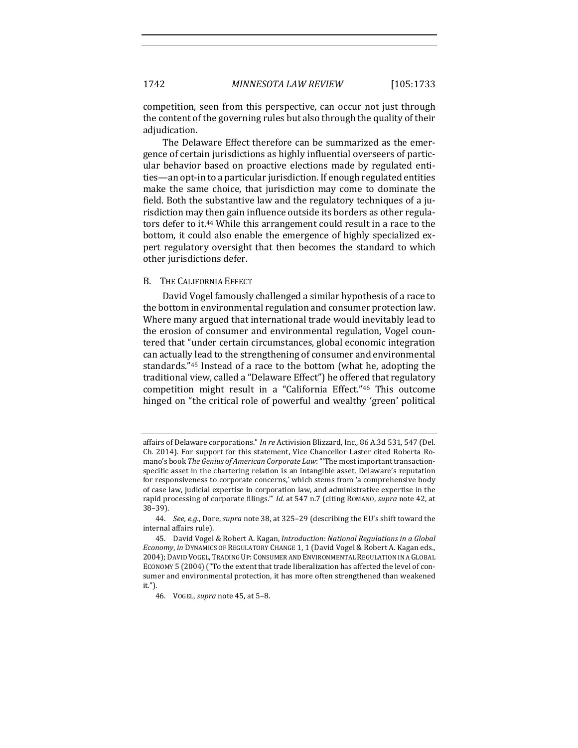competition, seen from this perspective, can occur not just through the content of the governing rules but also through the quality of their adjudication.

The Delaware Effect therefore can be summarized as the emergence of certain jurisdictions as highly influential overseers of particular behavior based on proactive elections made by regulated entities—an opt-in to a particular jurisdiction. If enough regulated entities make the same choice, that jurisdiction may come to dominate the field. Both the substantive law and the regulatory techniques of a jurisdiction may then gain influence outside its borders as other regulators defer to it.<sup>44</sup> While this arrangement could result in a race to the bottom, it could also enable the emergence of highly specialized expert regulatory oversight that then becomes the standard to which other jurisdictions defer.

#### B. THE CALIFORNIA EFFECT

David Vogel famously challenged a similar hypothesis of a race to the bottom in environmental regulation and consumer protection law. Where many argued that international trade would inevitably lead to the erosion of consumer and environmental regulation, Vogel countered that "under certain circumstances, global economic integration can actually lead to the strengthening of consumer and environmental standards."<sup>45</sup> Instead of a race to the bottom (what he, adopting the traditional view, called a "Delaware Effect") he offered that regulatory competition might result in a "California Effect."<sup>46</sup> This outcome hinged on "the critical role of powerful and wealthy 'green' political

affairs of Delaware corporations." *In re* Activision Blizzard, Inc., 86 A.3d 531, 547 (Del. Ch. 2014). For support for this statement, Vice Chancellor Laster cited Roberta Romano's book *The Genius of American Corporate Law*: "The most important transactionspecific asset in the chartering relation is an intangible asset, Delaware's reputation for responsiveness to corporate concerns,' which stems from 'a comprehensive body of case law, judicial expertise in corporation law, and administrative expertise in the rapid processing of corporate filings."" *Id.* at 547 n.7 (citing ROMANO, *supra* note 42, at 38–39).

<sup>44.</sup> *See, e.g.*, Dore, *supra* note 38, at 325-29 (describing the EU's shift toward the internal affairs rule).

<sup>45.</sup> David Vogel & Robert A. Kagan, *Introduction: National Regulations in a Global Economy, in* DYNAMICS OF REGULATORY CHANGE 1, 1 (David Vogel & Robert A. Kagan eds., 2004); DAVID VOGEL, TRADING UP: CONSUMER AND ENVIRONMENTAL REGULATION IN A GLOBAL ECONOMY 5 (2004) ("To the extent that trade liberalization has affected the level of consumer and environmental protection, it has more often strengthened than weakened it.").

<sup>46.</sup> VOGEL, *supra* note 45, at 5-8.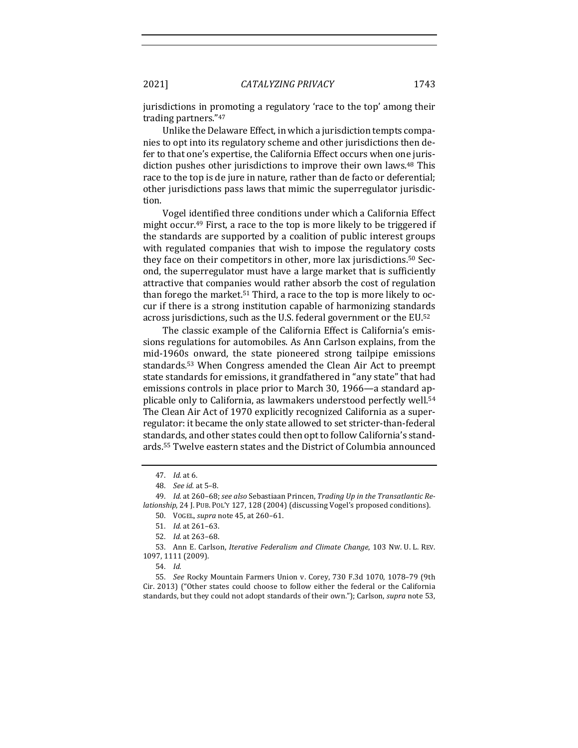jurisdictions in promoting a regulatory 'race to the top' among their trading partners."47

Unlike the Delaware Effect, in which a jurisdiction tempts companies to opt into its regulatory scheme and other jurisdictions then defer to that one's expertise, the California Effect occurs when one jurisdiction pushes other jurisdictions to improve their own laws.<sup>48</sup> This race to the top is de jure in nature, rather than de facto or deferential; other jurisdictions pass laws that mimic the superregulator jurisdiction.

Vogel identified three conditions under which a California Effect might occur.<sup>49</sup> First, a race to the top is more likely to be triggered if the standards are supported by a coalition of public interest groups with regulated companies that wish to impose the regulatory costs they face on their competitors in other, more lax jurisdictions.<sup>50</sup> Second, the superregulator must have a large market that is sufficiently attractive that companies would rather absorb the cost of regulation than forego the market.<sup>51</sup> Third, a race to the top is more likely to occur if there is a strong institution capable of harmonizing standards across jurisdictions, such as the U.S. federal government or the EU.<sup>52</sup>

The classic example of the California Effect is California's emissions regulations for automobiles. As Ann Carlson explains, from the mid-1960s onward, the state pioneered strong tailpipe emissions standards.<sup>53</sup> When Congress amended the Clean Air Act to preempt state standards for emissions, it grandfathered in "any state" that had emissions controls in place prior to March 30, 1966—a standard applicable only to California, as lawmakers understood perfectly well.<sup>54</sup> The Clean Air Act of 1970 explicitly recognized California as a superregulator: it became the only state allowed to set stricter-than-federal standards, and other states could then opt to follow California's standards.<sup>55</sup> Twelve eastern states and the District of Columbia announced

50. VOGEL, *supra* note 45, at 260-61.

53. Ann E. Carlson, *Iterative Federalism and Climate Change*, 103 NW. U. L. REV. 1097, 1111 (2009).

54. *Id.*

55. *See* Rocky Mountain Farmers Union v. Corey, 730 F.3d 1070, 1078-79 (9th Cir. 2013) ("Other states could choose to follow either the federal or the California standards, but they could not adopt standards of their own."); Carlson, *supra* note 53,

<sup>47.</sup> *Id.* at 6.

<sup>48.</sup> *See id.* at 5–8.

<sup>49.</sup> *Id.* at 260–68; see also Sebastiaan Princen, *Trading Up in the Transatlantic Relationship*, 24 J. PUB. POL'Y 127, 128 (2004) (discussing Vogel's proposed conditions).

<sup>51.</sup> *Id.* at 261–63.

<sup>52.</sup> *Id.* at 263-68.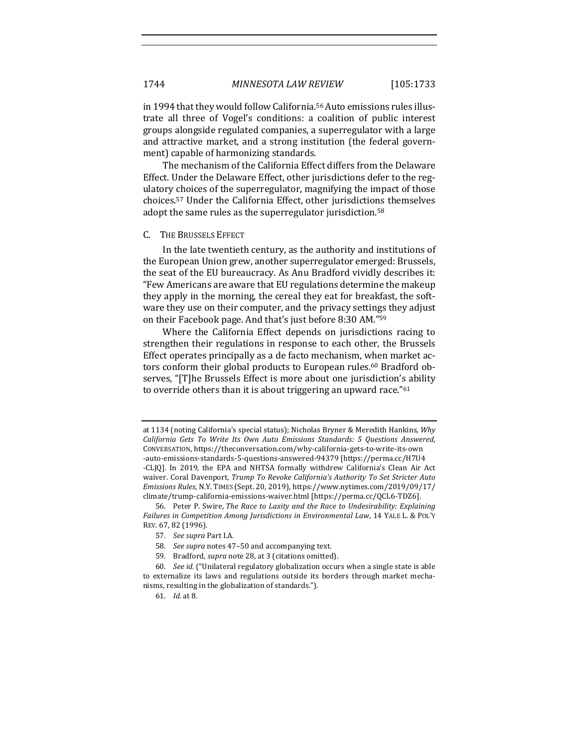in 1994 that they would follow California.<sup>56</sup> Auto emissions rules illustrate all three of Vogel's conditions: a coalition of public interest groups alongside regulated companies, a superregulator with a large and attractive market, and a strong institution (the federal government) capable of harmonizing standards.

The mechanism of the California Effect differs from the Delaware Effect. Under the Delaware Effect, other jurisdictions defer to the regulatory choices of the superregulator, magnifying the impact of those choices.<sup>57</sup> Under the California Effect, other jurisdictions themselves adopt the same rules as the superregulator jurisdiction.<sup>58</sup>

#### C. THE BRUSSELS EFFECT

In the late twentieth century, as the authority and institutions of the European Union grew, another superregulator emerged: Brussels, the seat of the EU bureaucracy. As Anu Bradford vividly describes it: "Few Americans are aware that EU regulations determine the makeup they apply in the morning, the cereal they eat for breakfast, the software they use on their computer, and the privacy settings they adjust on their Facebook page. And that's just before 8:30 AM."59

Where the California Effect depends on jurisdictions racing to strengthen their regulations in response to each other, the Brussels Effect operates principally as a de facto mechanism, when market actors conform their global products to European rules.<sup>60</sup> Bradford observes, "[T]he Brussels Effect is more about one jurisdiction's ability to override others than it is about triggering an upward race." $61$ 

at 1134 (noting California's special status); Nicholas Bryner & Meredith Hankins, Why *California Gets To Write Its Own Auto Emissions Standards: 5 Questions Answered*, CONVERSATION, https://theconversation.com/why-california-gets-to-write-its-own -auto-emissions-standards-5-questions-answered-94379 [https://perma.cc/H7U4 -CLJQ]. In 2019, the EPA and NHTSA formally withdrew California's Clean Air Act waiver. Coral Davenport, *Trump To Revoke California's Authority To Set Stricter Auto Emissions Rules*, N.Y. TIMES (Sept. 20, 2019), https://www.nytimes.com/2019/09/17/ climate/trump-california-emissions-waiver.html [https://perma.cc/QCL6-TDZ6].

<sup>56.</sup> Peter P. Swire, *The Race to Laxity and the Race to Undesirability: Explaining Failures in Competition Among Jurisdictions in Environmental Law*, 14 YALE L. & POL'Y REV. 67, 82 (1996).

<sup>57.</sup> See supra Part I.A.

<sup>58.</sup> See supra notes 47-50 and accompanying text.

<sup>59.</sup> Bradford, *supra* note 28, at 3 (citations omitted).

<sup>60.</sup> *See id.* ("Unilateral regulatory globalization occurs when a single state is able to externalize its laws and regulations outside its borders through market mechanisms, resulting in the globalization of standards.").

<sup>61.</sup> *Id.* at 8.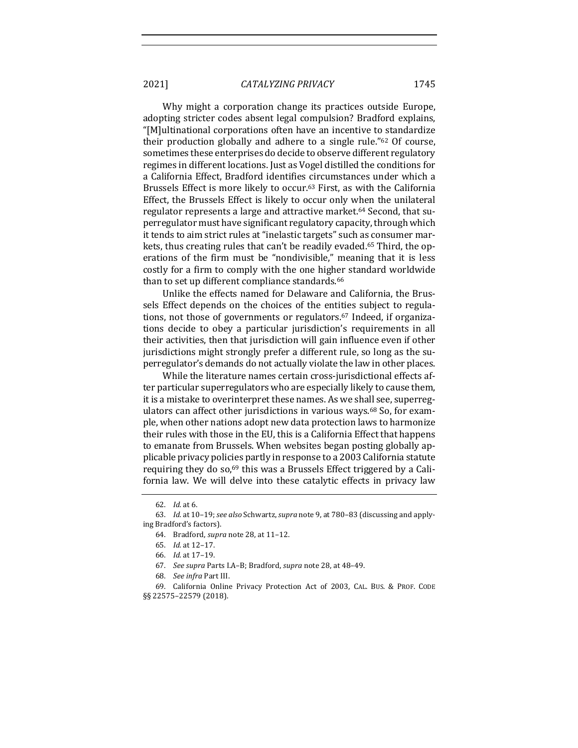Why might a corporation change its practices outside Europe, adopting stricter codes absent legal compulsion? Bradford explains, "[M]ultinational corporations often have an incentive to standardize their production globally and adhere to a single rule." $62$  Of course, sometimes these enterprises do decide to observe different regulatory regimes in different locations. Just as Vogel distilled the conditions for a California Effect, Bradford identifies circumstances under which a Brussels Effect is more likely to occur.<sup>63</sup> First, as with the California Effect, the Brussels Effect is likely to occur only when the unilateral regulator represents a large and attractive market.<sup>64</sup> Second, that superregulator must have significant regulatory capacity, through which it tends to aim strict rules at "inelastic targets" such as consumer markets, thus creating rules that can't be readily evaded.<sup>65</sup> Third, the operations of the firm must be "nondivisible," meaning that it is less costly for a firm to comply with the one higher standard worldwide than to set up different compliance standards.<sup>66</sup>

Unlike the effects named for Delaware and California, the Brussels Effect depends on the choices of the entities subject to regulations, not those of governments or regulators.<sup>67</sup> Indeed, if organizations decide to obey a particular jurisdiction's requirements in all their activities, then that jurisdiction will gain influence even if other jurisdictions might strongly prefer a different rule, so long as the superregulator's demands do not actually violate the law in other places.

While the literature names certain cross-jurisdictional effects after particular superregulators who are especially likely to cause them, it is a mistake to overinterpret these names. As we shall see, superregulators can affect other jurisdictions in various ways.<sup>68</sup> So, for example, when other nations adopt new data protection laws to harmonize their rules with those in the EU, this is a California Effect that happens to emanate from Brussels. When websites began posting globally applicable privacy policies partly in response to a 2003 California statute requiring they do so, $69$  this was a Brussels Effect triggered by a California law. We will delve into these catalytic effects in privacy law

<sup>62.</sup> *Id.* at 6.

<sup>63.</sup> *Id.* at 10-19; see also Schwartz, supra note 9, at 780-83 (discussing and applying Bradford's factors).

<sup>64.</sup> Bradford, *supra* note 28, at 11-12.

<sup>65.</sup> *Id.* at 12–17.

<sup>66.</sup> *Id.* at 17–19.

<sup>67.</sup> *See supra* Parts I.A-B; Bradford, *supra* note 28, at 48-49.

<sup>68.</sup> *See infra* Part III.

<sup>69.</sup> California Online Privacy Protection Act of 2003, CAL. BUS. & PROF. CODE §§ 22575–22579 (2018).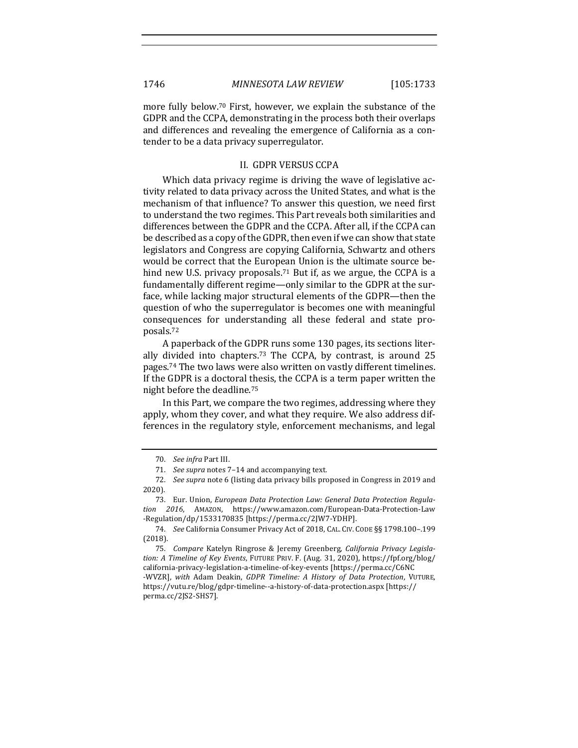more fully below.<sup>70</sup> First, however, we explain the substance of the GDPR and the CCPA, demonstrating in the process both their overlaps and differences and revealing the emergence of California as a contender to be a data privacy superregulator.

#### II. GDPR VERSUS CCPA

Which data privacy regime is driving the wave of legislative activity related to data privacy across the United States, and what is the mechanism of that influence? To answer this question, we need first to understand the two regimes. This Part reveals both similarities and differences between the GDPR and the CCPA. After all, if the CCPA can be described as a copy of the GDPR, then even if we can show that state legislators and Congress are copying California, Schwartz and others would be correct that the European Union is the ultimate source behind new U.S. privacy proposals.<sup>71</sup> But if, as we argue, the CCPA is a fundamentally different regime—only similar to the GDPR at the surface, while lacking major structural elements of the GDPR—then the question of who the superregulator is becomes one with meaningful consequences for understanding all these federal and state proposals.72

A paperback of the GDPR runs some 130 pages, its sections literally divided into chapters.<sup>73</sup> The CCPA, by contrast, is around  $25$ pages.<sup>74</sup> The two laws were also written on vastly different timelines. If the GDPR is a doctoral thesis, the CCPA is a term paper written the night before the deadline.<sup>75</sup>

In this Part, we compare the two regimes, addressing where they apply, whom they cover, and what they require. We also address differences in the regulatory style, enforcement mechanisms, and legal

<sup>70.</sup> *See infra* Part III.

<sup>71.</sup> See supra notes 7-14 and accompanying text.

<sup>72.</sup> *See supra* note 6 (listing data privacy bills proposed in Congress in 2019 and 2020).

<sup>73.</sup> Eur. Union, *European Data Protection Law: General Data Protection Regulation 2016*, AMAZON, https://www.amazon.com/European-Data-Protection-Law -Regulation/dp/1533170835 [https://perma.cc/2JW7-YDHP].

<sup>74.</sup> *See* California Consumer Privacy Act of 2018, CAL. CIV. CODE §§ 1798.100-.199 (2018).

<sup>75.</sup> Compare Katelyn Ringrose & Jeremy Greenberg, California Privacy Legisla*tion: A Timeline of Key Events, FUTURE PRIV. F. (Aug. 31, 2020), https://fpf.org/blog/* california-privacy-legislation-a-timeline-of-key-events [https://perma.cc/C6NC -WVZR], with Adam Deakin, *GDPR Timeline: A History of Data Protection*, VUTURE, https://vutu.re/blog/gdpr-timeline--a-history-of-data-protection.aspx [https:// perma.cc/2JS2-SHS7].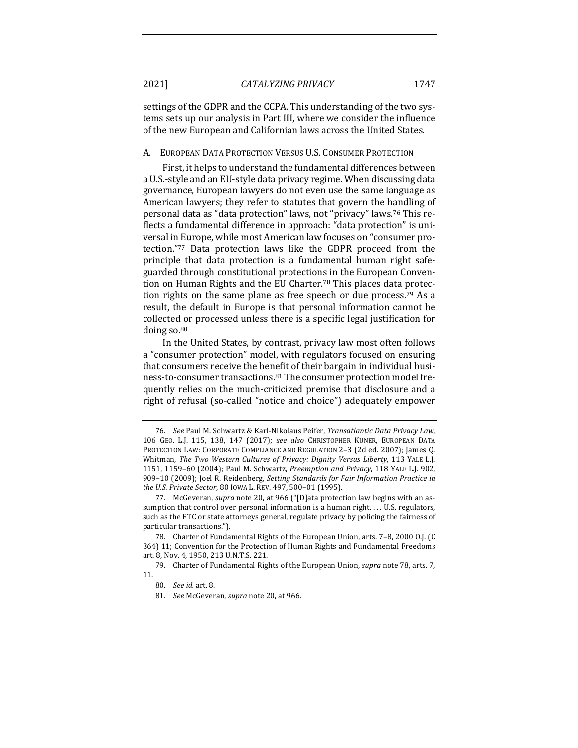settings of the GDPR and the CCPA. This understanding of the two systems sets up our analysis in Part III, where we consider the influence of the new European and Californian laws across the United States.

#### A. EUROPEAN DATA PROTECTION VERSUS U.S. CONSUMER PROTECTION

First, it helps to understand the fundamental differences between a U.S.-style and an EU-style data privacy regime. When discussing data governance, European lawyers do not even use the same language as American lawyers; they refer to statutes that govern the handling of personal data as "data protection" laws, not "privacy" laws.<sup>76</sup> This reflects a fundamental difference in approach: "data protection" is universal in Europe, while most American law focuses on "consumer protection."77 Data protection laws like the GDPR proceed from the principle that data protection is a fundamental human right safeguarded through constitutional protections in the European Convention on Human Rights and the EU Charter.<sup>78</sup> This places data protection rights on the same plane as free speech or due process.<sup>79</sup> As a result, the default in Europe is that personal information cannot be collected or processed unless there is a specific legal justification for doing so. $80$ 

In the United States, by contrast, privacy law most often follows a "consumer protection" model, with regulators focused on ensuring that consumers receive the benefit of their bargain in individual business-to-consumer transactions.<sup>81</sup> The consumer protection model frequently relies on the much-criticized premise that disclosure and a right of refusal (so-called "notice and choice") adequately empower

<sup>76.</sup> *See Paul M. Schwartz & Karl-Nikolaus Peifer, Transatlantic Data Privacy Law,* 106 GEO. L.J. 115, 138, 147 (2017); *see also* CHRISTOPHER KUNER, EUROPEAN DATA PROTECTION LAW: CORPORATE COMPLIANCE AND REGULATION 2-3 (2d ed. 2007); James Q. Whitman, *The Two Western Cultures of Privacy: Dignity Versus Liberty*, 113 YALE L.J. 1151, 1159–60 (2004); Paul M. Schwartz, *Preemption and Privacy*, 118 YALE L.J. 902, 909-10 (2009); Joel R. Reidenberg, *Setting Standards for Fair Information Practice in the U.S. Private Sector,* 80 Iowa L. REV. 497, 500-01 (1995).

<sup>77.</sup> McGeveran, *supra* note 20, at 966 ("[D]ata protection law begins with an assumption that control over personal information is a human right.... U.S. regulators, such as the FTC or state attorneys general, regulate privacy by policing the fairness of particular transactions.").

<sup>78.</sup> Charter of Fundamental Rights of the European Union, arts. 7-8, 2000 O.J. (C) 364) 11; Convention for the Protection of Human Rights and Fundamental Freedoms art. 8, Nov. 4, 1950, 213 U.N.T.S. 221.

<sup>79.</sup> Charter of Fundamental Rights of the European Union, *supra* note 78, arts. 7, 11.

<sup>80.</sup> *See id.* art. 8.

<sup>81.</sup> *See* McGeveran, *supra* note 20, at 966.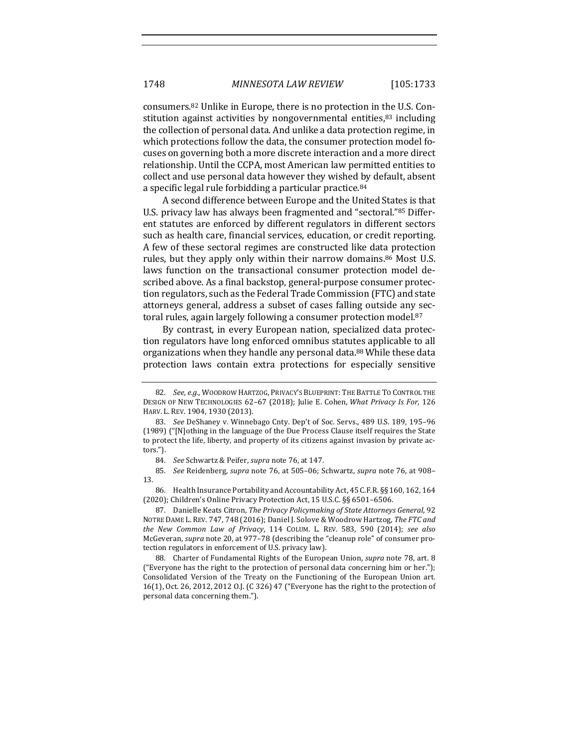consumers.<sup>82</sup> Unlike in Europe, there is no protection in the U.S. Constitution against activities by nongovernmental entities, $83$  including the collection of personal data. And unlike a data protection regime, in which protections follow the data, the consumer protection model focuses on governing both a more discrete interaction and a more direct relationship. Until the CCPA, most American law permitted entities to collect and use personal data however they wished by default, absent a specific legal rule forbidding a particular practice.<sup>84</sup>

A second difference between Europe and the United States is that U.S. privacy law has always been fragmented and "sectoral."85 Different statutes are enforced by different regulators in different sectors such as health care, financial services, education, or credit reporting. A few of these sectoral regimes are constructed like data protection rules, but they apply only within their narrow domains.<sup>86</sup> Most U.S. laws function on the transactional consumer protection model described above. As a final backstop, general-purpose consumer protection regulators, such as the Federal Trade Commission (FTC) and state attorneys general, address a subset of cases falling outside any sectoral rules, again largely following a consumer protection model.<sup>87</sup>

By contrast, in every European nation, specialized data protection regulators have long enforced omnibus statutes applicable to all organizations when they handle any personal data.<sup>88</sup> While these data protection laws contain extra protections for especially sensitive

87. Danielle Keats Citron, *The Privacy Policymaking of State Attorneys General*, 92 NOTRE DAME L. REV. 747, 748 (2016); Daniel J. Solove & Woodrow Hartzog, The FTC and *the New Common Law of Privacy*, 114 COLUM. L. REV. 583, 590 (2014); *see also* McGeveran, *supra* note 20, at 977-78 (describing the "cleanup role" of consumer protection regulators in enforcement of U.S. privacy law).

88. Charter of Fundamental Rights of the European Union, *supra* note 78, art. 8 ("Everyone has the right to the protection of personal data concerning him or her."); Consolidated Version of the Treaty on the Functioning of the European Union art. 16(1), Oct. 26, 2012, 2012 O.J. (C 326) 47 ("Everyone has the right to the protection of personal data concerning them.").

<sup>82.</sup> *See, e.g.*, WOODROW HARTZOG, PRIVACY'S BLUEPRINT: THE BATTLE TO CONTROL THE DESIGN OF NEW TECHNOLOGIES 62-67 (2018); Julie E. Cohen, *What Privacy Is For*, 126 HARV. L. REV. 1904, 1930 (2013).

<sup>83.</sup> *See* DeShaney v. Winnebago Cnty. Dep't of Soc. Servs., 489 U.S. 189, 195-96 (1989) ("[N]othing in the language of the Due Process Clause itself requires the State to protect the life, liberty, and property of its citizens against invasion by private actors.").

<sup>84.</sup> *See* Schwartz & Peifer, *supra* note 76, at 147.

<sup>85.</sup> *See* Reidenberg, *supra* note 76, at 505-06; Schwartz, *supra* note 76, at 908-13.

<sup>86.</sup> Health Insurance Portability and Accountability Act, 45 C.F.R. §§ 160, 162, 164 (2020); Children's Online Privacy Protection Act, 15 U.S.C. §§ 6501-6506.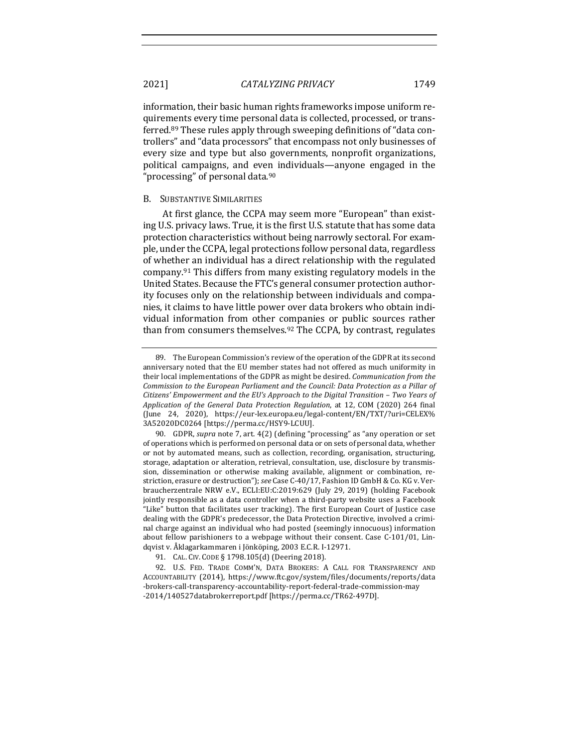information, their basic human rights frameworks impose uniform requirements every time personal data is collected, processed, or transferred.<sup>89</sup> These rules apply through sweeping definitions of "data controllers" and "data processors" that encompass not only businesses of every size and type but also governments, nonprofit organizations, political campaigns, and even individuals—anyone engaged in the "processing" of personal data. $90$ 

#### **B.** SUBSTANTIVE SIMILARITIES

At first glance, the CCPA may seem more "European" than existing U.S. privacy laws. True, it is the first U.S. statute that has some data protection characteristics without being narrowly sectoral. For example, under the CCPA, legal protections follow personal data, regardless of whether an individual has a direct relationship with the regulated company.<sup>91</sup> This differs from many existing regulatory models in the United States. Because the FTC's general consumer protection authority focuses only on the relationship between individuals and companies, it claims to have little power over data brokers who obtain individual information from other companies or public sources rather than from consumers themselves. $92$  The CCPA, by contrast, regulates

<sup>89.</sup> The European Commission's review of the operation of the GDPR at its second anniversary noted that the EU member states had not offered as much uniformity in their local implementations of the GDPR as might be desired. *Communication from the Commission to the European Parliament and the Council: Data Protection as a Pillar of Citizens' Empowerment and the EU's Approach to the Digital Transition - Two Years of* Application of the General Data Protection Regulation, at 12, COM (2020) 264 final (June 24, 2020), https://eur-lex.europa.eu/legal-content/EN/TXT/?uri=CELEX% 3A52020DC0264 [https://perma.cc/HSY9-LCUU].

<sup>90.</sup> GDPR, *supra* note 7, art. 4(2) (defining "processing" as "any operation or set of operations which is performed on personal data or on sets of personal data, whether or not by automated means, such as collection, recording, organisation, structuring, storage, adaptation or alteration, retrieval, consultation, use, disclosure by transmission, dissemination or otherwise making available, alignment or combination, restriction, erasure or destruction"); *see* Case C-40/17, Fashion ID GmbH & Co. KG v. Verbraucherzentrale NRW e.V., ECLI:EU:C:2019:629 (July 29, 2019) (holding Facebook jointly responsible as a data controller when a third-party website uses a Facebook "Like" button that facilitates user tracking). The first European Court of Justice case dealing with the GDPR's predecessor, the Data Protection Directive, involved a criminal charge against an individual who had posted (seemingly innocuous) information about fellow parishioners to a webpage without their consent. Case  $C-101/01$ , Lindqvist v. Åklagarkammaren i Jönköping, 2003 E.C.R. I-12971.

<sup>91.</sup> CAL. CIV. CODE § 1798.105(d) (Deering 2018).

<sup>92.</sup> U.S. FED. TRADE COMM'N, DATA BROKERS: A CALL FOR TRANSPARENCY AND ACCOUNTABILITY (2014), https://www.ftc.gov/system/files/documents/reports/data -brokers-call-transparency-accountability-report-federal-trade-commission-may -2014/140527databrokerreport.pdf [https://perma.cc/TR62-497D].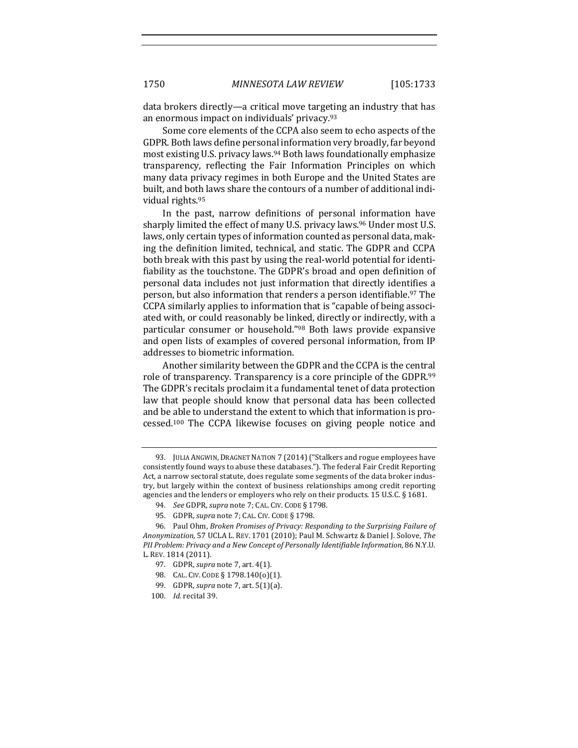data brokers directly—a critical move targeting an industry that has an enormous impact on individuals' privacy.<sup>93</sup>

Some core elements of the CCPA also seem to echo aspects of the GDPR. Both laws define personal information very broadly, far beyond most existing U.S. privacy laws.<sup>94</sup> Both laws foundationally emphasize transparency, reflecting the Fair Information Principles on which many data privacy regimes in both Europe and the United States are built, and both laws share the contours of a number of additional individual rights.<sup>95</sup>

In the past, narrow definitions of personal information have sharply limited the effect of many U.S. privacy laws.<sup>96</sup> Under most U.S. laws, only certain types of information counted as personal data, making the definition limited, technical, and static. The GDPR and CCPA both break with this past by using the real-world potential for identifiability as the touchstone. The GDPR's broad and open definition of personal data includes not just information that directly identifies a person, but also information that renders a person identifiable.<sup>97</sup> The CCPA similarly applies to information that is "capable of being associated with, or could reasonably be linked, directly or indirectly, with a particular consumer or household."98 Both laws provide expansive and open lists of examples of covered personal information, from IP addresses to biometric information.

Another similarity between the GDPR and the CCPA is the central role of transparency. Transparency is a core principle of the GDPR.99 The GDPR's recitals proclaim it a fundamental tenet of data protection law that people should know that personal data has been collected and be able to understand the extent to which that information is processed.<sup>100</sup> The CCPA likewise focuses on giving people notice and

<sup>93.</sup> JULIA ANGWIN, DRAGNET NATION 7 (2014) ("Stalkers and rogue employees have consistently found ways to abuse these databases."). The federal Fair Credit Reporting Act, a narrow sectoral statute, does regulate some segments of the data broker industry, but largely within the context of business relationships among credit reporting agencies and the lenders or employers who rely on their products.  $15 \text{ U.S.C.}$  §  $1681$ .

<sup>94.</sup> *See GDPR, supra note 7; CAL. CIV. CODE § 1798.* 

<sup>95.</sup> GDPR, *supra* note 7; CAL. CIV. CODE § 1798.

<sup>96.</sup> Paul Ohm, *Broken Promises of Privacy: Responding to the Surprising Failure of* Anonymization, 57 UCLA L. REV. 1701 (2010); Paul M. Schwartz & Daniel J. Solove, The *PII Problem: Privacy and a New Concept of Personally Identifiable Information,* 86 N.Y.U. L. REV. 1814 (2011).

<sup>97.</sup> GDPR, *supra* note 7, art. 4(1).

<sup>98.</sup> CAL. CIV. CODE § 1798.140(o)(1).

<sup>99.</sup> GDPR, *supra* note 7, art. 5(1)(a).

<sup>100.</sup> *Id.* recital 39.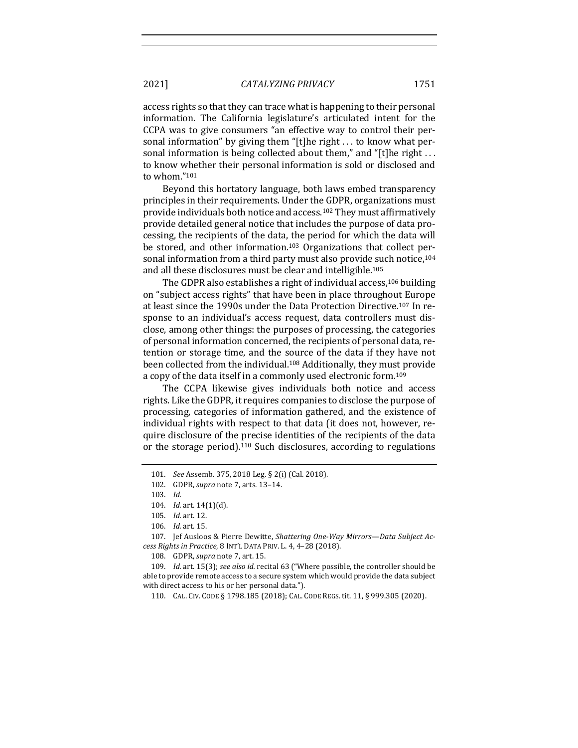access rights so that they can trace what is happening to their personal information. The California legislature's articulated intent for the CCPA was to give consumers "an effective way to control their personal information" by giving them "[t]he right  $\dots$  to know what personal information is being collected about them," and "[t]he right ... to know whether their personal information is sold or disclosed and to whom."101

Beyond this hortatory language, both laws embed transparency principles in their requirements. Under the GDPR, organizations must provide individuals both notice and access.<sup>102</sup> They must affirmatively provide detailed general notice that includes the purpose of data processing, the recipients of the data, the period for which the data will be stored, and other information.<sup>103</sup> Organizations that collect personal information from a third party must also provide such notice,<sup>104</sup> and all these disclosures must be clear and intelligible.<sup>105</sup>

The GDPR also establishes a right of individual access,<sup>106</sup> building on "subject access rights" that have been in place throughout Europe at least since the 1990s under the Data Protection Directive.<sup>107</sup> In response to an individual's access request, data controllers must disclose, among other things: the purposes of processing, the categories of personal information concerned, the recipients of personal data, retention or storage time, and the source of the data if they have not been collected from the individual.<sup>108</sup> Additionally, they must provide a copy of the data itself in a commonly used electronic form.<sup>109</sup>

The CCPA likewise gives individuals both notice and access rights. Like the GDPR, it requires companies to disclose the purpose of processing, categories of information gathered, and the existence of individual rights with respect to that data (it does not, however, require disclosure of the precise identities of the recipients of the data or the storage period).<sup>110</sup> Such disclosures, according to regulations

<sup>101.</sup> *See* Assemb. 375, 2018 Leg. § 2(i) (Cal. 2018).

<sup>102.</sup> GDPR, *supra* note 7, arts. 13-14.

<sup>103.</sup> *Id.*

<sup>104.</sup> *Id.* art. 14(1)(d).

<sup>105.</sup> *Id.* art. 12.

<sup>106.</sup> *Id.* art. 15.

<sup>107.</sup> Jef Ausloos & Pierre Dewitte, Shattering One-Way Mirrors-Data Subject Ac*cess Rights in Practice*, 8 INT'L DATA PRIV. L. 4, 4-28 (2018).

<sup>108.</sup> GDPR, *supra* note 7, art. 15.

<sup>109.</sup> *Id.* art. 15(3); *see also id.* recital 63 ("Where possible, the controller should be able to provide remote access to a secure system which would provide the data subject with direct access to his or her personal data.").

<sup>110.</sup> CAL. CIV. CODE § 1798.185 (2018); CAL. CODE REGS. tit. 11, § 999.305 (2020).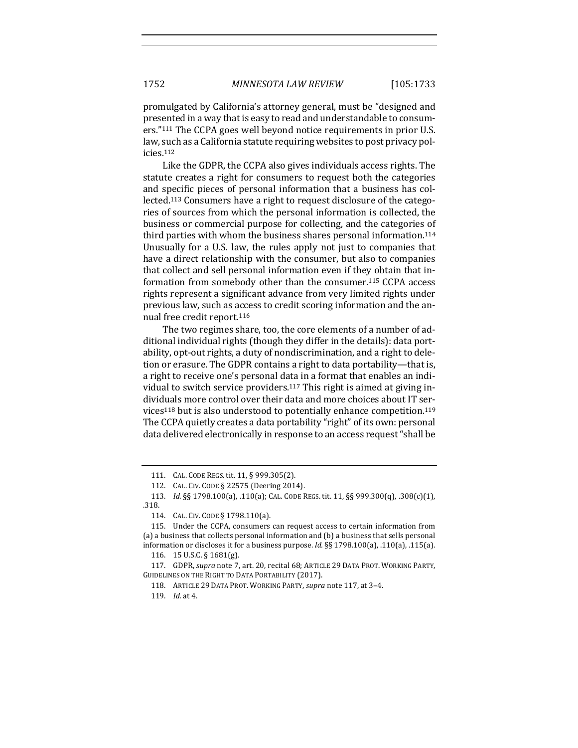promulgated by California's attorney general, must be "designed and presented in a way that is easy to read and understandable to consumers."<sup>111</sup> The CCPA goes well beyond notice requirements in prior U.S. law, such as a California statute requiring websites to post privacy policies.112

Like the GDPR, the CCPA also gives individuals access rights. The statute creates a right for consumers to request both the categories and specific pieces of personal information that a business has collected.<sup>113</sup> Consumers have a right to request disclosure of the categories of sources from which the personal information is collected, the business or commercial purpose for collecting, and the categories of third parties with whom the business shares personal information.<sup>114</sup> Unusually for a U.S. law, the rules apply not just to companies that have a direct relationship with the consumer, but also to companies that collect and sell personal information even if they obtain that information from somebody other than the consumer.<sup>115</sup> CCPA access rights represent a significant advance from very limited rights under previous law, such as access to credit scoring information and the annual free credit report.<sup>116</sup>

The two regimes share, too, the core elements of a number of additional individual rights (though they differ in the details): data portability, opt-out rights, a duty of nondiscrimination, and a right to deletion or erasure. The GDPR contains a right to data portability—that is, a right to receive one's personal data in a format that enables an individual to switch service providers.<sup>117</sup> This right is aimed at giving individuals more control over their data and more choices about IT services<sup>118</sup> but is also understood to potentially enhance competition.<sup>119</sup> The CCPA quietly creates a data portability "right" of its own: personal data delivered electronically in response to an access request "shall be

<sup>111.</sup> CAL. CODE REGS. tit. 11, § 999.305(2).

<sup>112.</sup> CAL. CIV. CODE § 22575 (Deering 2014).

<sup>113.</sup> *Id.* §§ 1798.100(a), .110(a); CAL. CODE REGS. tit. 11, §§ 999.300(q), .308(c)(1), .318.

<sup>114.</sup> CAL. CIV. CODE § 1798.110(a).

<sup>115.</sup> Under the CCPA, consumers can request access to certain information from (a) a business that collects personal information and (b) a business that sells personal information or discloses it for a business purpose. *Id.*  $\S$ § 1798.100(a), .110(a), .115(a).

<sup>116. 15</sup> U.S.C. § 1681(g).

<sup>117.</sup> GDPR, *supra* note 7, art. 20, recital 68; ARTICLE 29 DATA PROT. WORKING PARTY, GUIDELINES ON THE RIGHT TO DATA PORTABILITY (2017).

<sup>118.</sup> ARTICLE 29 DATA PROT. WORKING PARTY, *supra* note 117, at 3-4.

<sup>119.</sup> *Id.* at 4.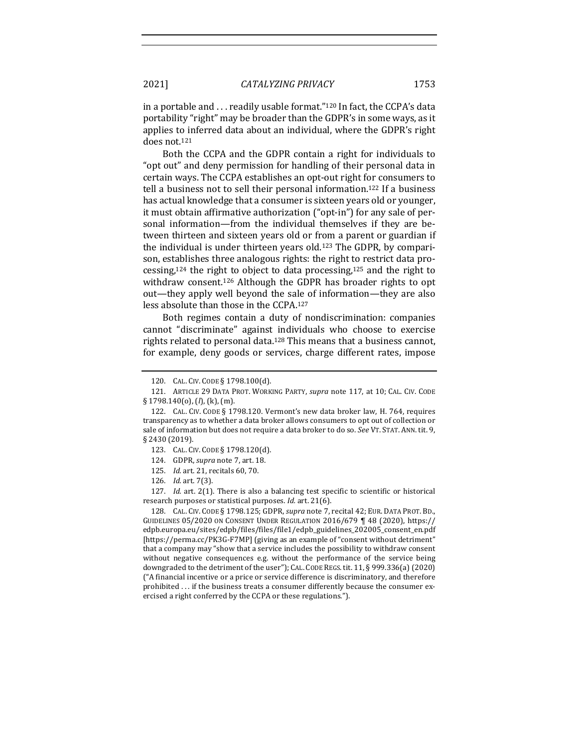in a portable and  $\ldots$  readily usable format."<sup>120</sup> In fact, the CCPA's data portability "right" may be broader than the GDPR's in some ways, as it applies to inferred data about an individual, where the GDPR's right does not.<sup>121</sup>

Both the CCPA and the GDPR contain a right for individuals to "opt out" and deny permission for handling of their personal data in certain ways. The CCPA establishes an opt-out right for consumers to tell a business not to sell their personal information.<sup>122</sup> If a business has actual knowledge that a consumer is sixteen years old or younger, it must obtain affirmative authorization ("opt-in") for any sale of personal information—from the individual themselves if they are between thirteen and sixteen years old or from a parent or guardian if the individual is under thirteen years old.<sup>123</sup> The GDPR, by comparison, establishes three analogous rights: the right to restrict data processing,<sup>124</sup> the right to object to data processing,<sup>125</sup> and the right to withdraw consent.<sup>126</sup> Although the GDPR has broader rights to opt out—they apply well beyond the sale of information—they are also less absolute than those in the CCPA.<sup>127</sup>

Both regimes contain a duty of nondiscrimination: companies cannot "discriminate" against individuals who choose to exercise rights related to personal data.<sup>128</sup> This means that a business cannot, for example, deny goods or services, charge different rates, impose

128. CAL. CIV. CODE § 1798.125; GDPR, *supra* note 7, recital 42; EUR. DATA PROT. BD., GUIDELINES 05/2020 ON CONSENT UNDER REGULATION  $2016/679$  | 48 (2020), https:// edpb.europa.eu/sites/edpb/files/files/file1/edpb\_guidelines\_202005\_consent\_en.pdf [https://perma.cc/PK3G-F7MP] (giving as an example of "consent without detriment" that a company may "show that a service includes the possibility to withdraw consent without negative consequences e.g. without the performance of the service being downgraded to the detriment of the user"); CAL. CODE REGS. tit.  $11, \S$  999.336(a) (2020) ("A financial incentive or a price or service difference is discriminatory, and therefore prohibited  $\dots$  if the business treats a consumer differently because the consumer exercised a right conferred by the CCPA or these regulations.").

<sup>120.</sup> CAL. CIV. CODE § 1798.100(d).

<sup>121.</sup> ARTICLE 29 DATA PROT. WORKING PARTY, *supra* note 117, at 10; CAL. CIV. CODE § 1798.140(o), (*l*), (k), (m).

<sup>122.</sup> CAL. CIV. CODE § 1798.120. Vermont's new data broker law, H. 764, requires transparency as to whether a data broker allows consumers to opt out of collection or sale of information but does not require a data broker to do so. *See* VT. STAT. ANN. tit. 9, § 2430 (2019).

<sup>123.</sup> CAL. CIV. CODE § 1798.120(d).

<sup>124.</sup> GDPR, *supra* note 7, art. 18.

<sup>125.</sup> *Id.* art. 21, recitals 60, 70.

<sup>126.</sup> *Id.* art. 7(3).

<sup>127.</sup> *Id.* art. 2(1). There is also a balancing test specific to scientific or historical research purposes or statistical purposes. *Id.* art. 21(6).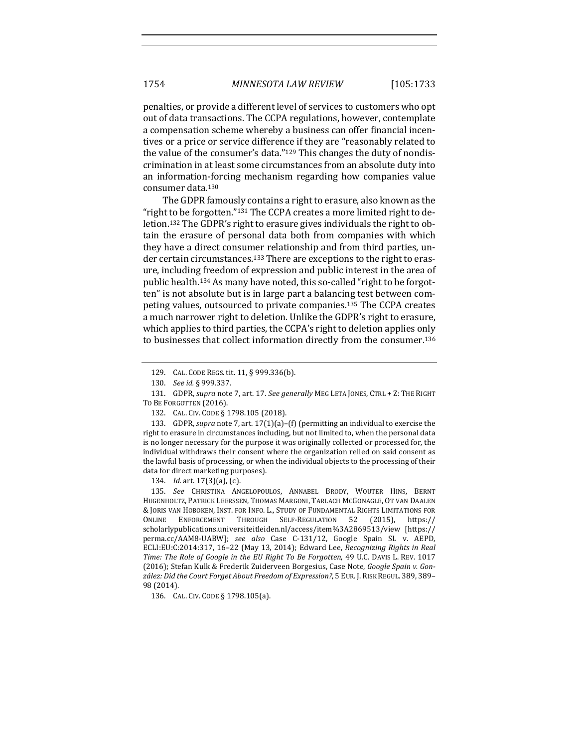penalties, or provide a different level of services to customers who opt out of data transactions. The CCPA regulations, however, contemplate a compensation scheme whereby a business can offer financial incentives or a price or service difference if they are "reasonably related to the value of the consumer's data." $129$  This changes the duty of nondiscrimination in at least some circumstances from an absolute duty into an information-forcing mechanism regarding how companies value consumer data.<sup>130</sup>

The GDPR famously contains a right to erasure, also known as the "right to be forgotten."<sup>131</sup> The CCPA creates a more limited right to deletion.<sup>132</sup> The GDPR's right to erasure gives individuals the right to obtain the erasure of personal data both from companies with which they have a direct consumer relationship and from third parties, under certain circumstances.<sup>133</sup> There are exceptions to the right to erasure, including freedom of expression and public interest in the area of public health.<sup>134</sup> As many have noted, this so-called "right to be forgotten" is not absolute but is in large part a balancing test between competing values, outsourced to private companies.<sup>135</sup> The CCPA creates a much narrower right to deletion. Unlike the GDPR's right to erasure, which applies to third parties, the CCPA's right to deletion applies only to businesses that collect information directly from the consumer.<sup>136</sup>

133. GDPR, *supra* note 7, art.  $17(1)(a)$ –(f) (permitting an individual to exercise the right to erasure in circumstances including, but not limited to, when the personal data is no longer necessary for the purpose it was originally collected or processed for, the individual withdraws their consent where the organization relied on said consent as the lawful basis of processing, or when the individual objects to the processing of their data for direct marketing purposes).

136. CAL. CIV. CODE § 1798.105(a).

<sup>129.</sup> CAL. CODE REGS. tit. 11, § 999.336(b).

<sup>130.</sup> *See id.* § 999.337.

<sup>131.</sup> GDPR, *supra* note 7, art. 17. *See generally* MEG LETA JONES, CTRL + Z: THE RIGHT TO BE FORGOTTEN (2016).

<sup>132.</sup> CAL. CIV. CODE § 1798.105 (2018).

<sup>134.</sup> *Id.* art. 17(3)(a), (c).

<sup>135.</sup> See CHRISTINA ANGELOPOULOS, ANNABEL BRODY, WOUTER HINS, BERNT HUGENHOLTZ, PATRICK LEERSSEN, THOMAS MARGONI, TARLACH MCGONAGLE, OT VAN DAALEN & JORIS VAN HOBOKEN, INST. FOR INFO. L., STUDY OF FUNDAMENTAL RIGHTS LIMITATIONS FOR ONLINE ENFORCEMENT THROUGH SELF-REGULATION 52 (2015), https:// scholarlypublications.universiteitleiden.nl/access/item%3A2869513/view [https:// perma.cc/AAM8-UABW]; see also Case C-131/12, Google Spain SL v. AEPD, ECLI:EU:C:2014:317, 16-22 (May 13, 2014); Edward Lee, *Recognizing Rights in Real Time: The Role of Google in the EU Right To Be Forgotten,* 49 U.C. DAVIS L. REV. 1017 (2016); Stefan Kulk & Frederik Zuiderveen Borgesius, Case Note, *Google Spain v. Gon*zález: Did the Court Forget About Freedom of Expression?, 5 EUR. J. RISK REGUL. 389, 389-98 (2014).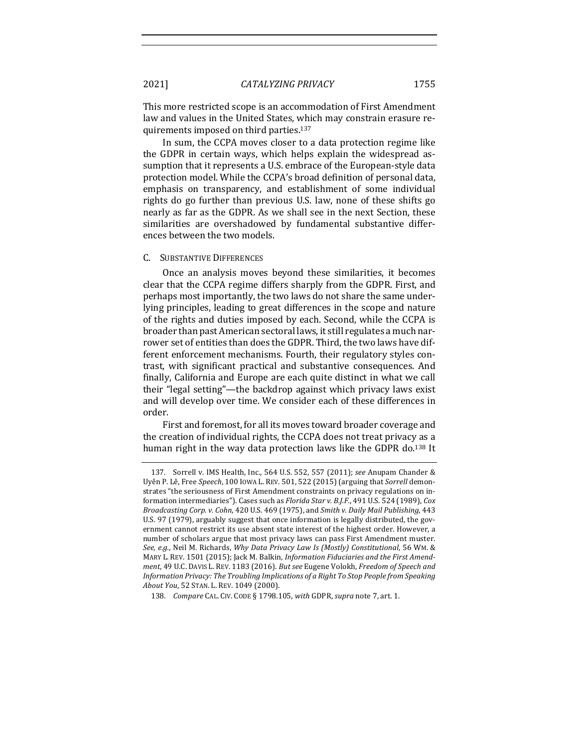This more restricted scope is an accommodation of First Amendment law and values in the United States, which may constrain erasure requirements imposed on third parties.<sup>137</sup>

In sum, the CCPA moves closer to a data protection regime like the GDPR in certain ways, which helps explain the widespread assumption that it represents a U.S. embrace of the European-style data protection model. While the CCPA's broad definition of personal data, emphasis on transparency, and establishment of some individual rights do go further than previous U.S. law, none of these shifts go nearly as far as the GDPR. As we shall see in the next Section, these similarities are overshadowed by fundamental substantive differences between the two models.

#### C. SUBSTANTIVE DIFFERENCES

Once an analysis moves beyond these similarities, it becomes clear that the CCPA regime differs sharply from the GDPR. First, and perhaps most importantly, the two laws do not share the same underlying principles, leading to great differences in the scope and nature of the rights and duties imposed by each. Second, while the CCPA is broader than past American sectoral laws, it still regulates a much narrower set of entities than does the GDPR. Third, the two laws have different enforcement mechanisms. Fourth, their regulatory styles contrast, with significant practical and substantive consequences. And finally, California and Europe are each quite distinct in what we call their "legal setting"—the backdrop against which privacy laws exist and will develop over time. We consider each of these differences in order.

First and foremost, for all its moves toward broader coverage and the creation of individual rights, the CCPA does not treat privacy as a human right in the way data protection laws like the GDPR do.<sup>138</sup> It

<sup>137.</sup> Sorrell v. IMS Health, Inc., 564 U.S. 552, 557 (2011); see Anupam Chander & Uyên P. Lê, Free *Speech*, 100 IOWA L. REV. 501, 522 (2015) (arguing that *Sorrell* demonstrates "the seriousness of First Amendment constraints on privacy regulations on information intermediaries"). Cases such as *Florida Star v. B.J.F.*, 491 U.S. 524 (1989), *Cox Broadcasting Corp. v. Cohn, 420 U.S. 469 (1975), and Smith v. Daily Mail Publishing, 443* U.S. 97 (1979), arguably suggest that once information is legally distributed, the government cannot restrict its use absent state interest of the highest order. However, a number of scholars argue that most privacy laws can pass First Amendment muster. *See, e.g.*, Neil M. Richards, *Why Data Privacy Law Is (Mostly) Constitutional*, 56 WM. & MARY L. REV. 1501 (2015); Jack M. Balkin, *Information Fiduciaries and the First Amendment*, 49 U.C. DAVIS L. REV. 1183 (2016). But see Eugene Volokh, Freedom of Speech and Information Privacy: The Troubling Implications of a Right To Stop People from Speaking *About You*, 52 STAN. L. REV. 1049 (2000).

<sup>138.</sup> *Compare* CAL. CIV. CODE § 1798.105, with GDPR, *supra* note 7, art. 1.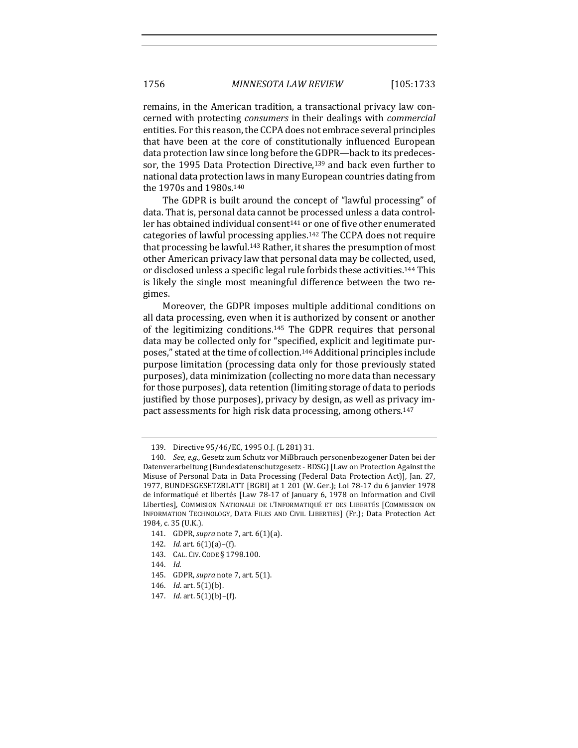remains, in the American tradition, a transactional privacy law concerned with protecting *consumers* in their dealings with *commercial* entities. For this reason, the CCPA does not embrace several principles that have been at the core of constitutionally influenced European data protection law since long before the GDPR—back to its predecessor, the 1995 Data Protection Directive, $139$  and back even further to national data protection laws in many European countries dating from the 1970s and 1980s.<sup>140</sup>

The GDPR is built around the concept of "lawful processing" of data. That is, personal data cannot be processed unless a data controller has obtained individual consent<sup>141</sup> or one of five other enumerated categories of lawful processing applies.<sup>142</sup> The CCPA does not require that processing be lawful.<sup>143</sup> Rather, it shares the presumption of most other American privacy law that personal data may be collected, used, or disclosed unless a specific legal rule forbids these activities.<sup>144</sup> This is likely the single most meaningful difference between the two regimes.

Moreover, the GDPR imposes multiple additional conditions on all data processing, even when it is authorized by consent or another of the legitimizing conditions.<sup>145</sup> The GDPR requires that personal data may be collected only for "specified, explicit and legitimate purposes," stated at the time of collection.<sup>146</sup> Additional principles include purpose limitation (processing data only for those previously stated purposes), data minimization (collecting no more data than necessary for those purposes), data retention (limiting storage of data to periods justified by those purposes), privacy by design, as well as privacy impact assessments for high risk data processing, among others.<sup>147</sup>

- 141. GDPR, *supra* note 7, art. 6(1)(a).
- 142. *Id.* art.  $6(1)(a)$ –(f).
- 143. CAL. CIV. CODE § 1798.100.
- 144. *Id.*
- 145. GDPR, *supra* note 7, art. 5(1).
- 146. *Id.* art. 5(1)(b).
- 147. *Id.* art.  $5(1)(b)$ –(f).

<sup>139.</sup> Directive  $95/46$ /EC, 1995 O.J. (L 281) 31.

<sup>140.</sup> *See, e.g.*, Gesetz zum Schutz vor MiBbrauch personenbezogener Daten bei der Datenverarbeitung (Bundesdatenschutzgesetz - BDSG) [Law on Protection Against the Misuse of Personal Data in Data Processing (Federal Data Protection Act)], Jan. 27, 1977, BUNDESGESETZBLATT [BGBI] at 1 201 (W. Ger.); Loi 78-17 du 6 janvier 1978 de informatiqué et libertés [Law 78-17 of January 6, 1978 on Information and Civil Liberties], COMMISION NATIONALE DE L'INFORMATIQUÉ ET DES LIBERTÉS [COMMISSION ON INFORMATION TECHNOLOGY, DATA FILES AND CIVIL LIBERTIES] (Fr.); Data Protection Act 1984, c. 35 (U.K.).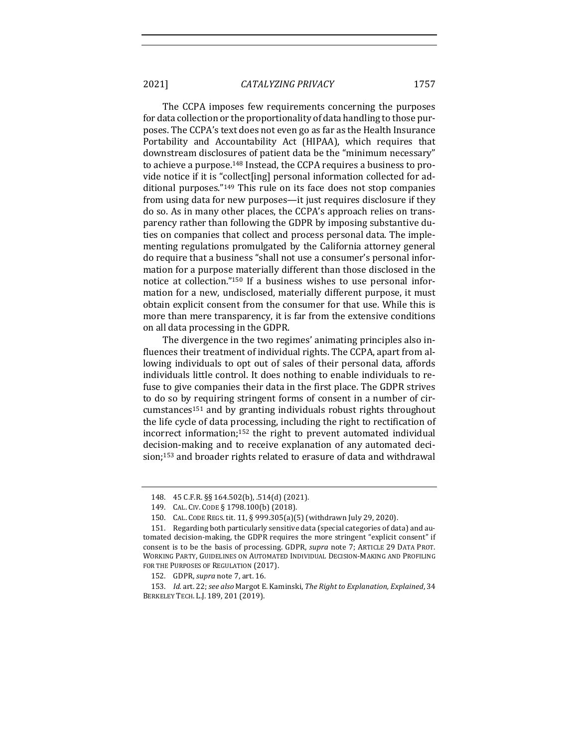The CCPA imposes few requirements concerning the purposes for data collection or the proportionality of data handling to those purposes. The CCPA's text does not even go as far as the Health Insurance Portability and Accountability Act (HIPAA), which requires that downstream disclosures of patient data be the "minimum necessary" to achieve a purpose.<sup>148</sup> Instead, the CCPA requires a business to provide notice if it is "collect[ing] personal information collected for additional purposes." $149$  This rule on its face does not stop companies from using data for new purposes—it just requires disclosure if they do so. As in many other places, the CCPA's approach relies on transparency rather than following the GDPR by imposing substantive duties on companies that collect and process personal data. The implementing regulations promulgated by the California attorney general do require that a business "shall not use a consumer's personal information for a purpose materially different than those disclosed in the notice at collection."<sup>150</sup> If a business wishes to use personal information for a new, undisclosed, materially different purpose, it must obtain explicit consent from the consumer for that use. While this is more than mere transparency, it is far from the extensive conditions on all data processing in the GDPR.

The divergence in the two regimes' animating principles also influences their treatment of individual rights. The CCPA, apart from allowing individuals to opt out of sales of their personal data, affords individuals little control. It does nothing to enable individuals to refuse to give companies their data in the first place. The GDPR strives to do so by requiring stringent forms of consent in a number of circumstances<sup>151</sup> and by granting individuals robust rights throughout the life cycle of data processing, including the right to rectification of incorrect information;<sup>152</sup> the right to prevent automated individual decision-making and to receive explanation of any automated decision;<sup>153</sup> and broader rights related to erasure of data and withdrawal

<sup>148. 45</sup> C.F.R. §§ 164.502(b), .514(d) (2021).

<sup>149.</sup> CAL. CIV. CODE § 1798.100(b) (2018).

<sup>150.</sup> CAL. CODE REGS. tit. 11, § 999.305(a)(5) (withdrawn July 29, 2020).

<sup>151.</sup> Regarding both particularly sensitive data (special categories of data) and automated decision-making, the GDPR requires the more stringent "explicit consent" if consent is to be the basis of processing. GDPR, *supra* note 7; ARTICLE 29 DATA PROT. WORKING PARTY, GUIDELINES ON AUTOMATED INDIVIDUAL DECISION-MAKING AND PROFILING FOR THE PURPOSES OF REGULATION (2017).

<sup>152.</sup> GDPR, *supra* note 7, art. 16.

<sup>153.</sup> *Id.* art. 22; *see also* Margot E. Kaminski, *The Right to Explanation, Explained*, 34 BERKELEY TECH. L.J. 189, 201 (2019).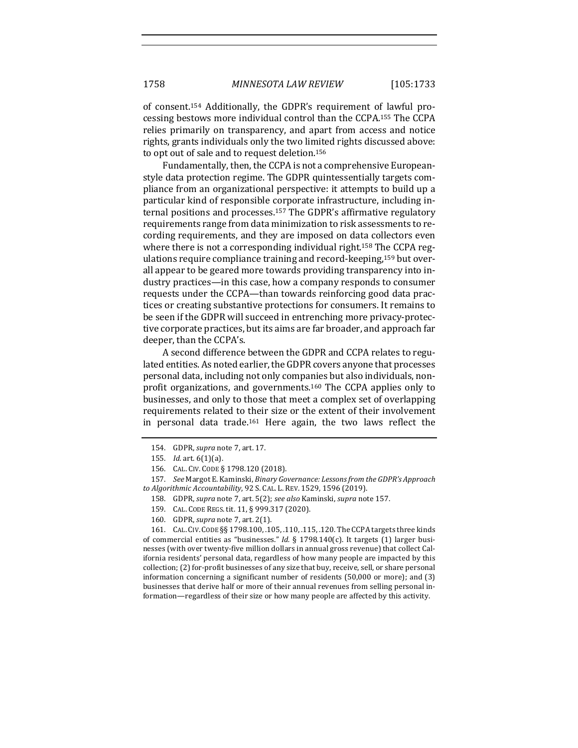of consent.<sup>154</sup> Additionally, the GDPR's requirement of lawful processing bestows more individual control than the CCPA.<sup>155</sup> The CCPA relies primarily on transparency, and apart from access and notice rights, grants individuals only the two limited rights discussed above: to opt out of sale and to request deletion.<sup>156</sup>

Fundamentally, then, the CCPA is not a comprehensive Europeanstyle data protection regime. The GDPR quintessentially targets compliance from an organizational perspective: it attempts to build up a particular kind of responsible corporate infrastructure, including internal positions and processes.<sup>157</sup> The GDPR's affirmative regulatory requirements range from data minimization to risk assessments to recording requirements, and they are imposed on data collectors even where there is not a corresponding individual right.<sup>158</sup> The CCPA regulations require compliance training and record-keeping,<sup>159</sup> but overall appear to be geared more towards providing transparency into industry practices—in this case, how a company responds to consumer requests under the CCPA—than towards reinforcing good data practices or creating substantive protections for consumers. It remains to be seen if the GDPR will succeed in entrenching more privacy-protective corporate practices, but its aims are far broader, and approach far deeper, than the CCPA's.

A second difference between the GDPR and CCPA relates to regulated entities. As noted earlier, the GDPR covers anyone that processes personal data, including not only companies but also individuals, nonprofit organizations, and governments.<sup>160</sup> The CCPA applies only to businesses, and only to those that meet a complex set of overlapping requirements related to their size or the extent of their involvement in personal data trade.<sup>161</sup> Here again, the two laws reflect the

161. CAL. CIV. CODE §§ 1798.100, .105, .110, .115, .120. The CCPA targets three kinds of commercial entities as "businesses." *Id.* § 1798.140(c). It targets (1) larger businesses (with over twenty-five million dollars in annual gross revenue) that collect California residents' personal data, regardless of how many people are impacted by this collection; (2) for-profit businesses of any size that buy, receive, sell, or share personal information concerning a significant number of residents (50,000 or more); and (3) businesses that derive half or more of their annual revenues from selling personal information—regardless of their size or how many people are affected by this activity.

<sup>154.</sup> GDPR, *supra* note 7, art. 17.

<sup>155.</sup> *Id.* art. 6(1)(a).

<sup>156.</sup> CAL. CIV. CODE § 1798.120 (2018).

<sup>157.</sup> *See* Margot E. Kaminski, *Binary Governance: Lessons from the GDPR's Approach to Algorithmic Accountability*, 92 S. CAL. L. REV. 1529, 1596 (2019).

<sup>158.</sup> GDPR, *supra* note 7, art. 5(2); *see also* Kaminski, *supra* note 157.

<sup>159.</sup> CAL. CODE REGS. tit. 11, § 999.317 (2020).

<sup>160.</sup> GDPR, *supra* note 7, art. 2(1).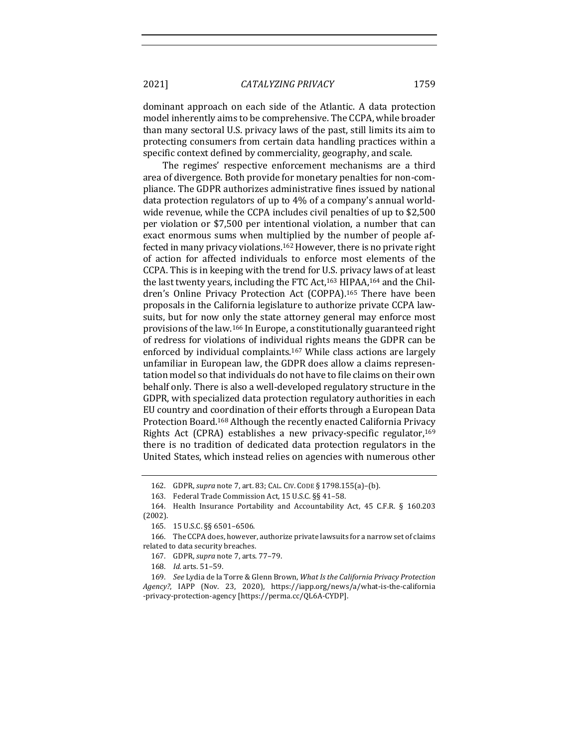dominant approach on each side of the Atlantic. A data protection model inherently aims to be comprehensive. The CCPA, while broader than many sectoral U.S. privacy laws of the past, still limits its aim to protecting consumers from certain data handling practices within a specific context defined by commerciality, geography, and scale.

The regimes' respective enforcement mechanisms are a third area of divergence. Both provide for monetary penalties for non-compliance. The GDPR authorizes administrative fines issued by national data protection regulators of up to  $4\%$  of a company's annual worldwide revenue, while the CCPA includes civil penalties of up to \$2,500 per violation or \$7,500 per intentional violation, a number that can exact enormous sums when multiplied by the number of people affected in many privacy violations.<sup>162</sup> However, there is no private right of action for affected individuals to enforce most elements of the CCPA. This is in keeping with the trend for U.S. privacy laws of at least the last twenty years, including the FTC Act,<sup>163</sup> HIPAA,<sup>164</sup> and the Children's Online Privacy Protection Act (COPPA).<sup>165</sup> There have been proposals in the California legislature to authorize private CCPA lawsuits, but for now only the state attorney general may enforce most provisions of the law.<sup>166</sup> In Europe, a constitutionally guaranteed right of redress for violations of individual rights means the GDPR can be enforced by individual complaints.<sup>167</sup> While class actions are largely unfamiliar in European law, the GDPR does allow a claims representation model so that individuals do not have to file claims on their own behalf only. There is also a well-developed regulatory structure in the GDPR, with specialized data protection regulatory authorities in each EU country and coordination of their efforts through a European Data Protection Board.<sup>168</sup> Although the recently enacted California Privacy Rights Act (CPRA) establishes a new privacy-specific regulator,<sup>169</sup> there is no tradition of dedicated data protection regulators in the United States, which instead relies on agencies with numerous other

<sup>162.</sup> GDPR, *supra* note 7, art. 83; CAL. CIV. CODE § 1798.155(a)-(b).

<sup>163.</sup> Federal Trade Commission Act, 15 U.S.C. §§ 41-58.

<sup>164.</sup> Health Insurance Portability and Accountability Act, 45 C.F.R. § 160.203 (2002).

<sup>165.</sup> 15 U.S.C. §§ 6501–6506.

<sup>166.</sup> The CCPA does, however, authorize private lawsuits for a narrow set of claims related to data security breaches.

<sup>167.</sup> GDPR, *supra* note 7, arts. 77-79.

<sup>168.</sup> *Id.* arts. 51-59.

<sup>169.</sup> *See Lydia de la Torre & Glenn Brown, What Is the California Privacy Protection Agency?*, IAPP (Nov. 23, 2020), https://iapp.org/news/a/what-is-the-california -privacy-protection-agency [https://perma.cc/QL6A-CYDP].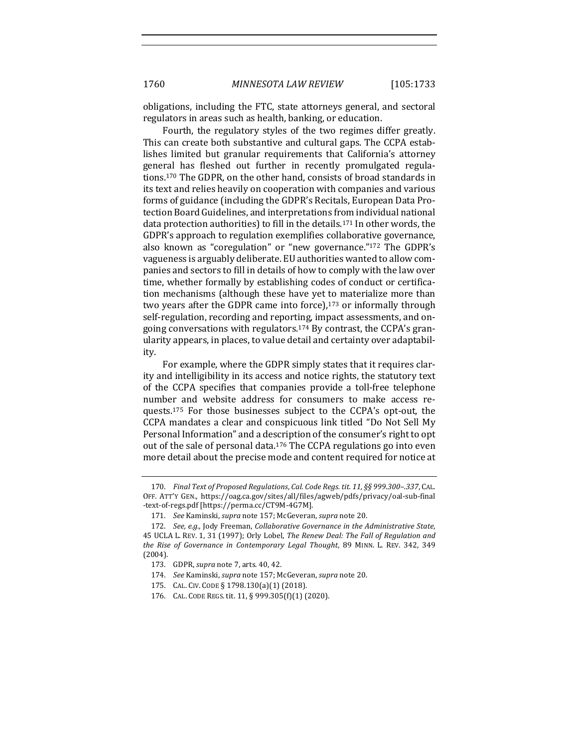obligations, including the FTC, state attorneys general, and sectoral regulators in areas such as health, banking, or education.

Fourth, the regulatory styles of the two regimes differ greatly. This can create both substantive and cultural gaps. The CCPA establishes limited but granular requirements that California's attorney general has fleshed out further in recently promulgated regulations.<sup>170</sup> The GDPR, on the other hand, consists of broad standards in its text and relies heavily on cooperation with companies and various forms of guidance (including the GDPR's Recitals, European Data Protection Board Guidelines, and interpretations from individual national data protection authorities) to fill in the details.<sup>171</sup> In other words, the GDPR's approach to regulation exemplifies collaborative governance, also known as "coregulation" or "new governance."<sup>172</sup> The GDPR's vagueness is arguably deliberate. EU authorities wanted to allow companies and sectors to fill in details of how to comply with the law over time, whether formally by establishing codes of conduct or certification mechanisms (although these have yet to materialize more than two years after the GDPR came into force), $173$  or informally through self-regulation, recording and reporting, impact assessments, and ongoing conversations with regulators.<sup>174</sup> By contrast, the CCPA's granularity appears, in places, to value detail and certainty over adaptability. 

For example, where the GDPR simply states that it requires clarity and intelligibility in its access and notice rights, the statutory text of the CCPA specifies that companies provide a toll-free telephone number and website address for consumers to make access requests.<sup>175</sup> For those businesses subject to the CCPA's opt-out, the CCPA mandates a clear and conspicuous link titled "Do Not Sell My Personal Information" and a description of the consumer's right to opt out of the sale of personal data.<sup>176</sup> The CCPA regulations go into even more detail about the precise mode and content required for notice at

<sup>170.</sup> Final Text of Proposed Regulations, Cal. Code Regs. tit. 11, §§ 999.300-.337, CAL. OFF. ATT'Y GEN., https://oag.ca.gov/sites/all/files/agweb/pdfs/privacy/oal-sub-final -text-of-regs.pdf [https://perma.cc/CT9M-4G7M].

<sup>171.</sup> *See* Kaminski, *supra* note 157; McGeveran, *supra* note 20.

<sup>172.</sup> *See, e.g.*, Jody Freeman, *Collaborative Governance in the Administrative State*, 45 UCLA L. REV. 1, 31 (1997); Orly Lobel, *The Renew Deal: The Fall of Regulation and* the Rise of Governance in Contemporary Legal Thought, 89 MINN. L. REV. 342, 349 (2004).

<sup>173.</sup> GDPR, *supra* note 7, arts. 40, 42.

<sup>174.</sup> *See* Kaminski, *supra* note 157; McGeveran, *supra* note 20.

<sup>175.</sup> CAL. CIV. CODE § 1798.130(a)(1) (2018).

<sup>176.</sup> CAL. CODE REGS. tit. 11, § 999.305(f)(1) (2020).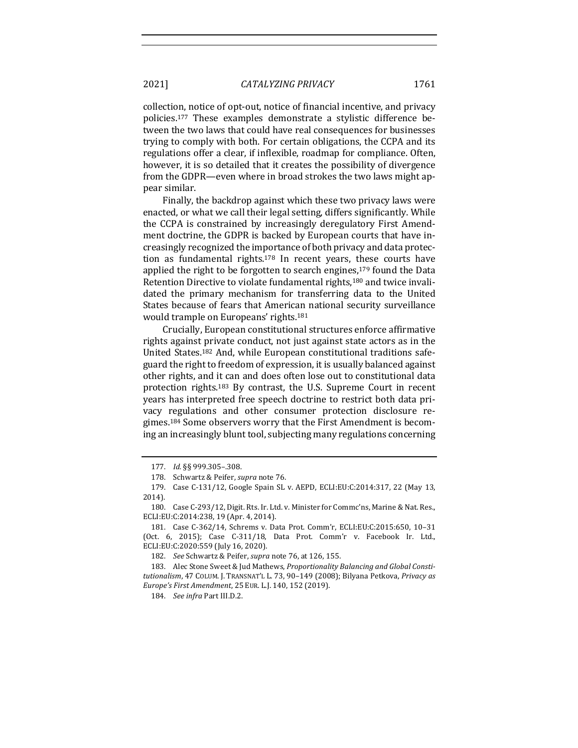collection, notice of opt-out, notice of financial incentive, and privacy policies.<sup>177</sup> These examples demonstrate a stylistic difference between the two laws that could have real consequences for businesses trying to comply with both. For certain obligations, the CCPA and its regulations offer a clear, if inflexible, roadmap for compliance. Often, however, it is so detailed that it creates the possibility of divergence from the GDPR—even where in broad strokes the two laws might appear similar.

Finally, the backdrop against which these two privacy laws were enacted, or what we call their legal setting, differs significantly. While the CCPA is constrained by increasingly deregulatory First Amendment doctrine, the GDPR is backed by European courts that have increasingly recognized the importance of both privacy and data protection as fundamental rights. $178$  In recent years, these courts have applied the right to be forgotten to search engines, $179$  found the Data Retention Directive to violate fundamental rights,<sup>180</sup> and twice invalidated the primary mechanism for transferring data to the United States because of fears that American national security surveillance would trample on Europeans' rights.<sup>181</sup>

Crucially, European constitutional structures enforce affirmative rights against private conduct, not just against state actors as in the United States.<sup>182</sup> And, while European constitutional traditions safeguard the right to freedom of expression, it is usually balanced against other rights, and it can and does often lose out to constitutional data protection rights. $183$  By contrast, the U.S. Supreme Court in recent years has interpreted free speech doctrine to restrict both data privacy regulations and other consumer protection disclosure regimes.<sup>184</sup> Some observers worry that the First Amendment is becoming an increasingly blunt tool, subjecting many regulations concerning

182. *See* Schwartz & Peifer, *supra* note 76, at 126, 155.

<sup>177.</sup> *Id.* §§ 999.305–.308.

<sup>178.</sup> Schwartz & Peifer, *supra* note 76.

<sup>179.</sup> Case C-131/12, Google Spain SL v. AEPD, ECLI:EU:C:2014:317, 22 (May 13, 2014).

<sup>180.</sup> Case C-293/12, Digit. Rts. Ir. Ltd. v. Minister for Commc'ns, Marine & Nat. Res., ECLI:EU:C:2014:238, 19 (Apr. 4, 2014).

<sup>181.</sup> Case C-362/14, Schrems v. Data Prot. Comm'r, ECLI:EU:C:2015:650, 10-31 (Oct.  $6$ , 2015); Case  $C-311/18$ , Data Prot. Comm'r v. Facebook Ir. Ltd., ECLI:EU:C:2020:559 (July 16, 2020).

<sup>183.</sup> Alec Stone Sweet & Jud Mathews, *Proportionality Balancing and Global Consti*tutionalism, 47 COLUM. J. TRANSNAT'L L. 73, 90-149 (2008); Bilyana Petkova, Privacy as *Europe's First Amendment*, 25 EUR. L.J. 140, 152 (2019).

<sup>184.</sup> *See infra Part III.D.2.*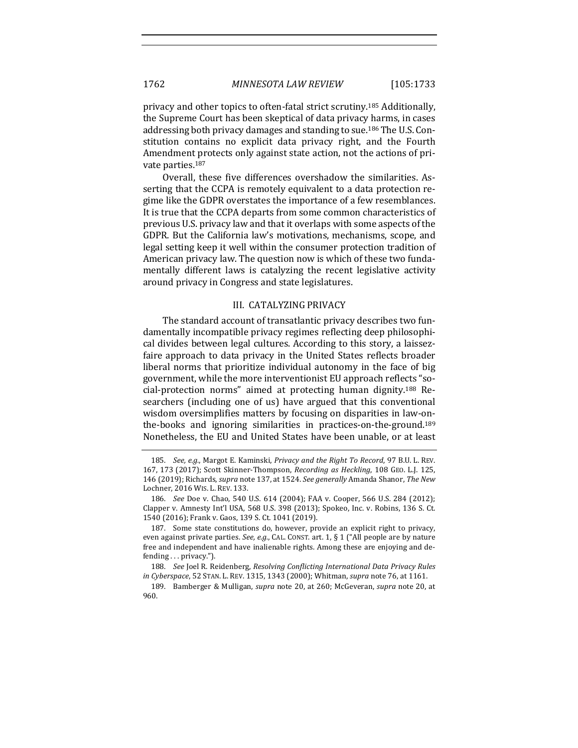privacy and other topics to often-fatal strict scrutiny.<sup>185</sup> Additionally, the Supreme Court has been skeptical of data privacy harms, in cases addressing both privacy damages and standing to sue.<sup>186</sup> The U.S. Constitution contains no explicit data privacy right, and the Fourth Amendment protects only against state action, not the actions of private parties.<sup>187</sup>

Overall, these five differences overshadow the similarities. Asserting that the CCPA is remotely equivalent to a data protection regime like the GDPR overstates the importance of a few resemblances. It is true that the CCPA departs from some common characteristics of previous U.S. privacy law and that it overlaps with some aspects of the GDPR. But the California law's motivations, mechanisms, scope, and legal setting keep it well within the consumer protection tradition of American privacy law. The question now is which of these two fundamentally different laws is catalyzing the recent legislative activity around privacy in Congress and state legislatures.

#### III. CATALYZING PRIVACY

The standard account of transatlantic privacy describes two fundamentally incompatible privacy regimes reflecting deep philosophical divides between legal cultures. According to this story, a laissezfaire approach to data privacy in the United States reflects broader liberal norms that prioritize individual autonomy in the face of big government, while the more interventionist EU approach reflects "social-protection norms" aimed at protecting human dignity.<sup>188</sup> Researchers (including one of us) have argued that this conventional wisdom oversimplifies matters by focusing on disparities in law-onthe-books and ignoring similarities in practices-on-the-ground.<sup>189</sup> Nonetheless, the EU and United States have been unable, or at least

<sup>185.</sup> *See, e.g.*, Margot E. Kaminski, *Privacy and the Right To Record*, 97 B.U. L. REV. 167, 173 (2017); Scott Skinner-Thompson, *Recording as Heckling*, 108 GEO. L.J. 125, 146 (2019); Richards, *supra* note 137, at 1524. See generally Amanda Shanor, The New Lochner, 2016 WIS. L. REV. 133.

<sup>186.</sup> *See* Doe v. Chao, 540 U.S. 614 (2004); FAA v. Cooper, 566 U.S. 284 (2012); Clapper v. Amnesty Int'l USA, 568 U.S. 398 (2013); Spokeo, Inc. v. Robins, 136 S. Ct. 1540 (2016); Frank v. Gaos, 139 S. Ct. 1041 (2019).

<sup>187.</sup> Some state constitutions do, however, provide an explicit right to privacy, even against private parties. *See, e.g.*, CAL. CONST. art. 1, § 1 ("All people are by nature free and independent and have inalienable rights. Among these are enjoying and defending ... privacy.").

<sup>188.</sup> *See* Joel R. Reidenberg, *Resolving Conflicting International Data Privacy Rules in Cyberspace*, 52 STAN. L. REV. 1315, 1343 (2000); Whitman, *supra* note 76, at 1161.

<sup>189.</sup> Bamberger & Mulligan, *supra* note 20, at 260; McGeveran, *supra* note 20, at 960.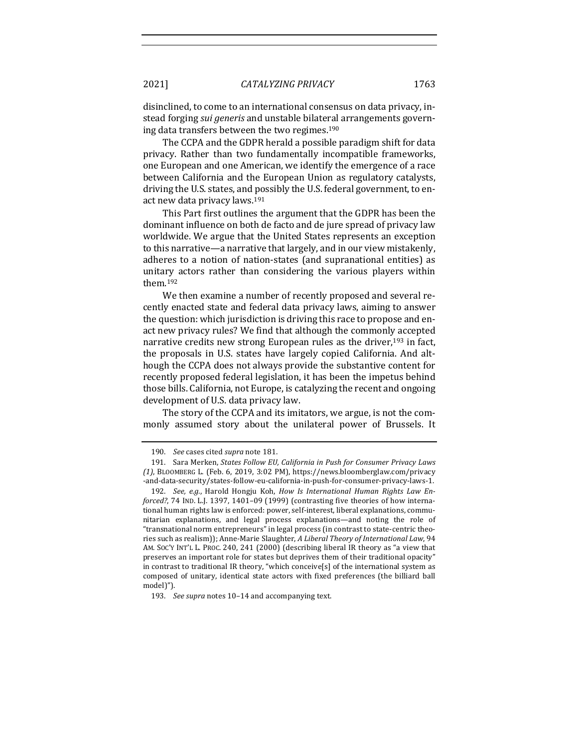disinclined, to come to an international consensus on data privacy, instead forging *sui generis* and unstable bilateral arrangements governing data transfers between the two regimes.<sup>190</sup>

The CCPA and the GDPR herald a possible paradigm shift for data privacy. Rather than two fundamentally incompatible frameworks, one European and one American, we identify the emergence of a race between California and the European Union as regulatory catalysts, driving the U.S. states, and possibly the U.S. federal government, to enact new data privacy laws.<sup>191</sup>

This Part first outlines the argument that the GDPR has been the dominant influence on both de facto and de jure spread of privacy law worldwide. We argue that the United States represents an exception to this narrative—a narrative that largely, and in our view mistakenly, adheres to a notion of nation-states (and supranational entities) as unitary actors rather than considering the various players within them.192

We then examine a number of recently proposed and several recently enacted state and federal data privacy laws, aiming to answer the question: which jurisdiction is driving this race to propose and enact new privacy rules? We find that although the commonly accepted narrative credits new strong European rules as the driver,<sup>193</sup> in fact, the proposals in U.S. states have largely copied California. And although the CCPA does not always provide the substantive content for recently proposed federal legislation, it has been the impetus behind those bills. California, not Europe, is catalyzing the recent and ongoing development of U.S. data privacy law.

The story of the CCPA and its imitators, we argue, is not the commonly assumed story about the unilateral power of Brussels. It

<sup>190.</sup> *See* cases cited *supra* note 181.

<sup>191.</sup> Sara Merken, *States Follow EU, California in Push for Consumer Privacy Laws (1)*, BLOOMBERG L. (Feb. 6, 2019, 3:02 PM), https://news.bloomberglaw.com/privacy -and-data-security/states-follow-eu-california-in-push-for-consumer-privacy-laws-1.

<sup>192.</sup> See, e.g., Harold Hongju Koh, *How Is International Human Rights Law Enforced?*, 74 IND. L.J. 1397, 1401-09 (1999) (contrasting five theories of how international human rights law is enforced: power, self-interest, liberal explanations, communitarian explanations, and legal process explanations—and noting the role of "transnational norm entrepreneurs" in legal process (in contrast to state-centric theories such as realism)); Anne-Marie Slaughter, *A Liberal Theory of International Law*, 94 AM. SOC'Y INT'L L. PROC. 240, 241 (2000) (describing liberal IR theory as "a view that preserves an important role for states but deprives them of their traditional opacity" in contrast to traditional IR theory, "which conceive[s] of the international system as composed of unitary, identical state actors with fixed preferences (the billiard ball model)").

<sup>193.</sup> *See supra* notes 10-14 and accompanying text.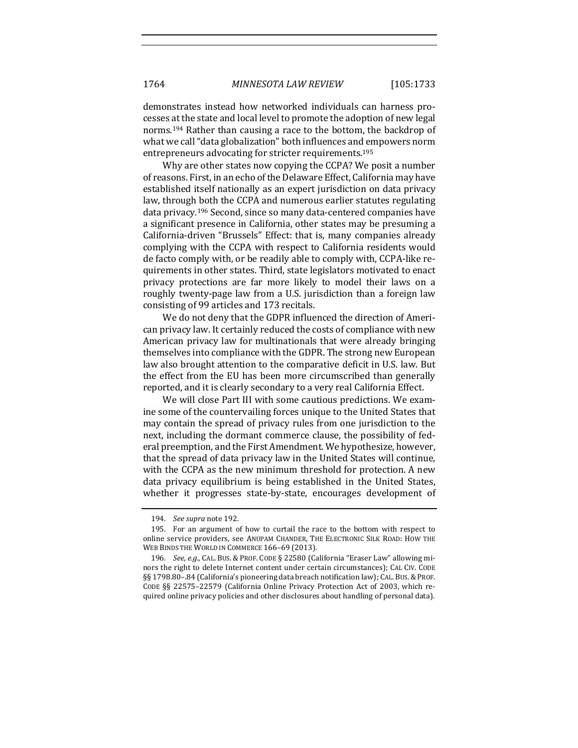demonstrates instead how networked individuals can harness processes at the state and local level to promote the adoption of new legal norms.<sup>194</sup> Rather than causing a race to the bottom, the backdrop of what we call "data globalization" both influences and empowers norm entrepreneurs advocating for stricter requirements.<sup>195</sup>

Why are other states now copying the CCPA? We posit a number of reasons. First, in an echo of the Delaware Effect, California may have established itself nationally as an expert jurisdiction on data privacy law, through both the CCPA and numerous earlier statutes regulating data privacy.<sup>196</sup> Second, since so many data-centered companies have a significant presence in California, other states may be presuming a California-driven "Brussels" Effect: that is, many companies already complying with the CCPA with respect to California residents would de facto comply with, or be readily able to comply with, CCPA-like requirements in other states. Third, state legislators motivated to enact privacy protections are far more likely to model their laws on a roughly twenty-page law from a U.S. jurisdiction than a foreign law consisting of 99 articles and 173 recitals.

We do not deny that the GDPR influenced the direction of American privacy law. It certainly reduced the costs of compliance with new American privacy law for multinationals that were already bringing themselves into compliance with the GDPR. The strong new European law also brought attention to the comparative deficit in U.S. law. But the effect from the EU has been more circumscribed than generally reported, and it is clearly secondary to a very real California Effect.

We will close Part III with some cautious predictions. We examine some of the countervailing forces unique to the United States that may contain the spread of privacy rules from one jurisdiction to the next, including the dormant commerce clause, the possibility of federal preemption, and the First Amendment. We hypothesize, however, that the spread of data privacy law in the United States will continue, with the CCPA as the new minimum threshold for protection. A new data privacy equilibrium is being established in the United States, whether it progresses state-by-state, encourages development of

<sup>194.</sup> *See supra* note 192.

<sup>195.</sup> For an argument of how to curtail the race to the bottom with respect to online service providers, see ANUPAM CHANDER, THE ELECTRONIC SILK ROAD: HOW THE WEB BINDS THE WORLD IN COMMERCE 166-69 (2013).

<sup>196.</sup> *See, e.g.*, CAL. BUS. & PROF. CODE § 22580 (California "Eraser Law" allowing minors the right to delete Internet content under certain circumstances); CAL CIV. CODE §§ 1798.80-.84 (California's pioneering data breach notification law); CAL. BUS. & PROF. CODE §§ 22575-22579 (California Online Privacy Protection Act of 2003, which required online privacy policies and other disclosures about handling of personal data).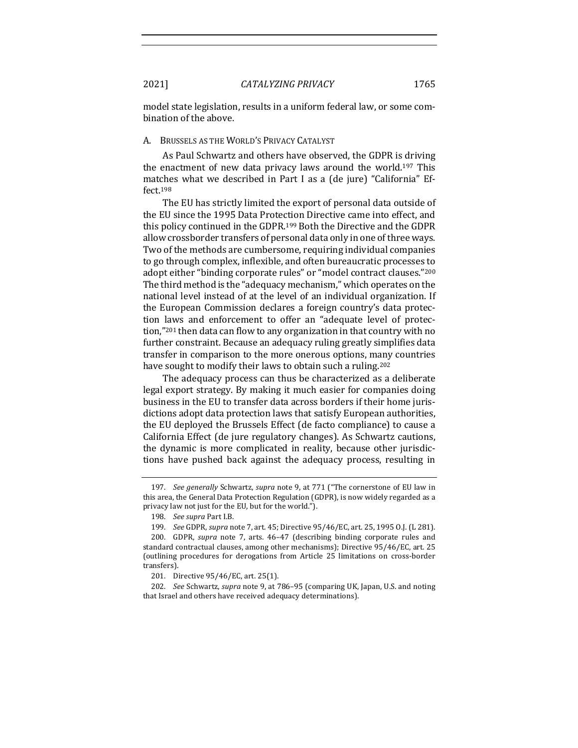model state legislation, results in a uniform federal law, or some combination of the above.

#### A. BRUSSELS AS THE WORLD'S PRIVACY CATALYST

As Paul Schwartz and others have observed, the GDPR is driving the enactment of new data privacy laws around the world.<sup>197</sup> This matches what we described in Part I as a (de jure) "California" Effect.198

The EU has strictly limited the export of personal data outside of the EU since the 1995 Data Protection Directive came into effect, and this policy continued in the GDPR.<sup>199</sup> Both the Directive and the GDPR allow crossborder transfers of personal data only in one of three ways. Two of the methods are cumbersome, requiring individual companies to go through complex, inflexible, and often bureaucratic processes to adopt either "binding corporate rules" or "model contract clauses."<sup>200</sup> The third method is the "adequacy mechanism," which operates on the national level instead of at the level of an individual organization. If the European Commission declares a foreign country's data protection laws and enforcement to offer an "adequate level of protection,"<sup>201</sup> then data can flow to any organization in that country with no further constraint. Because an adequacy ruling greatly simplifies data transfer in comparison to the more onerous options, many countries have sought to modify their laws to obtain such a ruling.<sup>202</sup>

The adequacy process can thus be characterized as a deliberate legal export strategy. By making it much easier for companies doing business in the EU to transfer data across borders if their home jurisdictions adopt data protection laws that satisfy European authorities, the EU deployed the Brussels Effect (de facto compliance) to cause a California Effect (de jure regulatory changes). As Schwartz cautions, the dynamic is more complicated in reality, because other jurisdictions have pushed back against the adequacy process, resulting in

<sup>197.</sup> *See generally* Schwartz, *supra* note 9, at 771 ("The cornerstone of EU law in this area, the General Data Protection Regulation (GDPR), is now widely regarded as a privacy law not just for the EU, but for the world.").

<sup>198.</sup> *See supra Part I.B.* 

<sup>199.</sup> *See* GDPR, *supra* note 7, art. 45; Directive  $95/46$ /EC, art. 25, 1995 O.J. (L 281). 200. GDPR, *supra* note 7, arts. 46-47 (describing binding corporate rules and standard contractual clauses, among other mechanisms); Directive 95/46/EC, art. 25 (outlining procedures for derogations from Article 25 limitations on cross-border transfers).

<sup>201.</sup> Directive  $95/46$ /EC, art. 25(1).

<sup>202.</sup> *See* Schwartz, *supra* note 9, at 786–95 (comparing UK, Japan, U.S. and noting that Israel and others have received adequacy determinations).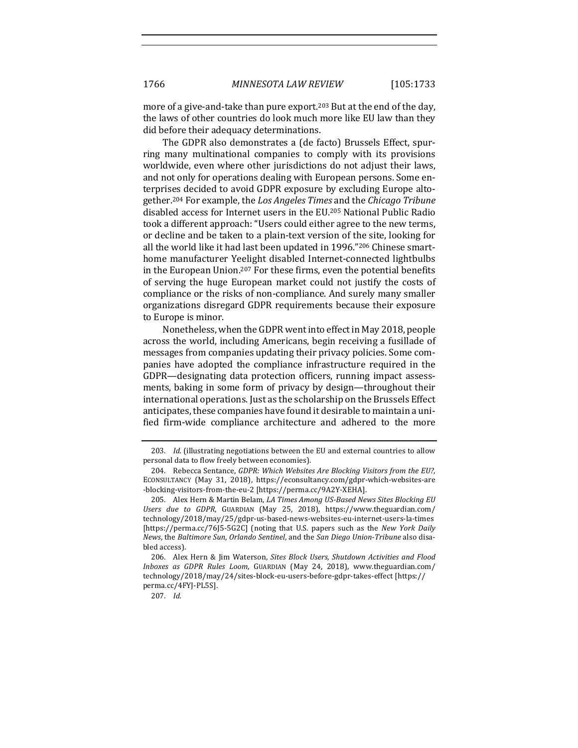more of a give-and-take than pure export.<sup>203</sup> But at the end of the day, the laws of other countries do look much more like EU law than they did before their adequacy determinations.

The GDPR also demonstrates a (de facto) Brussels Effect, spurring many multinational companies to comply with its provisions worldwide, even where other jurisdictions do not adjust their laws, and not only for operations dealing with European persons. Some enterprises decided to avoid GDPR exposure by excluding Europe altogether.<sup>204</sup> For example, the *Los Angeles Times* and the *Chicago Tribune* disabled access for Internet users in the EU.<sup>205</sup> National Public Radio took a different approach: "Users could either agree to the new terms, or decline and be taken to a plain-text version of the site, looking for all the world like it had last been updated in 1996."206 Chinese smarthome manufacturer Yeelight disabled Internet-connected lightbulbs in the European Union.<sup>207</sup> For these firms, even the potential benefits of serving the huge European market could not justify the costs of compliance or the risks of non-compliance. And surely many smaller organizations disregard GDPR requirements because their exposure to Europe is minor.

Nonetheless, when the GDPR went into effect in May 2018, people across the world, including Americans, begin receiving a fusillade of messages from companies updating their privacy policies. Some companies have adopted the compliance infrastructure required in the GDPR—designating data protection officers, running impact assessments, baking in some form of privacy by design—throughout their international operations. Just as the scholarship on the Brussels Effect anticipates, these companies have found it desirable to maintain a unified firm-wide compliance architecture and adhered to the more

207. *Id.*

<sup>203.</sup> *Id.* (illustrating negotiations between the EU and external countries to allow personal data to flow freely between economies).

<sup>204.</sup> Rebecca Sentance, *GDPR: Which Websites Are Blocking Visitors from the EU?*, ECONSULTANCY (May 31, 2018), https://econsultancy.com/gdpr-which-websites-are -blocking-visitors-from-the-eu-2 [https://perma.cc/9A2Y-XEHA].

<sup>205.</sup> Alex Hern & Martin Belam, *LA Times Among US-Based News Sites Blocking EU Users due to GDPR*, GUARDIAN (May 25, 2018), https://www.theguardian.com/ technology/2018/may/25/gdpr-us-based-news-websites-eu-internet-users-la-times [https://perma.cc/76J5-5G2C] (noting that U.S. papers such as the *New York Daily News*, the *Baltimore Sun, Orlando Sentinel*, and the *San Diego Union-Tribune* also disabled access).

<sup>206.</sup> Alex Hern & Jim Waterson, *Sites Block Users, Shutdown Activities and Flood Inboxes as GDPR Rules Loom*, GUARDIAN (May 24, 2018), www.theguardian.com/ technology/2018/may/24/sites-block-eu-users-before-gdpr-takes-effect [https:// perma.cc/4FYJ-PL5S].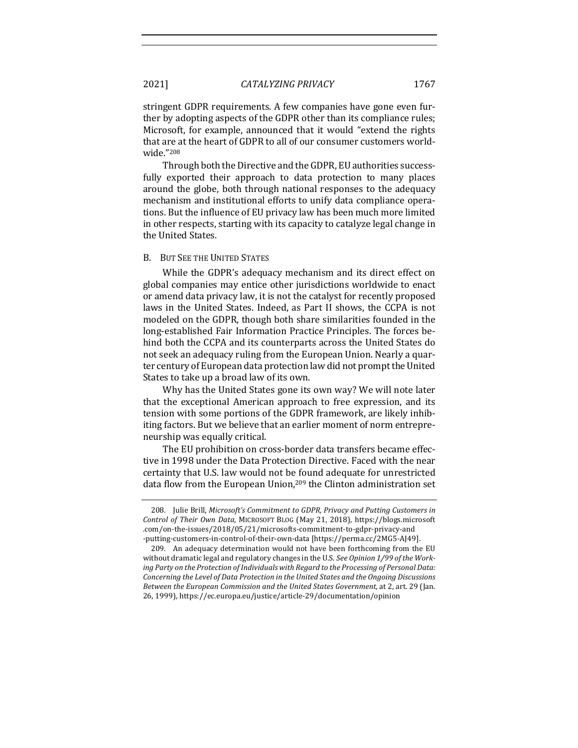stringent GDPR requirements. A few companies have gone even further by adopting aspects of the GDPR other than its compliance rules; Microsoft, for example, announced that it would "extend the rights that are at the heart of GDPR to all of our consumer customers worldwide."208

Through both the Directive and the GDPR, EU authorities successfully exported their approach to data protection to many places around the globe, both through national responses to the adequacy mechanism and institutional efforts to unify data compliance operations. But the influence of EU privacy law has been much more limited in other respects, starting with its capacity to catalyze legal change in the United States.

#### B. BUT SEE THE UNITED STATES

While the GDPR's adequacy mechanism and its direct effect on global companies may entice other jurisdictions worldwide to enact or amend data privacy law, it is not the catalyst for recently proposed laws in the United States. Indeed, as Part II shows, the CCPA is not modeled on the GDPR, though both share similarities founded in the long-established Fair Information Practice Principles. The forces behind both the CCPA and its counterparts across the United States do not seek an adequacy ruling from the European Union. Nearly a quarter century of European data protection law did not prompt the United States to take up a broad law of its own.

Why has the United States gone its own way? We will note later that the exceptional American approach to free expression, and its tension with some portions of the GDPR framework, are likely inhibiting factors. But we believe that an earlier moment of norm entrepreneurship was equally critical.

The EU prohibition on cross-border data transfers became effective in 1998 under the Data Protection Directive. Faced with the near certainty that U.S. law would not be found adequate for unrestricted data flow from the European Union,<sup>209</sup> the Clinton administration set

<sup>208.</sup> Julie Brill, Microsoft's Commitment to GDPR, Privacy and Putting Customers in *Control of Their Own Data*, MICROSOFT BLOG (May 21, 2018), https://blogs.microsoft .com/on-the-issues/2018/05/21/microsofts-commitment-to-gdpr-privacy-and -putting-customers-in-control-of-their-own-data [https://perma.cc/2MG5-AJ49].

<sup>209.</sup> An adequacy determination would not have been forthcoming from the EU without dramatic legal and regulatory changes in the U.S. See Opinion 1/99 of the Work*ing Party on the Protection of Individuals with Regard to the Processing of Personal Data: Concerning the Level of Data Protection in the United States and the Ongoing Discussions Between the European Commission and the United States Government*, at 2, art. 29 (Jan. 26, 1999), https://ec.europa.eu/justice/article-29/documentation/opinion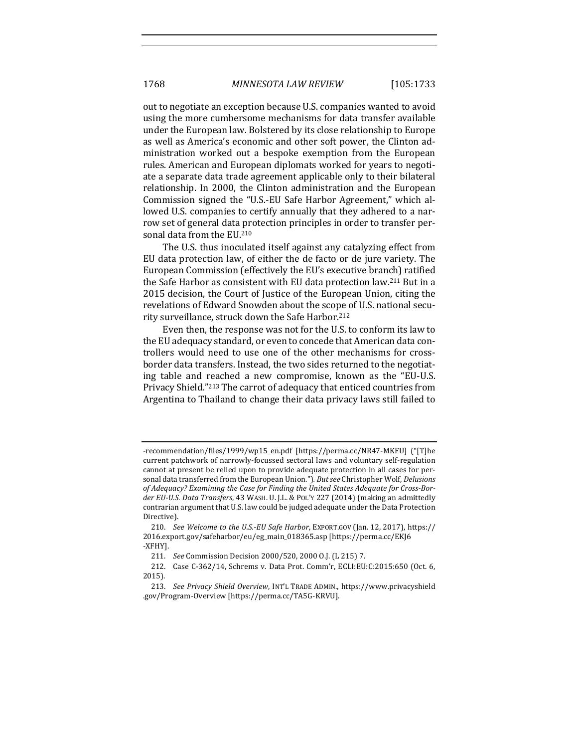out to negotiate an exception because U.S. companies wanted to avoid using the more cumbersome mechanisms for data transfer available under the European law. Bolstered by its close relationship to Europe as well as America's economic and other soft power, the Clinton administration worked out a bespoke exemption from the European rules. American and European diplomats worked for years to negotiate a separate data trade agreement applicable only to their bilateral relationship. In 2000, the Clinton administration and the European Commission signed the "U.S.-EU Safe Harbor Agreement," which allowed U.S. companies to certify annually that they adhered to a narrow set of general data protection principles in order to transfer personal data from the EU.<sup>210</sup>

The U.S. thus inoculated itself against any catalyzing effect from EU data protection law, of either the de facto or de jure variety. The European Commission (effectively the EU's executive branch) ratified the Safe Harbor as consistent with EU data protection law.<sup>211</sup> But in a 2015 decision, the Court of Justice of the European Union, citing the revelations of Edward Snowden about the scope of U.S. national security surveillance, struck down the Safe Harbor.<sup>212</sup>

Even then, the response was not for the U.S. to conform its law to the EU adequacy standard, or even to concede that American data controllers would need to use one of the other mechanisms for crossborder data transfers. Instead, the two sides returned to the negotiating table and reached a new compromise, known as the "EU-U.S. Privacy Shield."<sup>213</sup> The carrot of adequacy that enticed countries from Argentina to Thailand to change their data privacy laws still failed to

<sup>-</sup>recommendation/files/1999/wp15\_en.pdf [https://perma.cc/NR47-MKFU] ("[T]he current patchwork of narrowly-focussed sectoral laws and voluntary self-regulation cannot at present be relied upon to provide adequate protection in all cases for personal data transferred from the European Union."). But see Christopher Wolf, *Delusions* of Adequacy? Examining the Case for Finding the United States Adequate for Cross-Border EU-U.S. Data Transfers, 43 WASH. U. J.L. & P0L'Y 227 (2014) (making an admittedly contrarian argument that U.S. law could be judged adequate under the Data Protection Directive).

<sup>210.</sup> *See Welcome to the U.S.-EU Safe Harbor*, EXPORT.GOV (Jan. 12, 2017), https:// 2016.export.gov/safeharbor/eu/eg\_main\_018365.asp [https://perma.cc/EKJ6 -XFHY].

<sup>211.</sup> *See* Commission Decision 2000/520, 2000 O.J. (L 215) 7.

<sup>212.</sup> Case C-362/14, Schrems v. Data Prot. Comm'r, ECLI:EU:C:2015:650 (Oct. 6, 2015).

<sup>213.</sup> *See Privacy Shield Overview*, INT'L TRADE ADMIN., https://www.privacyshield .gov/Program-Overview [https://perma.cc/TA5G-KRVU].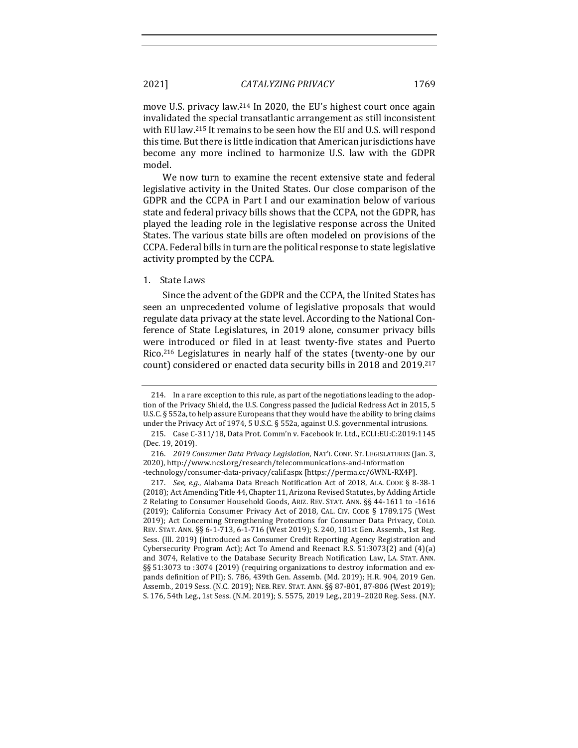move U.S. privacy law.<sup>214</sup> In 2020, the EU's highest court once again invalidated the special transatlantic arrangement as still inconsistent with EU law.<sup>215</sup> It remains to be seen how the EU and U.S. will respond this time. But there is little indication that American jurisdictions have

We now turn to examine the recent extensive state and federal legislative activity in the United States. Our close comparison of the GDPR and the CCPA in Part I and our examination below of various state and federal privacy bills shows that the CCPA, not the GDPR, has played the leading role in the legislative response across the United States. The various state bills are often modeled on provisions of the CCPA. Federal bills in turn are the political response to state legislative activity prompted by the CCPA.

become any more inclined to harmonize U.S. law with the GDPR

#### 1. State Laws

Since the advent of the GDPR and the CCPA, the United States has seen an unprecedented volume of legislative proposals that would regulate data privacy at the state level. According to the National Conference of State Legislatures, in 2019 alone, consumer privacy bills were introduced or filed in at least twenty-five states and Puerto Rico.<sup>216</sup> Legislatures in nearly half of the states (twenty-one by our count) considered or enacted data security bills in 2018 and 2019.<sup>217</sup>

model.

<sup>214.</sup> In a rare exception to this rule, as part of the negotiations leading to the adoption of the Privacy Shield, the U.S. Congress passed the Judicial Redress Act in 2015, 5 U.S.C. § 552a, to help assure Europeans that they would have the ability to bring claims under the Privacy Act of 1974, 5 U.S.C.  $\S$  552a, against U.S. governmental intrusions.

<sup>215.</sup> Case C-311/18, Data Prot. Comm'n v. Facebook Ir. Ltd., ECLI:EU:C:2019:1145 (Dec. 19, 2019).

<sup>216.</sup> *2019 Consumer Data Privacy Legislation*, NAT'L CONF. ST. LEGISLATURES (Jan. 3, 2020), http://www.ncsl.org/research/telecommunications-and-information -technology/consumer-data-privacy/calif.aspx [https://perma.cc/6WNL-RX4P].

<sup>217.</sup> *See, e.g.*, Alabama Data Breach Notification Act of 2018, ALA. CODE § 8-38-1 (2018); Act Amending Title 44, Chapter 11, Arizona Revised Statutes, by Adding Article 2 Relating to Consumer Household Goods, ARIZ. REV. STAT. ANN. §§ 44-1611 to -1616 (2019); California Consumer Privacy Act of 2018, CAL. CIV. CODE  $\S$  1789.175 (West 2019); Act Concerning Strengthening Protections for Consumer Data Privacy, COLO. REV. STAT. ANN. §§ 6-1-713, 6-1-716 (West 2019); S. 240, 101st Gen. Assemb., 1st Reg. Sess. (Ill. 2019) (introduced as Consumer Credit Reporting Agency Registration and Cybersecurity Program Act); Act To Amend and Reenact R.S. 51:3073(2) and  $(4)(a)$ and 3074, Relative to the Database Security Breach Notification Law, LA. STAT. ANN.  $\S$ § 51:3073 to :3074 (2019) (requiring organizations to destroy information and expands definition of PII); S. 786, 439th Gen. Assemb. (Md. 2019); H.R. 904, 2019 Gen. Assemb., 2019 Sess. (N.C. 2019); NEB. REV. STAT. ANN. §§ 87-801, 87-806 (West 2019); S. 176, 54th Leg., 1st Sess. (N.M. 2019); S. 5575, 2019 Leg., 2019-2020 Reg. Sess. (N.Y.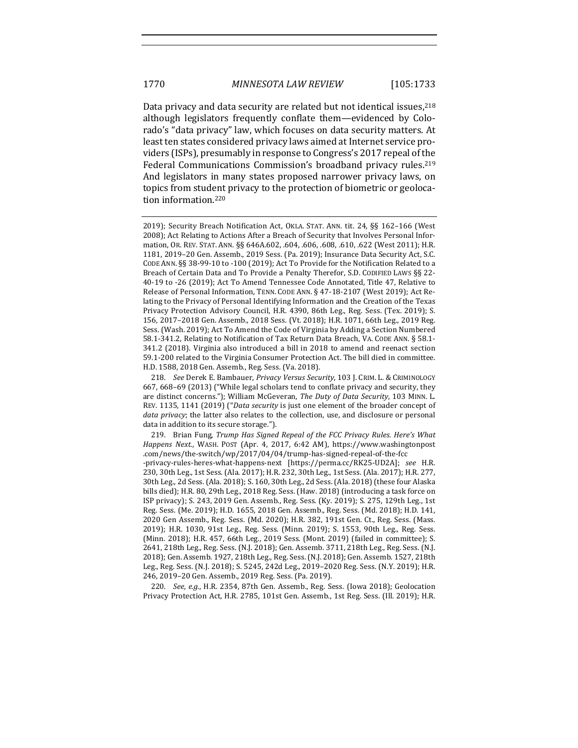Data privacy and data security are related but not identical issues, <sup>218</sup> although legislators frequently conflate them—evidenced by Colorado's "data privacy" law, which focuses on data security matters. At least ten states considered privacy laws aimed at Internet service providers (ISPs), presumably in response to Congress's 2017 repeal of the Federal Communications Commission's broadband privacy rules.<sup>219</sup> And legislators in many states proposed narrower privacy laws, on topics from student privacy to the protection of biometric or geolocation information.<sup>220</sup>

219. Brian Fung, *Trump Has Signed Repeal of the FCC Privacy Rules. Here's What* Happens Next., WASH. POST (Apr. 4, 2017, 6:42 AM), https://www.washingtonpost .com/news/the-switch/wp/2017/04/04/trump-has-signed-repeal-of-the-fcc -privacy-rules-heres-what-happens-next [https://perma.cc/RK25-UD2A]; *see* H.R. 230, 30th Leg., 1st Sess. (Ala. 2017); H.R. 232, 30th Leg., 1st Sess. (Ala. 2017); H.R. 277, 30th Leg., 2d Sess. (Ala. 2018); S. 160, 30th Leg., 2d Sess. (Ala. 2018) (these four Alaska bills died); H.R. 80, 29th Leg., 2018 Reg. Sess. (Haw. 2018) (introducing a task force on ISP privacy); S. 243, 2019 Gen. Assemb., Reg. Sess. (Ky. 2019); S. 275, 129th Leg., 1st Reg. Sess. (Me. 2019); H.D. 1655, 2018 Gen. Assemb., Reg. Sess. (Md. 2018); H.D. 141, 2020 Gen Assemb., Reg. Sess. (Md. 2020); H.R. 382, 191st Gen. Ct., Reg. Sess. (Mass. 2019); H.R. 1030, 91st Leg., Reg. Sess. (Minn. 2019); S. 1553, 90th Leg., Reg. Sess. (Minn. 2018); H.R. 457, 66th Leg., 2019 Sess. (Mont. 2019) (failed in committee); S. 2641, 218th Leg., Reg. Sess. (N.J. 2018); Gen. Assemb. 3711, 218th Leg., Reg. Sess. (N.J. 2018); Gen. Assemb. 1927, 218th Leg., Reg. Sess. (N.J. 2018); Gen. Assemb. 1527, 218th Leg., Reg. Sess. (N.J. 2018); S. 5245, 242d Leg., 2019-2020 Reg. Sess. (N.Y. 2019); H.R. 246, 2019-20 Gen. Assemb., 2019 Reg. Sess. (Pa. 2019).

220. *See, e.g.*, H.R. 2354, 87th Gen. Assemb., Reg. Sess. (Iowa 2018); Geolocation Privacy Protection Act, H.R. 2785, 101st Gen. Assemb., 1st Reg. Sess. (Ill. 2019); H.R.

<sup>2019);</sup> Security Breach Notification Act, OKLA. STAT. ANN. tit. 24, §§ 162-166 (West 2008); Act Relating to Actions After a Breach of Security that Involves Personal Information, OR. REV. STAT. ANN. §§ 646A.602, .604, .606, .608, .610, .622 (West 2011); H.R. 1181, 2019-20 Gen. Assemb., 2019 Sess. (Pa. 2019); Insurance Data Security Act, S.C. CODE ANN. §§ 38-99-10 to -100 (2019); Act To Provide for the Notification Related to a Breach of Certain Data and To Provide a Penalty Therefor, S.D. CODIFIED LAWS §§ 22-40-19 to -26 (2019); Act To Amend Tennessee Code Annotated, Title 47, Relative to Release of Personal Information, TENN. CODE ANN. § 47-18-2107 (West 2019); Act Relating to the Privacy of Personal Identifying Information and the Creation of the Texas Privacy Protection Advisory Council, H.R. 4390, 86th Leg., Reg. Sess. (Tex. 2019); S. 156, 2017-2018 Gen. Assemb., 2018 Sess. (Vt. 2018); H.R. 1071, 66th Leg., 2019 Reg. Sess. (Wash. 2019); Act To Amend the Code of Virginia by Adding a Section Numbered 58.1-341.2, Relating to Notification of Tax Return Data Breach, VA. CODE ANN. § 58.1-341.2 (2018). Virginia also introduced a bill in 2018 to amend and reenact section 59.1-200 related to the Virginia Consumer Protection Act. The bill died in committee. H.D. 1588, 2018 Gen. Assemb., Reg. Sess. (Va. 2018).

<sup>218.</sup> *See* Derek E. Bambauer, *Privacy Versus Security*, 103 J. CRIM. L. & CRIMINOLOGY 667, 668–69 (2013) ("While legal scholars tend to conflate privacy and security, they are distinct concerns."); William McGeveran, *The Duty of Data Security*, 103 MINN. L. REV. 1135, 1141 (2019) ("Data security is just one element of the broader concept of *data privacy*; the latter also relates to the collection, use, and disclosure or personal data in addition to its secure storage.").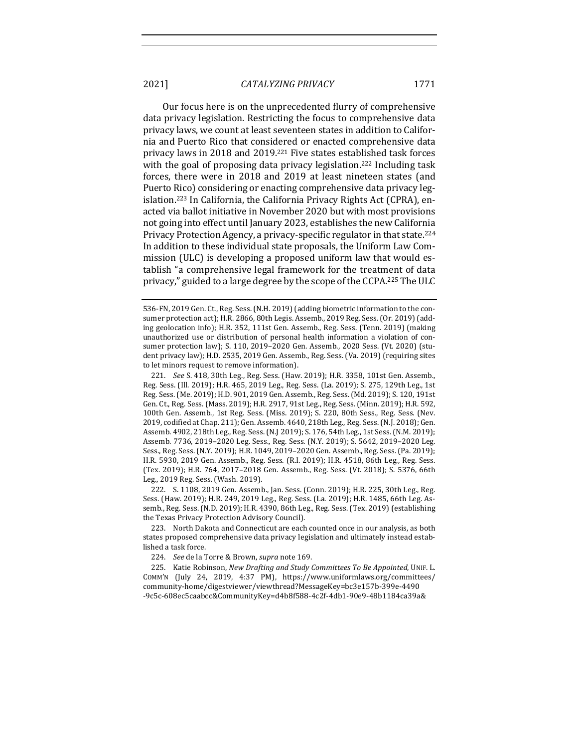Our focus here is on the unprecedented flurry of comprehensive data privacy legislation. Restricting the focus to comprehensive data privacy laws, we count at least seventeen states in addition to California and Puerto Rico that considered or enacted comprehensive data privacy laws in 2018 and 2019.<sup>221</sup> Five states established task forces with the goal of proposing data privacy legislation.<sup>222</sup> Including task forces, there were in 2018 and 2019 at least nineteen states (and Puerto Rico) considering or enacting comprehensive data privacy legislation.<sup>223</sup> In California, the California Privacy Rights Act (CPRA), enacted via ballot initiative in November 2020 but with most provisions not going into effect until January 2023, establishes the new California Privacy Protection Agency, a privacy-specific regulator in that state.<sup>224</sup> In addition to these individual state proposals, the Uniform Law Commission (ULC) is developing a proposed uniform law that would establish "a comprehensive legal framework for the treatment of data privacy," guided to a large degree by the scope of the CCPA.<sup>225</sup> The ULC

221. *See* S. 418, 30th Leg., Reg. Sess. (Haw. 2019); H.R. 3358, 101st Gen. Assemb., Reg. Sess. (Ill. 2019); H.R. 465, 2019 Leg., Reg. Sess. (La. 2019); S. 275, 129th Leg., 1st Reg. Sess. (Me. 2019); H.D. 901, 2019 Gen. Assemb., Reg. Sess. (Md. 2019); S. 120, 191st Gen. Ct., Reg. Sess. (Mass. 2019); H.R. 2917, 91st Leg., Reg. Sess. (Minn. 2019); H.R. 592, 100th Gen. Assemb., 1st Reg. Sess. (Miss. 2019); S. 220, 80th Sess., Reg. Sess. (Nev. 2019, codified at Chap. 211); Gen. Assemb. 4640, 218th Leg., Reg. Sess. (N.J. 2018); Gen. Assemb. 4902, 218th Leg., Reg. Sess. (N.J 2019); S. 176, 54th Leg., 1st Sess. (N.M. 2019); Assemb. 7736, 2019-2020 Leg. Sess., Reg. Sess. (N.Y. 2019); S. 5642, 2019-2020 Leg. Sess., Reg. Sess. (N.Y. 2019); H.R. 1049, 2019-2020 Gen. Assemb., Reg. Sess. (Pa. 2019); H.R. 5930, 2019 Gen. Assemb., Reg. Sess. (R.I. 2019); H.R. 4518, 86th Leg., Reg. Sess. (Tex. 2019); H.R. 764, 2017-2018 Gen. Assemb., Reg. Sess. (Vt. 2018); S. 5376, 66th Leg., 2019 Reg. Sess. (Wash. 2019).

222. S. 1108, 2019 Gen. Assemb., Jan. Sess. (Conn. 2019); H.R. 225, 30th Leg., Reg. Sess. (Haw. 2019); H.R. 249, 2019 Leg., Reg. Sess. (La. 2019); H.R. 1485, 66th Leg. Assemb., Reg. Sess. (N.D. 2019); H.R. 4390, 86th Leg., Reg. Sess. (Tex. 2019) (establishing the Texas Privacy Protection Advisory Council).

223. North Dakota and Connecticut are each counted once in our analysis, as both states proposed comprehensive data privacy legislation and ultimately instead established a task force.

224. *See* de la Torre & Brown, *supra* note 169.

225. Katie Robinson, *New Drafting and Study Committees To Be Appointed*, UNIF. L. COMM'N (July 24, 2019, 4:37 PM), https://www.uniformlaws.org/committees/ community-home/digestviewer/viewthread?MessageKey=bc3e157b-399e-4490 -9c5c-608ec5caabcc&CommunityKey=d4b8f588-4c2f-4db1-90e9-48b1184ca39a&

<sup>536-</sup>FN, 2019 Gen. Ct., Reg. Sess. (N.H. 2019) (adding biometric information to the consumer protection act); H.R. 2866, 80th Legis. Assemb., 2019 Reg. Sess. (Or. 2019) (adding geolocation info); H.R. 352, 111st Gen. Assemb., Reg. Sess. (Tenn. 2019) (making unauthorized use or distribution of personal health information a violation of consumer protection law); S. 110, 2019–2020 Gen. Assemb., 2020 Sess. (Vt. 2020) (student privacy law); H.D. 2535, 2019 Gen. Assemb., Reg. Sess. (Va. 2019) (requiring sites to let minors request to remove information).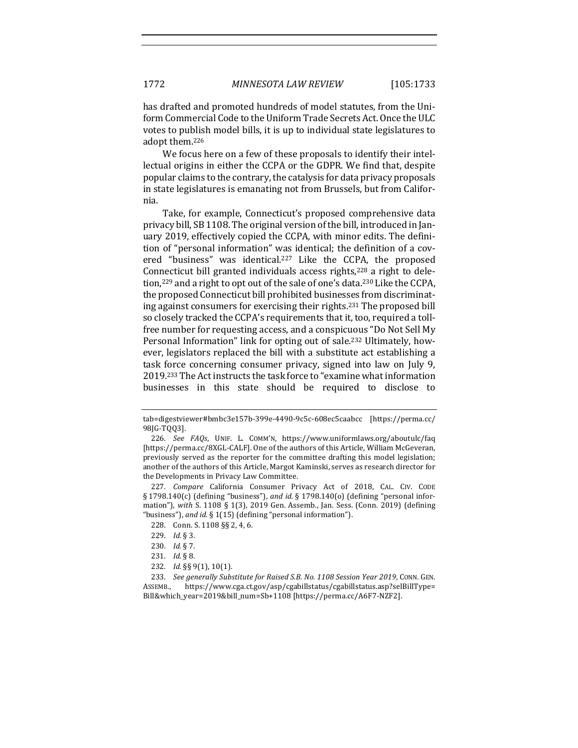has drafted and promoted hundreds of model statutes, from the Uniform Commercial Code to the Uniform Trade Secrets Act. Once the ULC votes to publish model bills, it is up to individual state legislatures to adopt them.<sup>226</sup>

We focus here on a few of these proposals to identify their intellectual origins in either the CCPA or the GDPR. We find that, despite popular claims to the contrary, the catalysis for data privacy proposals in state legislatures is emanating not from Brussels, but from California.

Take, for example, Connecticut's proposed comprehensive data privacy bill, SB 1108. The original version of the bill, introduced in January 2019, effectively copied the CCPA, with minor edits. The definition of "personal information" was identical; the definition of a covered "business" was identical.<sup>227</sup> Like the CCPA, the proposed Connecticut bill granted individuals access rights, $228$  a right to deletion,<sup>229</sup> and a right to opt out of the sale of one's data.<sup>230</sup> Like the CCPA, the proposed Connecticut bill prohibited businesses from discriminating against consumers for exercising their rights.<sup>231</sup> The proposed bill so closely tracked the CCPA's requirements that it, too, required a tollfree number for requesting access, and a conspicuous "Do Not Sell My Personal Information" link for opting out of sale.<sup>232</sup> Ultimately, however, legislators replaced the bill with a substitute act establishing a task force concerning consumer privacy, signed into law on July 9, 2019.<sup>233</sup> The Act instructs the task force to "examine what information businesses in this state should be required to disclose to

227. *Compare* California Consumer Privacy Act of 2018, CAL. CIV. CODE  $\S 1798.140(c)$  (defining "business"), and *id.*  $\S 1798.140(o)$  (defining "personal information"), with S. 1108 § 1(3), 2019 Gen. Assemb., Jan. Sess. (Conn. 2019) (defining "business"), and *id.* § 1(15) (defining "personal information").

233. *See generally Substitute for Raised S.B. No. 1108 Session Year 2019, CONN. GEN.* ASSEMB., https://www.cga.ct.gov/asp/cgabillstatus/cgabillstatus.asp?selBillType= Bill&which\_year=2019&bill\_num=Sb+1108 [https://perma.cc/A6F7-NZF2].

tab=digestviewer#bmbc3e157b-399e-4490-9c5c-608ec5caabcc [https://perma.cc/ 98JG-TQQ3].

<sup>226.</sup> *See FAQs*, UNIF. L. COMM'N, https://www.uniformlaws.org/aboutulc/faq [https://perma.cc/8XGL-CALF]. One of the authors of this Article, William McGeveran, previously served as the reporter for the committee drafting this model legislation; another of the authors of this Article, Margot Kaminski, serves as research director for the Developments in Privacy Law Committee.

<sup>228.</sup> Conn. S. 1108 §§ 2, 4, 6.

<sup>229.</sup> *Id.* § 3.

<sup>230.</sup> *Id.* § 7.

<sup>231.</sup> *Id.* § 8.

<sup>232.</sup> *Id.* §§ 9(1), 10(1).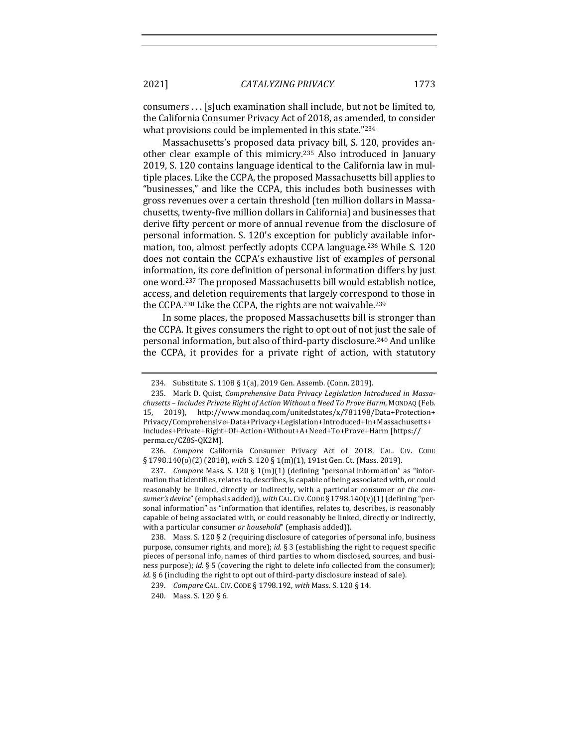consumers . . . [s] uch examination shall include, but not be limited to, the California Consumer Privacy Act of 2018, as amended, to consider what provisions could be implemented in this state."234

Massachusetts's proposed data privacy bill, S. 120, provides another clear example of this mimicry.<sup>235</sup> Also introduced in January 2019, S. 120 contains language identical to the California law in multiple places. Like the CCPA, the proposed Massachusetts bill applies to "businesses," and like the CCPA, this includes both businesses with gross revenues over a certain threshold (ten million dollars in Massachusetts, twenty-five million dollars in California) and businesses that derive fifty percent or more of annual revenue from the disclosure of personal information. S. 120's exception for publicly available information, too, almost perfectly adopts CCPA language.<sup>236</sup> While S. 120 does not contain the CCPA's exhaustive list of examples of personal information, its core definition of personal information differs by just one word.<sup>237</sup> The proposed Massachusetts bill would establish notice, access, and deletion requirements that largely correspond to those in the CCPA.<sup>238</sup> Like the CCPA, the rights are not waivable.<sup>239</sup>

In some places, the proposed Massachusetts bill is stronger than the CCPA. It gives consumers the right to opt out of not just the sale of personal information, but also of third-party disclosure.<sup>240</sup> And unlike the CCPA, it provides for a private right of action, with statutory

236. *Compare* California Consumer Privacy Act of 2018, CAL. CIV. CODE § 1798.140(o)(2) (2018), with S. 120 § 1(m)(1), 191st Gen. Ct. (Mass. 2019).

237. *Compare* Mass. S. 120 §  $1(m)(1)$  (defining "personal information" as "information that identifies, relates to, describes, is capable of being associated with, or could reasonably be linked, directly or indirectly, with a particular consumer or the consumer's device" (emphasis added)), with CAL. CIV. CODE § 1798.140(v)(1) (defining "personal information" as "information that identifies, relates to, describes, is reasonably capable of being associated with, or could reasonably be linked, directly or indirectly, with a particular consumer or household" (emphasis added)).

238. Mass. S. 120 § 2 (requiring disclosure of categories of personal info, business purpose, consumer rights, and more); *id.* § 3 (establishing the right to request specific pieces of personal info, names of third parties to whom disclosed, sources, and business purpose); *id.* § 5 (covering the right to delete info collected from the consumer); *id.* § 6 (including the right to opt out of third-party disclosure instead of sale).

<sup>234.</sup> Substitute S. 1108 § 1(a), 2019 Gen. Assemb. (Conn. 2019).

<sup>235.</sup> Mark D. Quist, *Comprehensive Data Privacy Legislation Introduced in Massachusetts – Includes Private Right of Action Without a Need To Prove Harm*, MONDAQ (Feb. 15, 2019), http://www.mondaq.com/unitedstates/x/781198/Data+Protection+ Privacy/Comprehensive+Data+Privacy+Legislation+Introduced+In+Massachusetts+ Includes+Private+Right+Of+Action+Without+A+Need+To+Prove+Harm [https:// perma.cc/CZ8S-QK2M].

<sup>239.</sup> *Compare CAL. CIV. CODE §* 1798.192, *with Mass. S.* 120 § 14.

<sup>240.</sup> Mass. S. 120 § 6.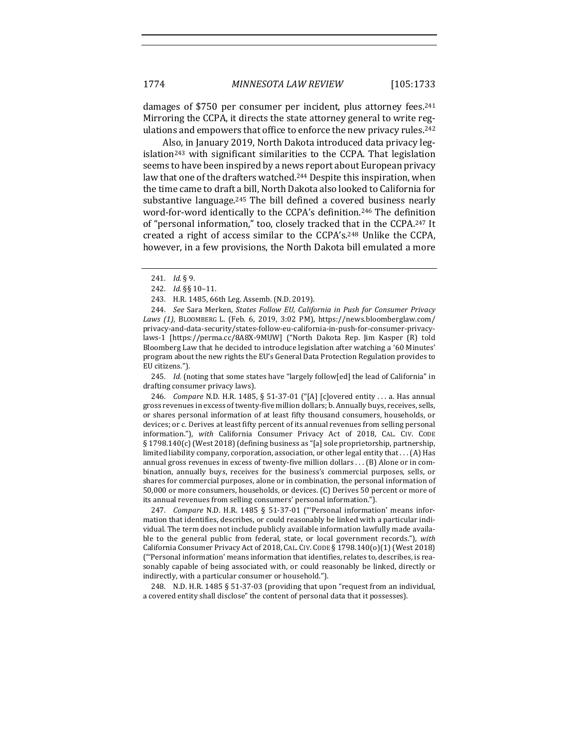damages of \$750 per consumer per incident, plus attorney fees.<sup>241</sup> Mirroring the CCPA, it directs the state attorney general to write regulations and empowers that office to enforce the new privacy rules.<sup>242</sup>

Also, in January 2019, North Dakota introduced data privacy leg $islation<sup>243</sup>$  with significant similarities to the CCPA. That legislation seems to have been inspired by a news report about European privacy law that one of the drafters watched.<sup>244</sup> Despite this inspiration, when the time came to draft a bill, North Dakota also looked to California for substantive language.<sup>245</sup> The bill defined a covered business nearly word-for-word identically to the CCPA's definition.<sup>246</sup> The definition of "personal information," too, closely tracked that in the CCPA.<sup>247</sup> It created a right of access similar to the CCPA's.<sup>248</sup> Unlike the CCPA, however, in a few provisions, the North Dakota bill emulated a more

245. *Id.* (noting that some states have "largely follow[ed] the lead of California" in drafting consumer privacy laws).

246. *Compare* N.D. H.R. 1485, § 51-37-01 ("[A] [c]overed entity ... a. Has annual gross revenues in excess of twenty-five million dollars; b. Annually buys, receives, sells, or shares personal information of at least fifty thousand consumers, households, or devices; or c. Derives at least fifty percent of its annual revenues from selling personal information."), *with* California Consumer Privacy Act of 2018, CAL. CIV. CODE § 1798.140(c) (West 2018) (defining business as "[a] sole proprietorship, partnership, limited liability company, corporation, association, or other legal entity that  $\dots$  (A) Has annual gross revenues in excess of twenty-five million dollars . . . (B) Alone or in combination, annually buys, receives for the business's commercial purposes, sells, or shares for commercial purposes, alone or in combination, the personal information of 50,000 or more consumers, households, or devices. (C) Derives 50 percent or more of its annual revenues from selling consumers' personal information.").

247. *Compare* N.D. H.R. 1485 § 51-37-01 ("'Personal information' means information that identifies, describes, or could reasonably be linked with a particular individual. The term does not include publicly available information lawfully made available to the general public from federal, state, or local government records."), with California Consumer Privacy Act of 2018, CAL. CIV. CODE § 1798.140(o)(1) (West 2018)  $"$ "Personal information' means information that identifies, relates to, describes, is reasonably capable of being associated with, or could reasonably be linked, directly or indirectly, with a particular consumer or household.").

248. N.D. H.R. 1485  $\S$  51-37-03 (providing that upon "request from an individual, a covered entity shall disclose" the content of personal data that it possesses).

<sup>241.</sup> *Id.* § 9.

<sup>242.</sup> *Id.* §§ 10-11.

<sup>243.</sup> H.R. 1485, 66th Leg. Assemb. (N.D. 2019).

<sup>244.</sup> *See* Sara Merken, *States Follow EU, California in Push for Consumer Privacy* Laws (1), BLOOMBERG L. (Feb. 6, 2019, 3:02 PM), https://news.bloomberglaw.com/ privacy-and-data-security/states-follow-eu-california-in-push-for-consumer-privacylaws-1 [https://perma.cc/8A8X-9MUW] ("North Dakota Rep. Jim Kasper (R) told Bloomberg Law that he decided to introduce legislation after watching a '60 Minutes' program about the new rights the EU's General Data Protection Regulation provides to EU citizens.").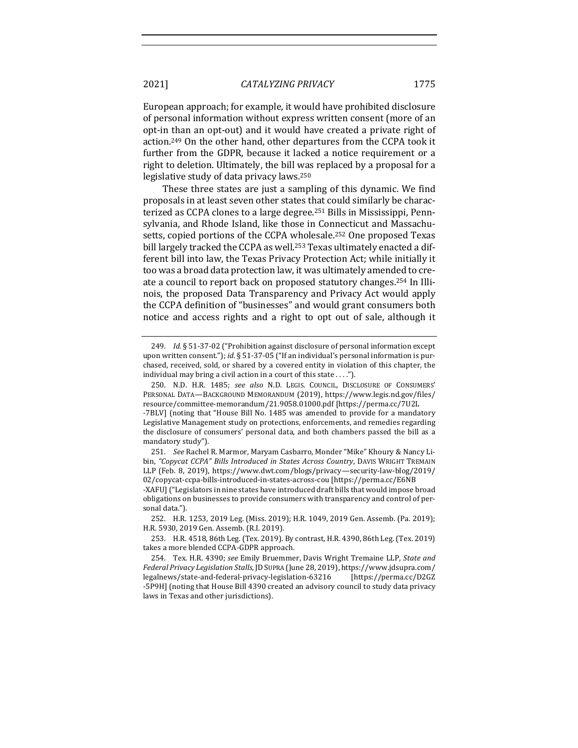European approach; for example, it would have prohibited disclosure of personal information without express written consent (more of an opt-in than an opt-out) and it would have created a private right of action.<sup>249</sup> On the other hand, other departures from the CCPA took it further from the GDPR, because it lacked a notice requirement or a right to deletion. Ultimately, the bill was replaced by a proposal for a legislative study of data privacy laws. $250$ 

These three states are just a sampling of this dynamic. We find proposals in at least seven other states that could similarly be characterized as CCPA clones to a large degree.<sup>251</sup> Bills in Mississippi, Pennsylvania, and Rhode Island, like those in Connecticut and Massachusetts, copied portions of the CCPA wholesale.<sup>252</sup> One proposed Texas bill largely tracked the CCPA as well.<sup>253</sup> Texas ultimately enacted a different bill into law, the Texas Privacy Protection Act; while initially it too was a broad data protection law, it was ultimately amended to create a council to report back on proposed statutory changes.<sup>254</sup> In Illinois, the proposed Data Transparency and Privacy Act would apply the CCPA definition of "businesses" and would grant consumers both notice and access rights and a right to opt out of sale, although it

<sup>249.</sup> *Id.* § 51-37-02 ("Prohibition against disclosure of personal information except upon written consent."); *id.* § 51-37-05 ("If an individual's personal information is purchased, received, sold, or shared by a covered entity in violation of this chapter, the individual may bring a civil action in a court of this state ....").

<sup>250.</sup> N.D. H.R. 1485; see also N.D. LEGIS. COUNCIL, DISCLOSURE OF CONSUMERS' PERSONAL DATA-BACKGROUND MEMORANDUM (2019), https://www.legis.nd.gov/files/ resource/committee-memorandum/21.9058.01000.pdf [https://perma.cc/7U2L

<sup>-7</sup>BLV] (noting that "House Bill No. 1485 was amended to provide for a mandatory Legislative Management study on protections, enforcements, and remedies regarding the disclosure of consumers' personal data, and both chambers passed the bill as a mandatory study").

<sup>251.</sup> *See* Rachel R. Marmor, Maryam Casbarro, Monder "Mike" Khoury & Nancy Libin, "Copycat CCPA" Bills Introduced in States Across Country, DAVIS WRIGHT TREMAIN LLP (Feb. 8, 2019), https://www.dwt.com/blogs/privacy—security-law-blog/2019/ 02/copycat-ccpa-bills-introduced-in-states-across-cou [https://perma.cc/E6NB

<sup>-</sup>XAFU] ("Legislators in nine states have introduced draft bills that would impose broad obligations on businesses to provide consumers with transparency and control of personal data.").

<sup>252.</sup> H.R. 1253, 2019 Leg. (Miss. 2019); H.R. 1049, 2019 Gen. Assemb. (Pa. 2019); H.R. 5930, 2019 Gen. Assemb. (R.I. 2019).

<sup>253.</sup> H.R. 4518, 86th Leg. (Tex. 2019). By contrast, H.R. 4390, 86th Leg. (Tex. 2019) takes a more blended CCPA-GDPR approach.

<sup>254.</sup> Tex. H.R. 4390; see Emily Bruemmer, Davis Wright Tremaine LLP, State and *Federal Privacy Legislation Stalls*, JDSUPRA (June 28, 2019), https://www.jdsupra.com/ legalnews/state-and-federal-privacy-legislation-63216 [https://perma.cc/D2GZ -5P9H] (noting that House Bill 4390 created an advisory council to study data privacy laws in Texas and other jurisdictions).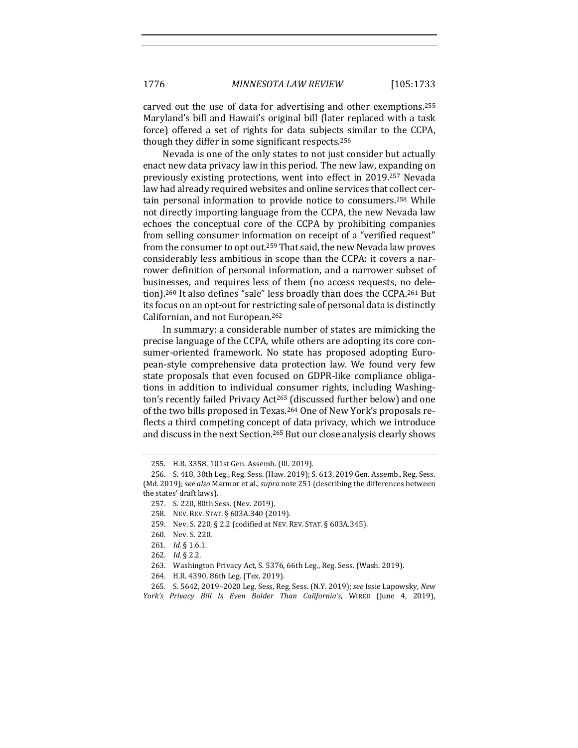carved out the use of data for advertising and other exemptions.<sup>255</sup> Maryland's bill and Hawaii's original bill (later replaced with a task force) offered a set of rights for data subjects similar to the CCPA, though they differ in some significant respects.<sup>256</sup>

Nevada is one of the only states to not just consider but actually enact new data privacy law in this period. The new law, expanding on previously existing protections, went into effect in 2019.<sup>257</sup> Nevada law had already required websites and online services that collect certain personal information to provide notice to consumers.<sup>258</sup> While not directly importing language from the CCPA, the new Nevada law echoes the conceptual core of the CCPA by prohibiting companies from selling consumer information on receipt of a "verified request" from the consumer to opt out.<sup>259</sup> That said, the new Nevada law proves considerably less ambitious in scope than the CCPA: it covers a narrower definition of personal information, and a narrower subset of businesses, and requires less of them (no access requests, no deletion).<sup>260</sup> It also defines "sale" less broadly than does the CCPA.<sup>261</sup> But its focus on an opt-out for restricting sale of personal data is distinctly Californian, and not European.<sup>262</sup>

In summary: a considerable number of states are mimicking the precise language of the CCPA, while others are adopting its core consumer-oriented framework. No state has proposed adopting European-style comprehensive data protection law. We found very few state proposals that even focused on GDPR-like compliance obligations in addition to individual consumer rights, including Washington's recently failed Privacy Act<sup>263</sup> (discussed further below) and one of the two bills proposed in Texas.<sup>264</sup> One of New York's proposals reflects a third competing concept of data privacy, which we introduce and discuss in the next Section.<sup>265</sup> But our close analysis clearly shows

- 263. Washington Privacy Act, S. 5376, 66th Leg., Reg. Sess. (Wash. 2019).
- 264. H.R. 4390, 86th Leg. (Tex. 2019).

265. S. 5642, 2019–2020 Leg. Sess, Reg. Sess. (N.Y. 2019); *see* Issie Lapowsky, *New* 

<sup>255.</sup> H.R. 3358, 101st Gen. Assemb. (Ill. 2019).

<sup>256.</sup> S. 418, 30th Leg., Reg. Sess. (Haw. 2019); S. 613, 2019 Gen. Assemb., Reg. Sess. (Md. 2019); see also Marmor et al., *supra* note 251 (describing the differences between the states' draft laws).

<sup>257.</sup> S. 220, 80th Sess. (Nev. 2019).

<sup>258.</sup> NEV. REV. STAT. § 603A.340 (2019).

<sup>259.</sup> Nev. S. 220, § 2.2 (codified at NEV. REV. STAT. § 603A.345).

<sup>260.</sup> Nev. S. 220.

<sup>261.</sup> *Id.* § 1.6.1.

<sup>262.</sup> *Id.* § 2.2.

*York's Privacy Bill Is Even Bolder Than California's*, WIRED (June 4, 2019),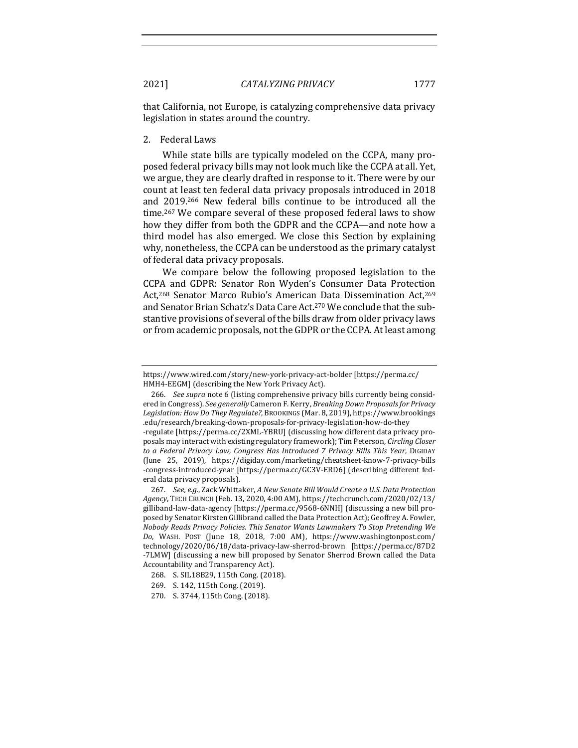that California, not Europe, is catalyzing comprehensive data privacy legislation in states around the country.

2. Federal Laws

While state bills are typically modeled on the CCPA, many proposed federal privacy bills may not look much like the CCPA at all. Yet, we argue, they are clearly drafted in response to it. There were by our count at least ten federal data privacy proposals introduced in 2018 and 2019.<sup>266</sup> New federal bills continue to be introduced all the time.<sup>267</sup> We compare several of these proposed federal laws to show how they differ from both the GDPR and the CCPA—and note how a third model has also emerged. We close this Section by explaining why, nonetheless, the CCPA can be understood as the primary catalyst of federal data privacy proposals.

We compare below the following proposed legislation to the CCPA and GDPR: Senator Ron Wyden's Consumer Data Protection Act,<sup>268</sup> Senator Marco Rubio's American Data Dissemination Act,<sup>269</sup> and Senator Brian Schatz's Data Care Act.<sup>270</sup> We conclude that the substantive provisions of several of the bills draw from older privacy laws or from academic proposals, not the GDPR or the CCPA. At least among

to a Federal Privacy Law, Congress Has Introduced 7 Privacy Bills This Year, DIGIDAY (June 25, 2019), https://digiday.com/marketing/cheatsheet-know-7-privacy-bills -congress-introduced-year [https://perma.cc/GC3V-ERD6] (describing different federal data privacy proposals).

267. *See, e.g.*, Zack Whittaker, A New Senate Bill Would Create a U.S. Data Protection *Agency*, TECH CRUNCH (Feb. 13, 2020, 4:00 AM), https://techcrunch.com/2020/02/13/ gilliband-law-data-agency [https://perma.cc/9568-6NNH] (discussing a new bill proposed by Senator Kirsten Gillibrand called the Data Protection Act); Geoffrey A. Fowler, *Nobody Reads Privacy Policies. This Senator Wants Lawmakers To Stop Pretending We Do*, WASH. POST (June 18, 2018, 7:00 AM), https://www.washingtonpost.com/ technology/2020/06/18/data-privacy-law-sherrod-brown [https://perma.cc/87D2 -7LMW] (discussing a new bill proposed by Senator Sherrod Brown called the Data Accountability and Transparency Act).

https://www.wired.com/story/new-york-privacy-act-bolder [https://perma.cc/ HMH4-EEGM] (describing the New York Privacy Act).

<sup>266.</sup> *See supra* note 6 (listing comprehensive privacy bills currently being considered in Congress). *See generally* Cameron F. Kerry, *Breaking Down Proposals for Privacy* Legislation: How Do They Regulate?, BROOKINGS (Mar. 8, 2019), https://www.brookings .edu/research/breaking-down-proposals-for-privacy-legislation-how-do-they -regulate [https://perma.cc/2XML-YBRU] (discussing how different data privacy proposals may interact with existing regulatory framework); Tim Peterson, *Circling Closer* 

<sup>268.</sup> S. SIL18B29, 115th Cong. (2018).

<sup>269.</sup> S. 142, 115th Cong. (2019).

<sup>270.</sup> S. 3744, 115th Cong. (2018).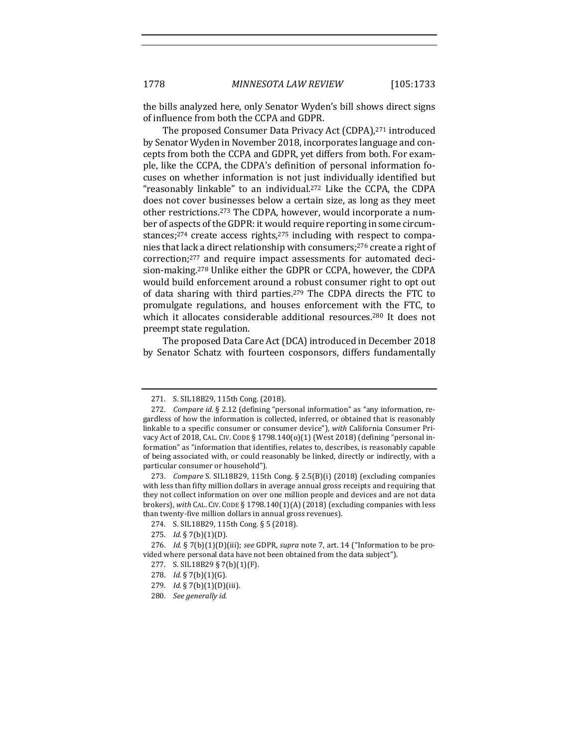the bills analyzed here, only Senator Wyden's bill shows direct signs of influence from both the CCPA and GDPR.

The proposed Consumer Data Privacy Act (CDPA),<sup>271</sup> introduced by Senator Wyden in November 2018, incorporates language and concepts from both the CCPA and GDPR, yet differs from both. For example, like the CCPA, the CDPA's definition of personal information focuses on whether information is not just individually identified but "reasonably linkable" to an individual.<sup>272</sup> Like the CCPA, the CDPA does not cover businesses below a certain size, as long as they meet other restrictions.<sup>273</sup> The CDPA, however, would incorporate a number of aspects of the GDPR: it would require reporting in some circumstances; $274$  create access rights, $275$  including with respect to companies that lack a direct relationship with consumers;<sup>276</sup> create a right of correction;<sup>277</sup> and require impact assessments for automated decision-making.<sup>278</sup> Unlike either the GDPR or CCPA, however, the CDPA would build enforcement around a robust consumer right to opt out of data sharing with third parties.<sup>279</sup> The CDPA directs the FTC to promulgate regulations, and houses enforcement with the FTC, to which it allocates considerable additional resources.<sup>280</sup> It does not preempt state regulation.

The proposed Data Care Act (DCA) introduced in December 2018 by Senator Schatz with fourteen cosponsors, differs fundamentally

278. *Id.* § 7(b)(1)(G).

<sup>271.</sup> S. SIL18B29, 115th Cong. (2018).

<sup>272.</sup> *Compare id.* § 2.12 (defining "personal information" as "any information, regardless of how the information is collected, inferred, or obtained that is reasonably linkable to a specific consumer or consumer device"), with California Consumer Privacy Act of 2018, CAL. CIV. CODE § 1798.140(o)(1) (West 2018) (defining "personal information" as "information that identifies, relates to, describes, is reasonably capable of being associated with, or could reasonably be linked, directly or indirectly, with a particular consumer or household").

<sup>273.</sup> *Compare* S. SIL18B29, 115th Cong. § 2.5(B)(i) (2018) (excluding companies with less than fifty million dollars in average annual gross receipts and requiring that they not collect information on over one million people and devices and are not data brokers), with CAL. CIV. CODE § 1798.140(1)(A) (2018) (excluding companies with less than twenty-five million dollars in annual gross revenues).

<sup>274.</sup> S. SIL18B29, 115th Cong. § 5 (2018).

<sup>275.</sup> *Id.* § 7(b)(1)(D).

<sup>276.</sup> *Id.* § 7(b)(1)(D)(iii); see GDPR, supra note 7, art. 14 ("Information to be provided where personal data have not been obtained from the data subject").

<sup>277.</sup> S. SIL18B29 § 7(b)(1)(F).

<sup>279.</sup> *Id.* § 7(b)(1)(D)(iii).

<sup>280.</sup> *See generally id.*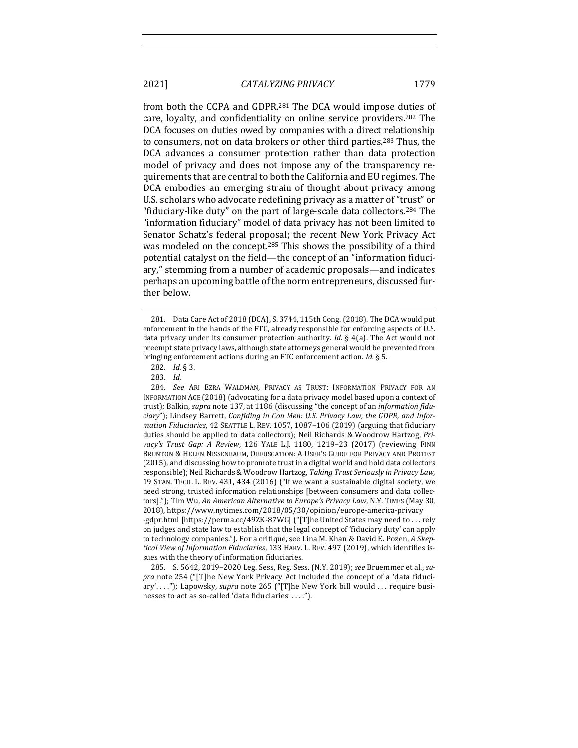from both the CCPA and GDPR.<sup>281</sup> The DCA would impose duties of care, loyalty, and confidentiality on online service providers.<sup>282</sup> The DCA focuses on duties owed by companies with a direct relationship to consumers, not on data brokers or other third parties.<sup>283</sup> Thus, the DCA advances a consumer protection rather than data protection model of privacy and does not impose any of the transparency requirements that are central to both the California and EU regimes. The DCA embodies an emerging strain of thought about privacy among

U.S. scholars who advocate redefining privacy as a matter of "trust" or "fiduciary-like duty" on the part of large-scale data collectors.<sup>284</sup> The "information fiduciary" model of data privacy has not been limited to Senator Schatz's federal proposal; the recent New York Privacy Act was modeled on the concept.<sup>285</sup> This shows the possibility of a third potential catalyst on the field—the concept of an "information fiduciary," stemming from a number of academic proposals—and indicates perhaps an upcoming battle of the norm entrepreneurs, discussed further below.

282. *Id.* § 3.

tical View of Information Fiduciaries, 133 HARV. L. REV. 497 (2019), which identifies issues with the theory of information fiduciaries.

285. S. 5642, 2019-2020 Leg. Sess, Reg. Sess. (N.Y. 2019); see Bruemmer et al., su*pra* note 254 ("[T]he New York Privacy Act included the concept of a 'data fiduciary'...."); Lapowsky, *supra* note 265 ("[T]he New York bill would ... require businesses to act as so-called 'data fiduciaries' ....").

<sup>281.</sup> Data Care Act of 2018 (DCA), S. 3744, 115th Cong. (2018). The DCA would put enforcement in the hands of the FTC, already responsible for enforcing aspects of U.S. data privacy under its consumer protection authority. *Id.* § 4(a). The Act would not preempt state privacy laws, although state attorneys general would be prevented from bringing enforcement actions during an FTC enforcement action. *Id.* § 5.

<sup>283.</sup> *Id.*

<sup>284.</sup> See ARI EZRA WALDMAN, PRIVACY AS TRUST: INFORMATION PRIVACY FOR AN INFORMATION AGE (2018) (advocating for a data privacy model based upon a context of trust); Balkin, *supra* note 137, at 1186 (discussing "the concept of an *information fidu*ciary"); Lindsey Barrett, Confiding in Con Men: U.S. Privacy Law, the GDPR, and Infor*mation Fiduciaries*, 42 SEATTLE L. REV. 1057, 1087-106 (2019) (arguing that fiduciary duties should be applied to data collectors); Neil Richards & Woodrow Hartzog, Pri*vacy's Trust Gap: A Review, 126 YALE L.J. 1180, 1219-23 (2017)* (reviewing FINN BRUNTON & HELEN NISSENBAUM, OBFUSCATION: A USER'S GUIDE FOR PRIVACY AND PROTEST (2015), and discussing how to promote trust in a digital world and hold data collectors responsible); Neil Richards & Woodrow Hartzog, Taking Trust Seriously in Privacy Law, 19 STAN. TECH. L. REV. 431, 434 (2016) ("If we want a sustainable digital society, we need strong, trusted information relationships [between consumers and data collectors]."); Tim Wu, An American Alternative to Europe's Privacy Law, N.Y. TIMES (May 30, 2018), https://www.nytimes.com/2018/05/30/opinion/europe-america-privacy -gdpr.html [https://perma.cc/49ZK-87WG] ("[T]he United States may need to ... rely on judges and state law to establish that the legal concept of 'fiduciary duty' can apply to technology companies."). For a critique, see Lina M. Khan & David E. Pozen, *A Skep-*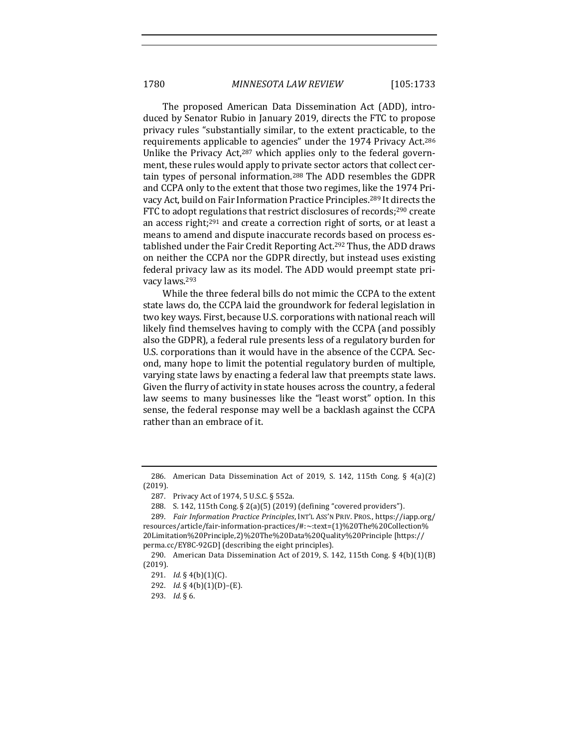The proposed American Data Dissemination Act (ADD), introduced by Senator Rubio in January 2019, directs the FTC to propose privacy rules "substantially similar, to the extent practicable, to the requirements applicable to agencies" under the 1974 Privacy Act.<sup>286</sup> Unlike the Privacy Act, $287$  which applies only to the federal government, these rules would apply to private sector actors that collect certain types of personal information.<sup>288</sup> The ADD resembles the GDPR and CCPA only to the extent that those two regimes, like the 1974 Privacy Act, build on Fair Information Practice Principles.<sup>289</sup> It directs the FTC to adopt regulations that restrict disclosures of records;<sup>290</sup> create an access right;<sup>291</sup> and create a correction right of sorts, or at least a means to amend and dispute inaccurate records based on process established under the Fair Credit Reporting Act.<sup>292</sup> Thus, the ADD draws on neither the CCPA nor the GDPR directly, but instead uses existing federal privacy law as its model. The ADD would preempt state privacy laws.<sup>293</sup>

While the three federal bills do not mimic the CCPA to the extent state laws do, the CCPA laid the groundwork for federal legislation in two key ways. First, because U.S. corporations with national reach will likely find themselves having to comply with the CCPA (and possibly also the GDPR), a federal rule presents less of a regulatory burden for U.S. corporations than it would have in the absence of the CCPA. Second, many hope to limit the potential regulatory burden of multiple, varying state laws by enacting a federal law that preempts state laws. Given the flurry of activity in state houses across the country, a federal law seems to many businesses like the "least worst" option. In this sense, the federal response may well be a backlash against the CCPA rather than an embrace of it.

<sup>286.</sup> American Data Dissemination Act of 2019, S. 142, 115th Cong. §  $4(a)(2)$ (2019).

<sup>287.</sup> Privacy Act of 1974, 5 U.S.C. § 552a.

<sup>288.</sup> S. 142, 115th Cong. § 2(a)(5) (2019) (defining "covered providers").

<sup>289.</sup> *Fair Information Practice Principles*, INT'L ASS'N PRIV. PROS., https://iapp.org/ resources/article/fair-information-practices/#:~:text=(1)%20The%20Collection% 20Limitation%20Principle,2)%20The%20Data%20Quality%20Principle [https:// perma.cc/EY8C-92GD] (describing the eight principles).

<sup>290.</sup> American Data Dissemination Act of 2019, S. 142, 115th Cong.  $\S$  4(b)(1)(B) (2019).

<sup>291.</sup> *Id.*  $\S$  4(b)(1)(C).

<sup>292.</sup> *Id.* § 4(b)(1)(D)–(E).

<sup>293.</sup> *Id.* § 6.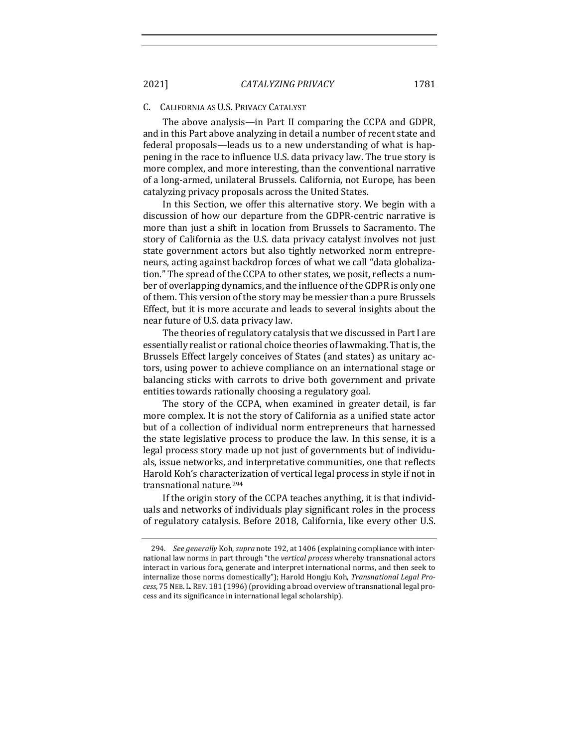#### CALIFORNIA AS U.S. PRIVACY CATALYST

The above analysis—in Part II comparing the CCPA and GDPR, and in this Part above analyzing in detail a number of recent state and federal proposals—leads us to a new understanding of what is happening in the race to influence U.S. data privacy law. The true story is more complex, and more interesting, than the conventional narrative of a long-armed, unilateral Brussels. California, not Europe, has been catalyzing privacy proposals across the United States.

In this Section, we offer this alternative story. We begin with a discussion of how our departure from the GDPR-centric narrative is more than just a shift in location from Brussels to Sacramento. The story of California as the U.S. data privacy catalyst involves not just state government actors but also tightly networked norm entrepreneurs, acting against backdrop forces of what we call "data globalization." The spread of the CCPA to other states, we posit, reflects a number of overlapping dynamics, and the influence of the GDPR is only one of them. This version of the story may be messier than a pure Brussels Effect, but it is more accurate and leads to several insights about the near future of U.S. data privacy law.

The theories of regulatory catalysis that we discussed in Part I are essentially realist or rational choice theories of lawmaking. That is, the Brussels Effect largely conceives of States (and states) as unitary actors, using power to achieve compliance on an international stage or balancing sticks with carrots to drive both government and private entities towards rationally choosing a regulatory goal.

The story of the CCPA, when examined in greater detail, is far more complex. It is not the story of California as a unified state actor but of a collection of individual norm entrepreneurs that harnessed the state legislative process to produce the law. In this sense, it is a legal process story made up not just of governments but of individuals, issue networks, and interpretative communities, one that reflects Harold Koh's characterization of vertical legal process in style if not in transnational nature.<sup>294</sup>

If the origin story of the CCPA teaches anything, it is that individuals and networks of individuals play significant roles in the process of regulatory catalysis. Before 2018, California, like every other U.S.

<sup>294.</sup> *See generally* Koh, *supra* note 192, at 1406 (explaining compliance with international law norms in part through "the *vertical process* whereby transnational actors interact in various fora, generate and interpret international norms, and then seek to internalize those norms domestically"); Harold Hongju Koh, *Transnational Legal Pro*cess, 75 NEB. L. REV. 181 (1996) (providing a broad overview of transnational legal process and its significance in international legal scholarship).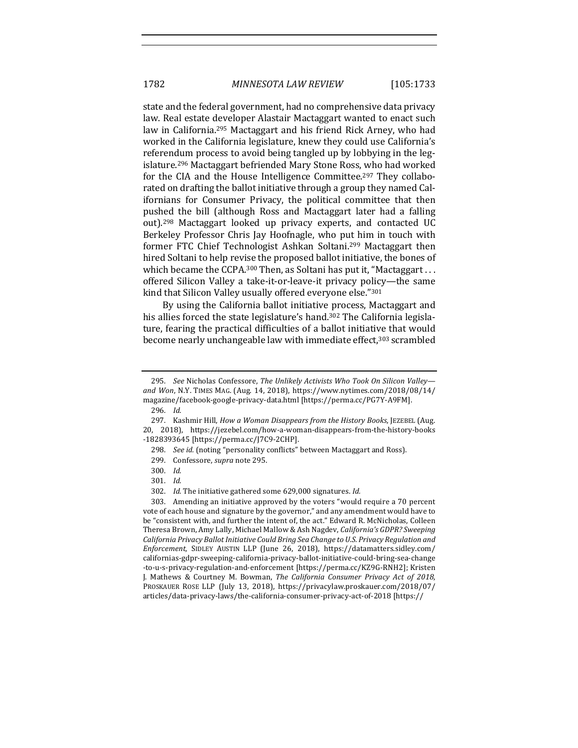state and the federal government, had no comprehensive data privacy law. Real estate developer Alastair Mactaggart wanted to enact such law in California.<sup>295</sup> Mactaggart and his friend Rick Arney, who had worked in the California legislature, knew they could use California's referendum process to avoid being tangled up by lobbying in the legislature.<sup>296</sup> Mactaggart befriended Mary Stone Ross, who had worked for the CIA and the House Intelligence Committee.<sup>297</sup> They collaborated on drafting the ballot initiative through a group they named Californians for Consumer Privacy, the political committee that then pushed the bill (although Ross and Mactaggart later had a falling out).<sup>298</sup> Mactaggart looked up privacy experts, and contacted UC Berkeley Professor Chris Jay Hoofnagle, who put him in touch with former FTC Chief Technologist Ashkan Soltani.<sup>299</sup> Mactaggart then hired Soltani to help revise the proposed ballot initiative, the bones of which became the CCPA.<sup>300</sup> Then, as Soltani has put it, "Mactaggart . . . offered Silicon Valley a take-it-or-leave-it privacy policy—the same kind that Silicon Valley usually offered everyone else."301

By using the California ballot initiative process, Mactaggart and his allies forced the state legislature's hand.<sup>302</sup> The California legislature, fearing the practical difficulties of a ballot initiative that would become nearly unchangeable law with immediate effect,<sup>303</sup> scrambled

296. *Id.*

298. *See id.* (noting "personality conflicts" between Mactaggart and Ross).

- 300. *Id.*
- 301. *Id.*

<sup>295.</sup> *See* Nicholas Confessore, *The Unlikely Activists Who Took On Silicon Valley and Won*, N.Y. TIMES MAG. (Aug. 14, 2018), https://www.nytimes.com/2018/08/14/ magazine/facebook-google-privacy-data.html [https://perma.cc/PG7Y-A9FM].

<sup>297.</sup> Kashmir Hill, *How a Woman Disappears from the History Books*, JEZEBEL (Aug. 20, 2018), https://jezebel.com/how-a-woman-disappears-from-the-history-books -1828393645 [https://perma.cc/J7C9-2CHP].

<sup>299.</sup> Confessore, *supra* note 295.

<sup>302.</sup> *Id.* The initiative gathered some 629,000 signatures. *Id.* 

<sup>303.</sup> Amending an initiative approved by the voters "would require a 70 percent" vote of each house and signature by the governor," and any amendment would have to be "consistent with, and further the intent of, the act." Edward R. McNicholas, Colleen Theresa Brown, Amy Lally, Michael Mallow & Ash Nagdev, *California's GDPR? Sweeping* California Privacy Ballot Initiative Could Bring Sea Change to U.S. Privacy Regulation and *Enforcement*, SIDLEY AUSTIN LLP (June 26, 2018), https://datamatters.sidley.com/ californias-gdpr-sweeping-california-privacy-ballot-initiative-could-bring-sea-change -to-u-s-privacy-regulation-and-enforcement [https://perma.cc/KZ9G-RNH2]; Kristen J. Mathews & Courtney M. Bowman, *The California Consumer Privacy Act of 2018*, PROSKAUER ROSE LLP (July 13, 2018), https://privacylaw.proskauer.com/2018/07/ articles/data-privacy-laws/the-california-consumer-privacy-act-of-2018 [https://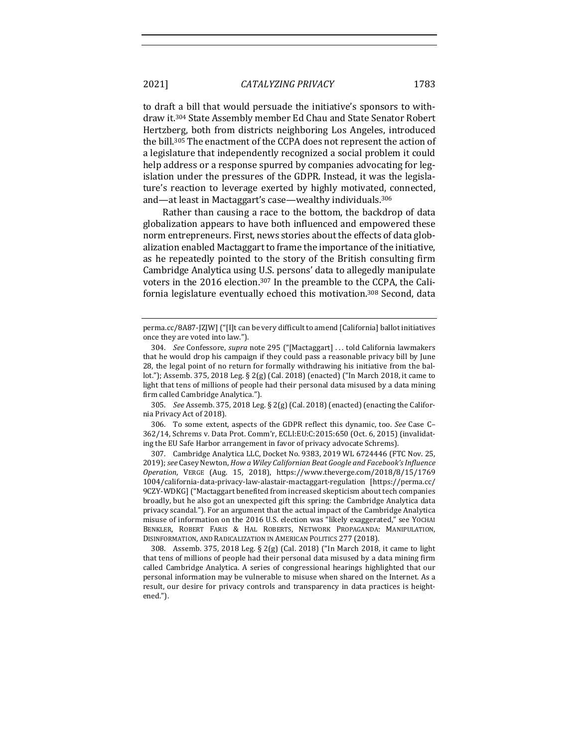to draft a bill that would persuade the initiative's sponsors to withdraw it.<sup>304</sup> State Assembly member Ed Chau and State Senator Robert Hertzberg, both from districts neighboring Los Angeles, introduced the bill.<sup>305</sup> The enactment of the CCPA does not represent the action of a legislature that independently recognized a social problem it could help address or a response spurred by companies advocating for legislation under the pressures of the GDPR. Instead, it was the legislature's reaction to leverage exerted by highly motivated, connected, and—at least in Mactaggart's case—wealthy individuals.<sup>306</sup>

Rather than causing a race to the bottom, the backdrop of data globalization appears to have both influenced and empowered these norm entrepreneurs. First, news stories about the effects of data globalization enabled Mactaggart to frame the importance of the initiative, as he repeatedly pointed to the story of the British consulting firm Cambridge Analytica using U.S. persons' data to allegedly manipulate voters in the 2016 election.<sup>307</sup> In the preamble to the CCPA, the California legislature eventually echoed this motivation.<sup>308</sup> Second, data

305. *See* Assemb. 375, 2018 Leg. § 2(g) (Cal. 2018) (enacted) (enacting the California Privacy Act of 2018).

306. To some extent, aspects of the GDPR reflect this dynamic, too. See Case C-362/14, Schrems v. Data Prot. Comm'r, ECLI:EU:C:2015:650 (Oct. 6, 2015) (invalidating the EU Safe Harbor arrangement in favor of privacy advocate Schrems).

307. Cambridge Analytica LLC, Docket No. 9383, 2019 WL 6724446 (FTC Nov. 25, 2019); see Casey Newton, *How a Wiley Californian Beat Google and Facebook's Influence Operation*, VERGE (Aug. 15, 2018), https://www.theverge.com/2018/8/15/1769 1004/california-data-privacy-law-alastair-mactaggart-regulation [https://perma.cc/ 9CZY-WDKG] ("Mactaggart benefited from increased skepticism about tech companies broadly, but he also got an unexpected gift this spring: the Cambridge Analytica data privacy scandal."). For an argument that the actual impact of the Cambridge Analytica misuse of information on the 2016 U.S. election was "likely exaggerated," see YOCHAI BENKLER, ROBERT FARIS & HAL ROBERTS, NETWORK PROPAGANDA: MANIPULATION, DISINFORMATION, AND RADICALIZATION IN AMERICAN POLITICS 277 (2018).

308. Assemb. 375, 2018 Leg. § 2(g) (Cal. 2018) ("In March 2018, it came to light that tens of millions of people had their personal data misused by a data mining firm called Cambridge Analytica. A series of congressional hearings highlighted that our personal information may be vulnerable to misuse when shared on the Internet. As a result, our desire for privacy controls and transparency in data practices is heightened.").

perma.cc/8A87-JZJW] ("[I]t can be very difficult to amend [California] ballot initiatives once they are voted into law.").

<sup>304.</sup> *See* Confessore, *supra* note 295 ("[Mactaggart] ... told California lawmakers that he would drop his campaign if they could pass a reasonable privacy bill by June 28, the legal point of no return for formally withdrawing his initiative from the ballot."); Assemb. 375, 2018 Leg. § 2(g) (Cal. 2018) (enacted) ("In March 2018, it came to light that tens of millions of people had their personal data misused by a data mining firm called Cambridge Analytica.").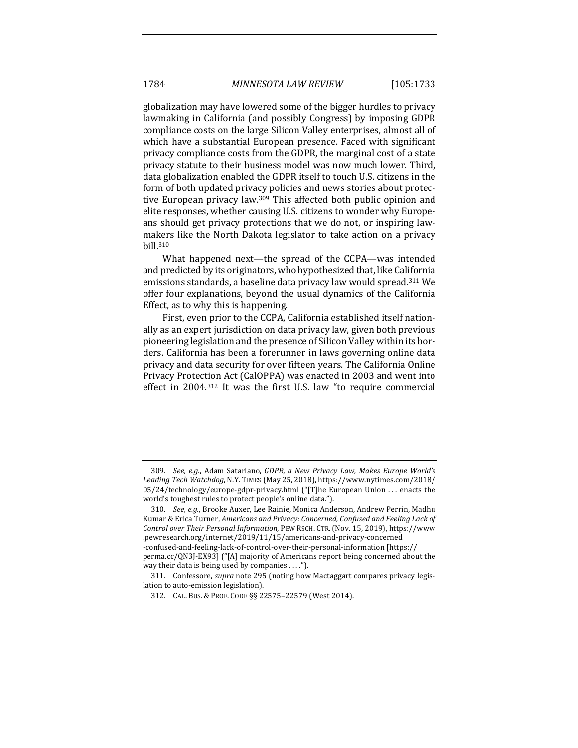globalization may have lowered some of the bigger hurdles to privacy lawmaking in California (and possibly Congress) by imposing GDPR compliance costs on the large Silicon Valley enterprises, almost all of which have a substantial European presence. Faced with significant privacy compliance costs from the GDPR, the marginal cost of a state privacy statute to their business model was now much lower. Third, data globalization enabled the GDPR itself to touch U.S. citizens in the form of both updated privacy policies and news stories about protective European privacy law.<sup>309</sup> This affected both public opinion and elite responses, whether causing U.S. citizens to wonder why Europeans should get privacy protections that we do not, or inspiring lawmakers like the North Dakota legislator to take action on a privacy bill.310

What happened next—the spread of the CCPA—was intended and predicted by its originators, who hypothesized that, like California emissions standards, a baseline data privacy law would spread.<sup>311</sup> We offer four explanations, beyond the usual dynamics of the California Effect, as to why this is happening.

First, even prior to the CCPA, California established itself nationally as an expert jurisdiction on data privacy law, given both previous pioneering legislation and the presence of Silicon Valley within its borders. California has been a forerunner in laws governing online data privacy and data security for over fifteen years. The California Online Privacy Protection Act (CalOPPA) was enacted in 2003 and went into effect in  $2004$ .<sup>312</sup> It was the first U.S. law "to require commercial

<sup>309.</sup> *See, e.g.*, Adam Satariano, GDPR, a New Privacy Law, Makes Europe World's *Leading Tech Watchdog*, N.Y. TIMES (May 25, 2018), https://www.nytimes.com/2018/  $05/24$ /technology/europe-gdpr-privacy.html ("[T]he European Union ... enacts the world's toughest rules to protect people's online data.").

<sup>310.</sup> *See, e.g.*, Brooke Auxer, Lee Rainie, Monica Anderson, Andrew Perrin, Madhu Kumar & Erica Turner, *Americans and Privacy: Concerned, Confused and Feeling Lack of Control over Their Personal Information*, PEW RSCH. CTR. (Nov. 15, 2019), https://www .pewresearch.org/internet/2019/11/15/americans-and-privacy-concerned -confused-and-feeling-lack-of-control-over-their-personal-information [https:// perma.cc/QN3J-EX93] ("[A] majority of Americans report being concerned about the way their data is being used by companies  $\dots$ .").

<sup>311.</sup> Confessore, *supra* note 295 (noting how Mactaggart compares privacy legislation to auto-emission legislation).

<sup>312.</sup> CAL. BUS. & PROF. CODE §§ 22575-22579 (West 2014).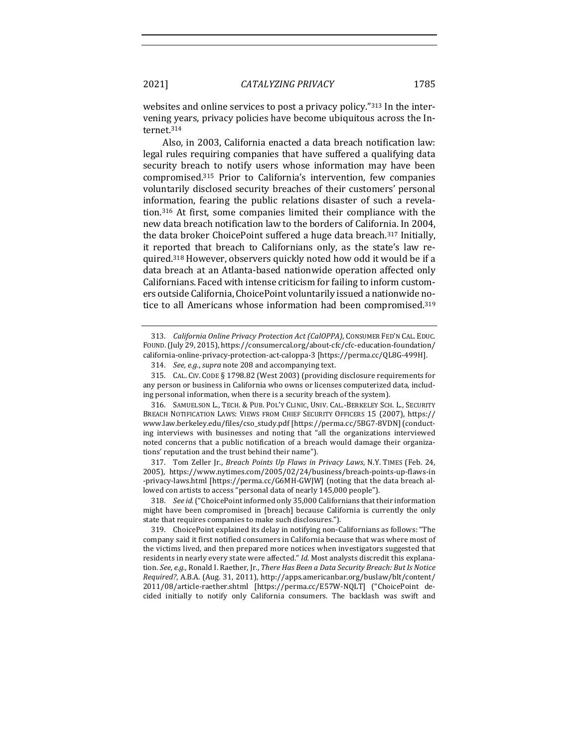websites and online services to post a privacy policy." $313$  In the intervening years, privacy policies have become ubiquitous across the Internet.314

Also, in 2003, California enacted a data breach notification law: legal rules requiring companies that have suffered a qualifying data security breach to notify users whose information may have been compromised.<sup>315</sup> Prior to California's intervention, few companies voluntarily disclosed security breaches of their customers' personal information, fearing the public relations disaster of such a revelation.<sup>316</sup> At first, some companies limited their compliance with the new data breach notification law to the borders of California. In 2004, the data broker ChoicePoint suffered a huge data breach.<sup>317</sup> Initially, it reported that breach to Californians only, as the state's law required.<sup>318</sup> However, observers quickly noted how odd it would be if a data breach at an Atlanta-based nationwide operation affected only Californians. Faced with intense criticism for failing to inform customers outside California, ChoicePoint voluntarily issued a nationwide notice to all Americans whose information had been compromised.<sup>319</sup>

316. SAMUELSON L., TECH. & PUB. POL'Y CLINIC, UNIV. CAL.-BERKELEY SCH. L., SECURITY BREACH NOTIFICATION LAWS: VIEWS FROM CHIEF SECURITY OFFICERS 15 (2007), https:// www.law.berkeley.edu/files/cso\_study.pdf [https://perma.cc/5BG7-8VDN] (conducting interviews with businesses and noting that "all the organizations interviewed noted concerns that a public notification of a breach would damage their organizations' reputation and the trust behind their name").

317. Tom Zeller Jr., *Breach Points Up Flaws in Privacy Laws*, N.Y. TIMES (Feb. 24, 2005), https://www.nytimes.com/2005/02/24/business/breach-points-up-flaws-in -privacy-laws.html [https://perma.cc/G6MH-GWJW] (noting that the data breach allowed con artists to access "personal data of nearly 145,000 people").

318. *See id.* ("ChoicePoint informed only 35,000 Californians that their information might have been compromised in [breach] because California is currently the only state that requires companies to make such disclosures.").

319. ChoicePoint explained its delay in notifying non-Californians as follows: "The company said it first notified consumers in California because that was where most of the victims lived, and then prepared more notices when investigators suggested that residents in nearly every state were affected." *Id.* Most analysts discredit this explanation. See, e.g., Ronald I. Raether, Jr., *There Has Been a Data Security Breach: But Is Notice Required?*, A.B.A. (Aug. 31, 2011), http://apps.americanbar.org/buslaw/blt/content/ 2011/08/article-raether.shtml [https://perma.cc/E57W-NQLT] ("ChoicePoint decided initially to notify only California consumers. The backlash was swift and

<sup>313.</sup> *California Online Privacy Protection Act (CalOPPA)*, CONSUMER FED'N CAL. EDUC. FOUND. (July 29, 2015), https://consumercal.org/about-cfc/cfc-education-foundation/ california-online-privacy-protection-act-caloppa-3 [https://perma.cc/QL8G-499H].

<sup>314.</sup> *See, e.g., supra* note 208 and accompanying text.

<sup>315.</sup> CAL. CIV. CODE § 1798.82 (West 2003) (providing disclosure requirements for any person or business in California who owns or licenses computerized data, including personal information, when there is a security breach of the system).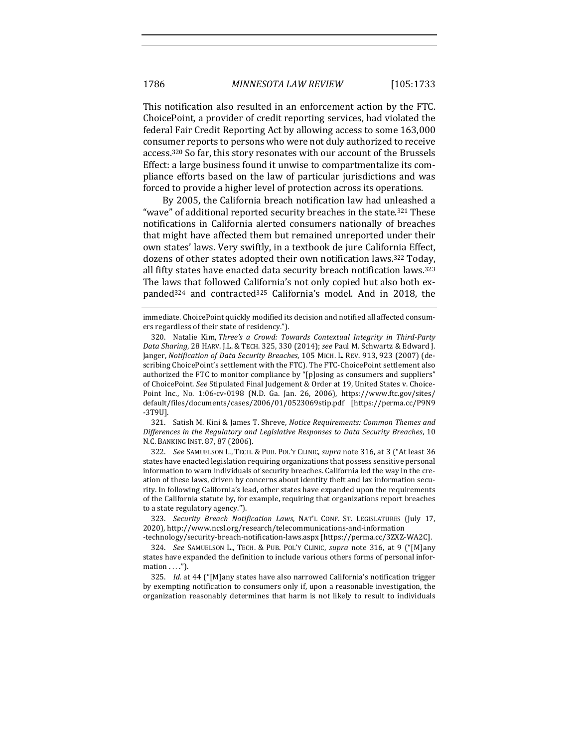This notification also resulted in an enforcement action by the FTC. ChoicePoint, a provider of credit reporting services, had violated the federal Fair Credit Reporting Act by allowing access to some 163,000 consumer reports to persons who were not duly authorized to receive access.<sup>320</sup> So far, this story resonates with our account of the Brussels Effect: a large business found it unwise to compartmentalize its compliance efforts based on the law of particular jurisdictions and was forced to provide a higher level of protection across its operations.

By 2005, the California breach notification law had unleashed a "wave" of additional reported security breaches in the state.<sup>321</sup> These notifications in California alerted consumers nationally of breaches that might have affected them but remained unreported under their own states' laws. Very swiftly, in a textbook de jure California Effect, dozens of other states adopted their own notification laws.<sup>322</sup> Today, all fifty states have enacted data security breach notification laws.<sup>323</sup> The laws that followed California's not only copied but also both expanded<sup>324</sup> and contracted<sup>325</sup> California's model. And in 2018, the

321. Satish M. Kini & James T. Shreve, *Notice Requirements: Common Themes and Differences in the Regulatory and Legislative Responses to Data Security Breaches*, 10 N.C. BANKING INST. 87, 87 (2006).

322. *See* SAMUELSON L., TECH. & PUB. POL'Y CLINIC, *supra* note 316, at 3 ("At least 36 states have enacted legislation requiring organizations that possess sensitive personal information to warn individuals of security breaches. California led the way in the creation of these laws, driven by concerns about identity theft and lax information security. In following California's lead, other states have expanded upon the requirements of the California statute by, for example, requiring that organizations report breaches to a state regulatory agency.").

323. *Security Breach Notification Laws*, NAT'L CONF. ST. LEGISLATURES (July 17, 2020), http://www.ncsl.org/research/telecommunications-and-information

-technology/security-breach-notification-laws.aspx [https://perma.cc/3ZXZ-WA2C].

324. *See*  SAMUELSON L., TECH. & PUB. POL'Y CLINIC, *supra* note 316, at 9 ("[M]any states have expanded the definition to include various others forms of personal infor $mation \ldots$ .").

325. *Id.* at 44 ("[M]any states have also narrowed California's notification trigger by exempting notification to consumers only if, upon a reasonable investigation, the organization reasonably determines that harm is not likely to result to individuals

immediate. ChoicePoint quickly modified its decision and notified all affected consumers regardless of their state of residency.").

<sup>320.</sup> Natalie Kim, *Three's a Crowd: Towards Contextual Integrity in Third-Party Data Sharing*, 28 HARV. J.L. & TECH. 325, 330 (2014); see Paul M. Schwartz & Edward J. Janger, *Notification of Data Security Breaches*, 105 MICH. L. REV. 913, 923 (2007) (describing ChoicePoint's settlement with the FTC). The FTC-ChoicePoint settlement also authorized the FTC to monitor compliance by "[p]osing as consumers and suppliers" of ChoicePoint. See Stipulated Final Judgement & Order at 19, United States v. Choice-Point Inc., No. 1:06-cv-0198 (N.D. Ga. Jan. 26, 2006), https://www.ftc.gov/sites/ default/files/documents/cases/2006/01/0523069stip.pdf [https://perma.cc/P9N9 -3T9U].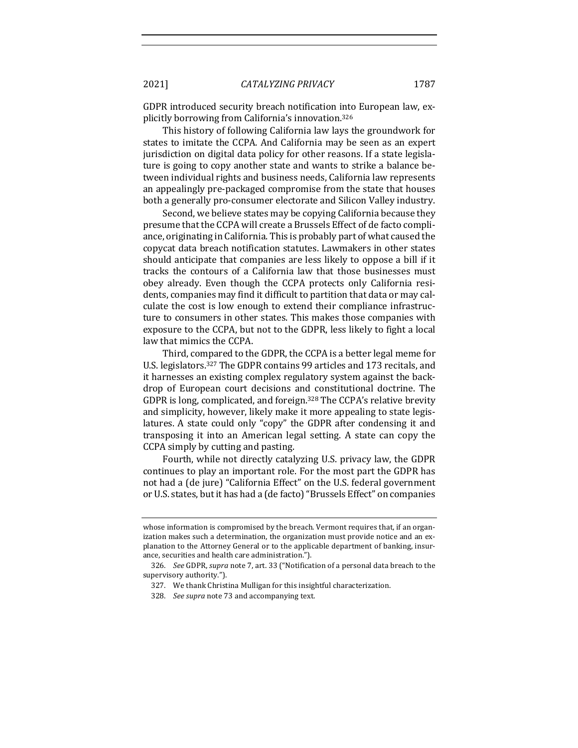GDPR introduced security breach notification into European law, explicitly borrowing from California's innovation.<sup>326</sup>

This history of following California law lays the groundwork for states to imitate the CCPA. And California may be seen as an expert jurisdiction on digital data policy for other reasons. If a state legislature is going to copy another state and wants to strike a balance between individual rights and business needs, California law represents an appealingly pre-packaged compromise from the state that houses both a generally pro-consumer electorate and Silicon Valley industry.

Second, we believe states may be copying California because they presume that the CCPA will create a Brussels Effect of de facto compliance, originating in California. This is probably part of what caused the copycat data breach notification statutes. Lawmakers in other states should anticipate that companies are less likely to oppose a bill if it tracks the contours of a California law that those businesses must obey already. Even though the CCPA protects only California residents, companies may find it difficult to partition that data or may calculate the cost is low enough to extend their compliance infrastructure to consumers in other states. This makes those companies with exposure to the CCPA, but not to the GDPR, less likely to fight a local law that mimics the CCPA.

Third, compared to the GDPR, the CCPA is a better legal meme for U.S. legislators.<sup>327</sup> The GDPR contains 99 articles and 173 recitals, and it harnesses an existing complex regulatory system against the backdrop of European court decisions and constitutional doctrine. The GDPR is long, complicated, and foreign.<sup>328</sup> The CCPA's relative brevity and simplicity, however, likely make it more appealing to state legislatures. A state could only "copy" the GDPR after condensing it and transposing it into an American legal setting. A state can copy the CCPA simply by cutting and pasting.

Fourth, while not directly catalyzing U.S. privacy law, the GDPR continues to play an important role. For the most part the GDPR has not had a (de jure) "California Effect" on the U.S. federal government or U.S. states, but it has had a (de facto) "Brussels Effect" on companies

whose information is compromised by the breach. Vermont requires that, if an organization makes such a determination, the organization must provide notice and an explanation to the Attorney General or to the applicable department of banking, insurance, securities and health care administration.").

<sup>326.</sup> *See* GDPR, *supra* note 7, art. 33 ("Notification of a personal data breach to the supervisory authority.").

<sup>327.</sup> We thank Christina Mulligan for this insightful characterization.

<sup>328.</sup> *See supra* note 73 and accompanying text.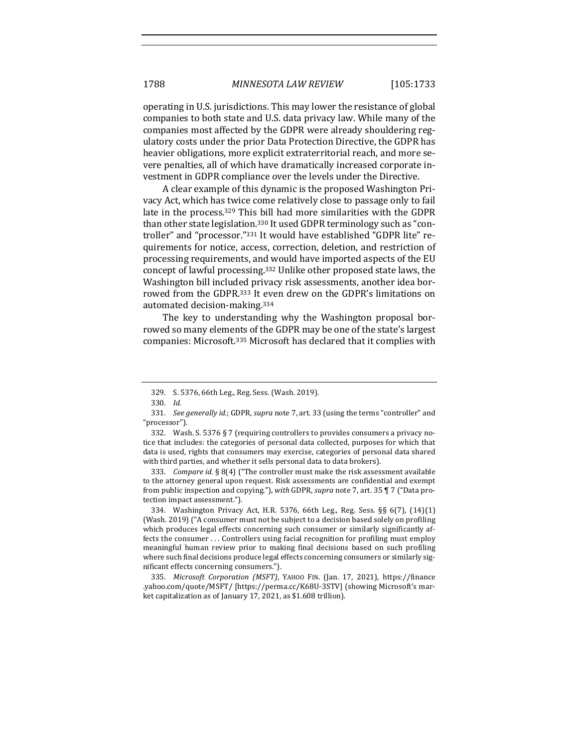operating in U.S. jurisdictions. This may lower the resistance of global companies to both state and U.S. data privacy law. While many of the companies most affected by the GDPR were already shouldering regulatory costs under the prior Data Protection Directive, the GDPR has heavier obligations, more explicit extraterritorial reach, and more severe penalties, all of which have dramatically increased corporate investment in GDPR compliance over the levels under the Directive.

A clear example of this dynamic is the proposed Washington Privacy Act, which has twice come relatively close to passage only to fail late in the process.<sup>329</sup> This bill had more similarities with the GDPR than other state legislation.<sup>330</sup> It used GDPR terminology such as "controller" and "processor."331 It would have established "GDPR lite" requirements for notice, access, correction, deletion, and restriction of processing requirements, and would have imported aspects of the EU concept of lawful processing.<sup>332</sup> Unlike other proposed state laws, the Washington bill included privacy risk assessments, another idea borrowed from the GDPR.<sup>333</sup> It even drew on the GDPR's limitations on automated decision-making.<sup>334</sup>

The key to understanding why the Washington proposal borrowed so many elements of the GDPR may be one of the state's largest companies: Microsoft.<sup>335</sup> Microsoft has declared that it complies with

333. *Compare id.* § 8(4) ("The controller must make the risk assessment available to the attorney general upon request. Risk assessments are confidential and exempt from public inspection and copying."), with GDPR, *supra* note 7, art. 35 ¶ 7 ("Data protection impact assessment.").

334. Washington Privacy Act, H.R. 5376, 66th Leg., Reg. Sess. §§ 6(7), (14)(1) (Wash. 2019) ("A consumer must not be subject to a decision based solely on profiling which produces legal effects concerning such consumer or similarly significantly affects the consumer ... Controllers using facial recognition for profiling must employ meaningful human review prior to making final decisions based on such profiling where such final decisions produce legal effects concerning consumers or similarly significant effects concerning consumers.").

335. *Microsoft Corporation (MSFT)*, YAHOO FIN. (Jan. 17, 2021), https://finance .yahoo.com/quote/MSFT/ [https://perma.cc/K68U-3STV] (showing Microsoft's market capitalization as of January 17, 2021, as \$1.608 trillion).

<sup>329.</sup> S. 5376, 66th Leg., Reg. Sess. (Wash. 2019).

<sup>330.</sup> *Id.*

<sup>331.</sup> *See generally id.*; GDPR, *supra* note 7, art. 33 (using the terms "controller" and "processor").

<sup>332.</sup> Wash. S. 5376 § 7 (requiring controllers to provides consumers a privacy notice that includes: the categories of personal data collected, purposes for which that data is used, rights that consumers may exercise, categories of personal data shared with third parties, and whether it sells personal data to data brokers).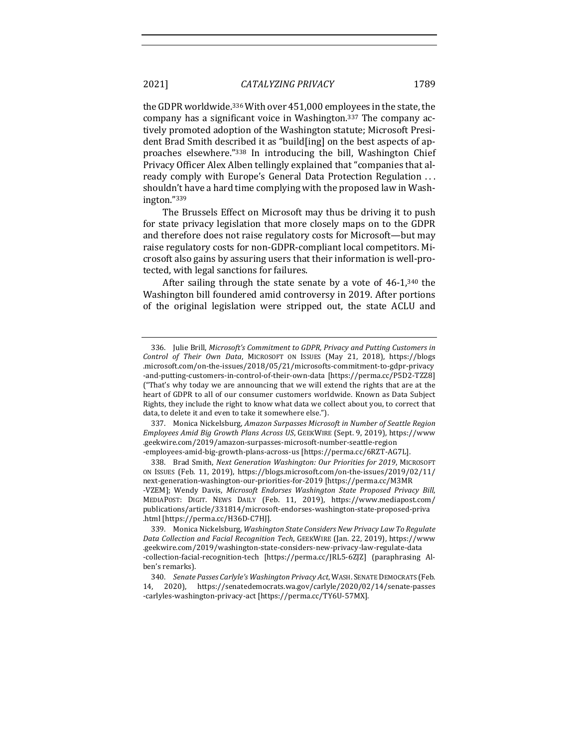the GDPR worldwide.<sup>336</sup> With over 451,000 employees in the state, the company has a significant voice in Washington.<sup>337</sup> The company actively promoted adoption of the Washington statute; Microsoft President Brad Smith described it as "build[ing] on the best aspects of approaches elsewhere."338 In introducing the bill, Washington Chief Privacy Officer Alex Alben tellingly explained that "companies that already comply with Europe's General Data Protection Regulation ... shouldn't have a hard time complying with the proposed law in Washington."339

The Brussels Effect on Microsoft may thus be driving it to push for state privacy legislation that more closely maps on to the GDPR and therefore does not raise regulatory costs for Microsoft—but may raise regulatory costs for non-GDPR-compliant local competitors. Microsoft also gains by assuring users that their information is well-protected, with legal sanctions for failures.

After sailing through the state senate by a vote of  $46-1,340$  the Washington bill foundered amid controversy in 2019. After portions of the original legislation were stripped out, the state ACLU and

337. Monica Nickelsburg, *Amazon Surpasses Microsoft in Number of Seattle Region Employees Amid Big Growth Plans Across US*, GEEKWIRE (Sept. 9, 2019), https://www .geekwire.com/2019/amazon-surpasses-microsoft-number-seattle-region -employees-amid-big-growth-plans-across-us [https://perma.cc/6RZT-AG7L].

338. Brad Smith, *Next Generation Washington: Our Priorities for 2019*, MICROSOFT ON ISSUES (Feb. 11, 2019), https://blogs.microsoft.com/on-the-issues/2019/02/11/ next-generation-washington-our-priorities-for-2019 [https://perma.cc/M3MR -VZEM]; Wendy Davis, Microsoft Endorses Washington State Proposed Privacy Bill, MEDIAPOST: DIGIT. NEWS DAILY (Feb. 11, 2019), https://www.mediapost.com/ publications/article/331814/microsoft-endorses-washington-state-proposed-priva .html [https://perma.cc/H36D-C7HJ].

339. Monica Nickelsburg, *Washington State Considers New Privacy Law To Regulate Data Collection and Facial Recognition Tech*, GEEKWIRE (Jan. 22, 2019), https://www .geekwire.com/2019/washington-state-considers-new-privacy-law-regulate-data -collection-facial-recognition-tech [https://perma.cc/JRL5-6ZJZ] (paraphrasing Alben's remarks).

340. *Senate Passes Carlyle's Washington Privacy Act*, WASH. SENATE DEMOCRATS (Feb. 14, 2020), https://senatedemocrats.wa.gov/carlyle/2020/02/14/senate-passes -carlyles-washington-privacy-act [https://perma.cc/TY6U-57MX].

<sup>336.</sup> Julie Brill, *Microsoft's Commitment to GDPR*, Privacy and Putting Customers in *Control of Their Own Data*, MICROSOFT ON ISSUES (May 21, 2018), https://blogs .microsoft.com/on-the-issues/2018/05/21/microsofts-commitment-to-gdpr-privacy -and-putting-customers-in-control-of-their-own-data [https://perma.cc/P5D2-TZZ8] ("That's why today we are announcing that we will extend the rights that are at the heart of GDPR to all of our consumer customers worldwide. Known as Data Subject Rights, they include the right to know what data we collect about you, to correct that data, to delete it and even to take it somewhere else.").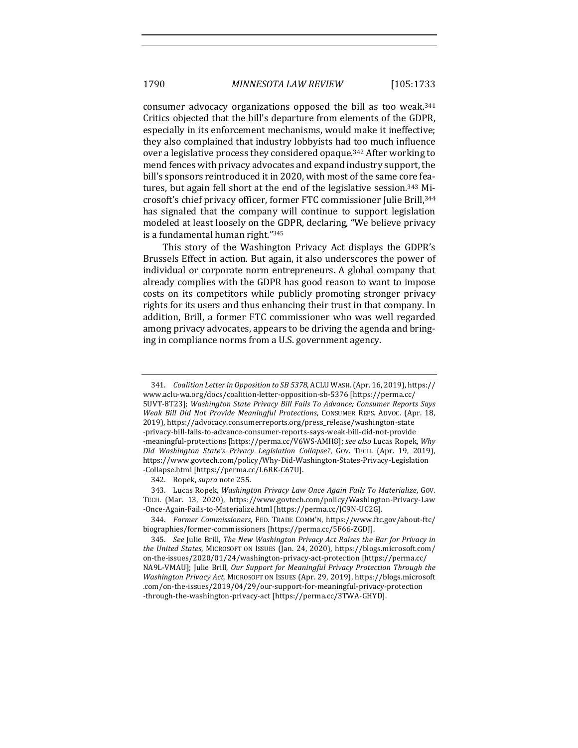consumer advocacy organizations opposed the bill as too weak.<sup>341</sup> Critics objected that the bill's departure from elements of the GDPR, especially in its enforcement mechanisms, would make it ineffective; they also complained that industry lobbyists had too much influence over a legislative process they considered opaque.<sup>342</sup> After working to mend fences with privacy advocates and expand industry support, the bill's sponsors reintroduced it in 2020, with most of the same core features, but again fell short at the end of the legislative session.<sup>343</sup> Microsoft's chief privacy officer, former FTC commissioner Julie Brill, 344 has signaled that the company will continue to support legislation modeled at least loosely on the GDPR, declaring, "We believe privacy is a fundamental human right."345

This story of the Washington Privacy Act displays the GDPR's Brussels Effect in action. But again, it also underscores the power of individual or corporate norm entrepreneurs. A global company that already complies with the GDPR has good reason to want to impose costs on its competitors while publicly promoting stronger privacy rights for its users and thus enhancing their trust in that company. In addition, Brill, a former FTC commissioner who was well regarded among privacy advocates, appears to be driving the agenda and bringing in compliance norms from a U.S. government agency.

342. Ropek, *supra* note 255.

343. Lucas Ropek, *Washington Privacy Law Once Again Fails To Materialize*, GOV. TECH. (Mar. 13, 2020), https://www.govtech.com/policy/Washington-Privacy-Law -Once-Again-Fails-to-Materialize.html [https://perma.cc/JC9N-UC2G].

344. *Former Commissioners*, FED. TRADE COMM'N, https://www.ftc.gov/about-ftc/ biographies/former-commissioners [https://perma.cc/5F66-ZGDJ].

<sup>341.</sup> *Coalition Letter in Opposition to SB 5378*, ACLU WASH. (Apr. 16, 2019), https:// www.aclu-wa.org/docs/coalition-letter-opposition-sb-5376 [https://perma.cc/ 5UVT-8T23]; Washington State Privacy Bill Fails To Advance; Consumer Reports Says *Weak Bill Did Not Provide Meaningful Protections*, CONSUMER REPS. ADVOC. (Apr. 18, 2019), https://advocacy.consumerreports.org/press\_release/washington-state -privacy-bill-fails-to-advance-consumer-reports-says-weak-bill-did-not-provide -meaningful-protections [https://perma.cc/V6WS-AMH8]; see also Lucas Ropek, Why *Did Washington State's Privacy Legislation Collapse?*, GOV. TECH. (Apr. 19, 2019), https://www.govtech.com/policy/Why-Did-Washington-States-Privacy-Legislation -Collapse.html [https://perma.cc/L6RK-C67U].

<sup>345.</sup> *See* Julie Brill, *The New Washington Privacy Act Raises the Bar for Privacy in the United States*, MICROSOFT ON ISSUES (Jan. 24, 2020), https://blogs.microsoft.com/ on-the-issues/2020/01/24/washington-privacy-act-protection [https://perma.cc/ NA9L-VMAU]; Julie Brill, *Our Support for Meaningful Privacy Protection Through the* Washington Privacy Act, MICROSOFT ON ISSUES (Apr. 29, 2019), https://blogs.microsoft .com/on-the-issues/2019/04/29/our-support-for-meaningful-privacy-protection -through-the-washington-privacy-act [https://perma.cc/3TWA-GHYD].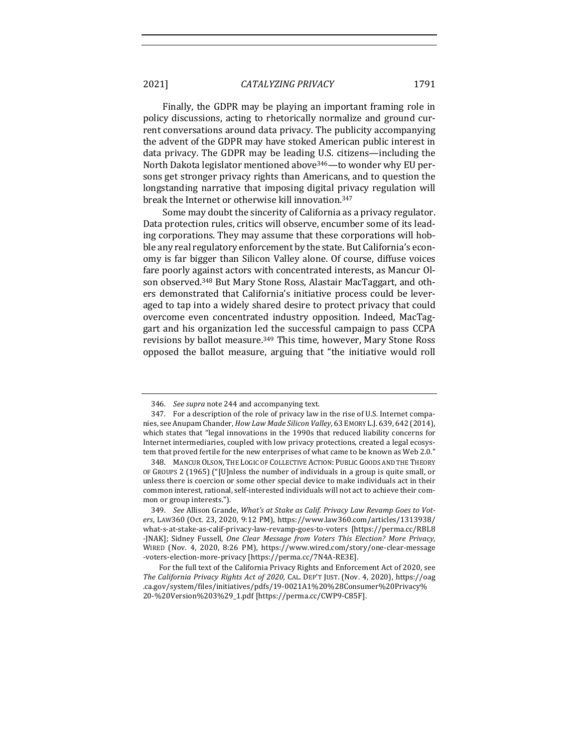Finally, the GDPR may be playing an important framing role in policy discussions, acting to rhetorically normalize and ground current conversations around data privacy. The publicity accompanying the advent of the GDPR may have stoked American public interest in data privacy. The GDPR may be leading U.S. citizens—including the North Dakota legislator mentioned above<sup>346</sup>—to wonder why EU persons get stronger privacy rights than Americans, and to question the longstanding narrative that imposing digital privacy regulation will break the Internet or otherwise kill innovation.<sup>347</sup>

Some may doubt the sincerity of California as a privacy regulator. Data protection rules, critics will observe, encumber some of its leading corporations. They may assume that these corporations will hobble any real regulatory enforcement by the state. But California's economy is far bigger than Silicon Valley alone. Of course, diffuse voices fare poorly against actors with concentrated interests, as Mancur Olson observed.<sup>348</sup> But Mary Stone Ross, Alastair MacTaggart, and others demonstrated that California's initiative process could be leveraged to tap into a widely shared desire to protect privacy that could overcome even concentrated industry opposition. Indeed, MacTaggart and his organization led the successful campaign to pass CCPA revisions by ballot measure.<sup>349</sup> This time, however, Mary Stone Ross opposed the ballot measure, arguing that "the initiative would roll

<sup>346.</sup> *See supra* note 244 and accompanying text.

<sup>347.</sup> For a description of the role of privacy law in the rise of U.S. Internet companies, see Anupam Chander, *How Law Made Silicon Valley*, 63 EMORY L.J. 639, 642 (2014), which states that "legal innovations in the 1990s that reduced liability concerns for Internet intermediaries, coupled with low privacy protections, created a legal ecosystem that proved fertile for the new enterprises of what came to be known as Web 2.0."

<sup>348.</sup> MANCUR OLSON, THE LOGIC OF COLLECTIVE ACTION: PUBLIC GOODS AND THE THEORY OF GROUPS 2 (1965) ("[U]nless the number of individuals in a group is quite small, or unless there is coercion or some other special device to make individuals act in their common interest, rational, self-interested individuals will not act to achieve their common or group interests.").

<sup>349.</sup> See Allison Grande, *What's at Stake as Calif. Privacy Law Revamp Goes to Vot*ers, LAW360 (Oct. 23, 2020, 9:12 PM), https://www.law360.com/articles/1313938/ what-s-at-stake-as-calif-privacy-law-revamp-goes-to-voters [https://perma.cc/RBL8 -[NAK]; Sidney Fussell, *One Clear Message from Voters This Election? More Privacy*, WIRED (Nov. 4, 2020, 8:26 PM), https://www.wired.com/story/one-clear-message -voters-election-more-privacy [https://perma.cc/7N4A-RE3E].

For the full text of the California Privacy Rights and Enforcement Act of 2020, see *The California Privacy Rights Act of 2020, CAL. DEP'T JUST. (Nov. 4, 2020), https://oag* .ca.gov/system/files/initiatives/pdfs/19-0021A1%20%28Consumer%20Privacy% 20-%20Version%203%29\_1.pdf [https://perma.cc/CWP9-C85F].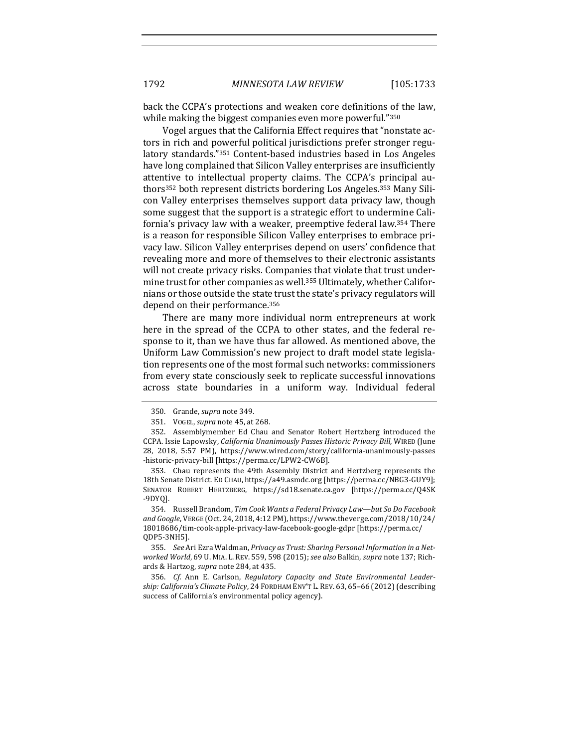back the CCPA's protections and weaken core definitions of the law, while making the biggest companies even more powerful."350

Vogel argues that the California Effect requires that "nonstate actors in rich and powerful political jurisdictions prefer stronger regulatory standards."351 Content-based industries based in Los Angeles have long complained that Silicon Valley enterprises are insufficiently attentive to intellectual property claims. The CCPA's principal authors<sup>352</sup> both represent districts bordering Los Angeles.<sup>353</sup> Many Silicon Valley enterprises themselves support data privacy law, though some suggest that the support is a strategic effort to undermine California's privacy law with a weaker, preemptive federal law.<sup>354</sup> There is a reason for responsible Silicon Valley enterprises to embrace privacy law. Silicon Valley enterprises depend on users' confidence that revealing more and more of themselves to their electronic assistants will not create privacy risks. Companies that violate that trust undermine trust for other companies as well.<sup>355</sup> Ultimately, whether Californians or those outside the state trust the state's privacy regulators will depend on their performance.<sup>356</sup>

There are many more individual norm entrepreneurs at work here in the spread of the CCPA to other states, and the federal response to it, than we have thus far allowed. As mentioned above, the Uniform Law Commission's new project to draft model state legislation represents one of the most formal such networks: commissioners from every state consciously seek to replicate successful innovations across state boundaries in a uniform way. Individual federal

353. Chau represents the 49th Assembly District and Hertzberg represents the 18th Senate District. ED CHAU, https://a49.asmdc.org [https://perma.cc/NBG3-GUY9]; SENATOR ROBERT HERTZBERG, https://sd18.senate.ca.gov [https://perma.cc/Q4SK -9DYQ].

354. Russell Brandom, *Tim Cook Wants a Federal Privacy Law—but So Do Facebook* and Google, VERGE (Oct. 24, 2018, 4:12 PM), https://www.theverge.com/2018/10/24/ 18018686/tim-cook-apple-privacy-law-facebook-google-gdpr [https://perma.cc/ QDP5-3NH5].

355. See Ari Ezra Waldman, Privacy as Trust: Sharing Personal Information in a Networked World, 69 U. MIA. L. REV. 559, 598 (2015); see also Balkin, supra note 137; Richards & Hartzog, *supra* note 284, at 435.

356. *Cf.* Ann E. Carlson, Regulatory Capacity and State Environmental Leadership: California's Climate Policy, 24 FORDHAM ENV'T L. REV. 63, 65-66 (2012) (describing success of California's environmental policy agency).

<sup>350.</sup> Grande, *supra* note 349.

<sup>351.</sup> VOGEL, *supra* note 45, at 268.

<sup>352.</sup> Assemblymember Ed Chau and Senator Robert Hertzberg introduced the CCPA. Issie Lapowsky, *California Unanimously Passes Historic Privacy Bill*, WIRED (June 28, 2018, 5:57 PM), https://www.wired.com/story/california-unanimously-passes -historic-privacy-bill [https://perma.cc/LPW2-CW6B].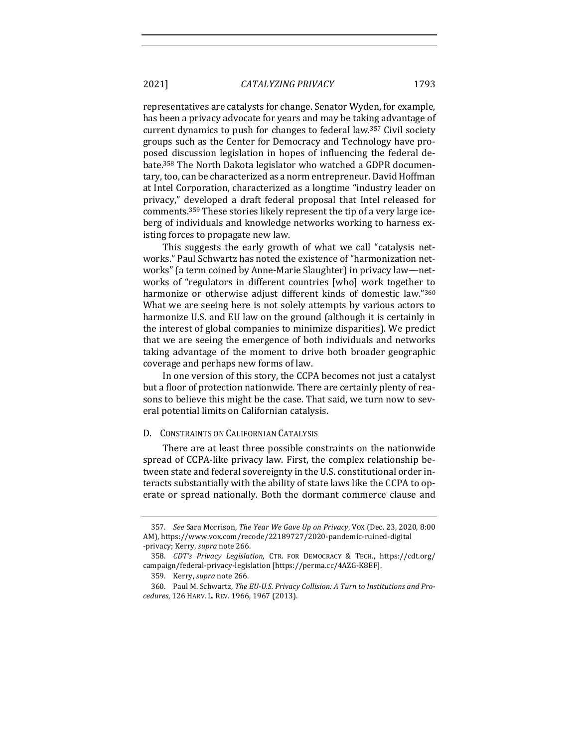representatives are catalysts for change. Senator Wyden, for example, has been a privacy advocate for years and may be taking advantage of current dynamics to push for changes to federal law.<sup>357</sup> Civil society groups such as the Center for Democracy and Technology have proposed discussion legislation in hopes of influencing the federal debate.<sup>358</sup> The North Dakota legislator who watched a GDPR documentary, too, can be characterized as a norm entrepreneur. David Hoffman at Intel Corporation, characterized as a longtime "industry leader on privacy," developed a draft federal proposal that Intel released for comments.<sup>359</sup> These stories likely represent the tip of a very large iceberg of individuals and knowledge networks working to harness existing forces to propagate new law.

This suggests the early growth of what we call "catalysis networks." Paul Schwartz has noted the existence of "harmonization networks" (a term coined by Anne-Marie Slaughter) in privacy law—networks of "regulators in different countries [who] work together to harmonize or otherwise adjust different kinds of domestic law."360 What we are seeing here is not solely attempts by various actors to harmonize U.S. and EU law on the ground (although it is certainly in the interest of global companies to minimize disparities). We predict that we are seeing the emergence of both individuals and networks taking advantage of the moment to drive both broader geographic coverage and perhaps new forms of law.

In one version of this story, the CCPA becomes not just a catalyst but a floor of protection nationwide. There are certainly plenty of reasons to believe this might be the case. That said, we turn now to several potential limits on Californian catalysis.

#### D. CONSTRAINTS ON CALIFORNIAN CATALYSIS

There are at least three possible constraints on the nationwide spread of CCPA-like privacy law. First, the complex relationship between state and federal sovereignty in the U.S. constitutional order interacts substantially with the ability of state laws like the CCPA to operate or spread nationally. Both the dormant commerce clause and

<sup>357.</sup> *See Sara Morrison, The Year We Gave Up on Privacy, Vox (Dec. 23, 2020, 8:00* AM), https://www.vox.com/recode/22189727/2020-pandemic-ruined-digital -privacy; Kerry, *supra* note 266.

<sup>358.</sup> *CDT's Privacy Legislation*, CTR. FOR DEMOCRACY & TECH., https://cdt.org/ campaign/federal-privacy-legislation [https://perma.cc/4AZG-K8EF].

<sup>359.</sup> Kerry, *supra* note 266.

<sup>360.</sup> Paul M. Schwartz, *The EU-U.S. Privacy Collision: A Turn to Institutions and Procedures*, 126 HARV. L. REV. 1966, 1967 (2013).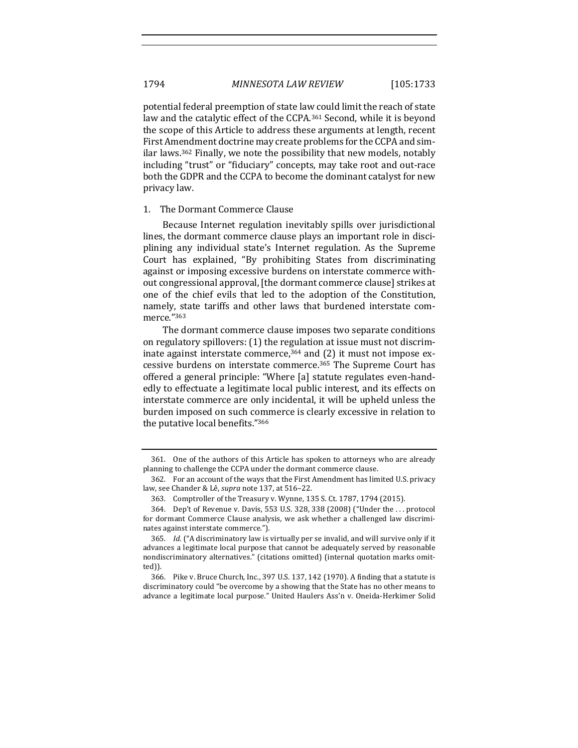potential federal preemption of state law could limit the reach of state law and the catalytic effect of the CCPA.<sup>361</sup> Second, while it is beyond the scope of this Article to address these arguments at length, recent First Amendment doctrine may create problems for the CCPA and similar laws.<sup>362</sup> Finally, we note the possibility that new models, notably including "trust" or "fiduciary" concepts, may take root and out-race both the GDPR and the CCPA to become the dominant catalyst for new privacy law.

#### 1. The Dormant Commerce Clause

Because Internet regulation inevitably spills over jurisdictional lines, the dormant commerce clause plays an important role in disciplining any individual state's Internet regulation. As the Supreme Court has explained, "By prohibiting States from discriminating against or imposing excessive burdens on interstate commerce without congressional approval, [the dormant commerce clause] strikes at one of the chief evils that led to the adoption of the Constitution, namely, state tariffs and other laws that burdened interstate commerce."363

The dormant commerce clause imposes two separate conditions on regulatory spillovers: (1) the regulation at issue must not discriminate against interstate commerce,  $364$  and (2) it must not impose excessive burdens on interstate commerce.<sup>365</sup> The Supreme Court has offered a general principle: "Where [a] statute regulates even-handedly to effectuate a legitimate local public interest, and its effects on interstate commerce are only incidental, it will be upheld unless the burden imposed on such commerce is clearly excessive in relation to the putative local benefits."366

<sup>361.</sup> One of the authors of this Article has spoken to attorneys who are already planning to challenge the CCPA under the dormant commerce clause.

<sup>362.</sup> For an account of the ways that the First Amendment has limited U.S. privacy law, see Chander & Lê, *supra* note 137, at 516-22.

<sup>363.</sup> Comptroller of the Treasury v. Wynne, 135 S. Ct. 1787, 1794 (2015).

<sup>364.</sup> Dep't of Revenue v. Davis, 553 U.S. 328, 338 (2008) ("Under the ... protocol for dormant Commerce Clause analysis, we ask whether a challenged law discriminates against interstate commerce.").

<sup>365.</sup> *Id.* ("A discriminatory law is virtually per se invalid, and will survive only if it advances a legitimate local purpose that cannot be adequately served by reasonable nondiscriminatory alternatives." (citations omitted) (internal quotation marks omitted)).

<sup>366.</sup> Pike v. Bruce Church, Inc., 397 U.S. 137, 142 (1970). A finding that a statute is discriminatory could "be overcome by a showing that the State has no other means to advance a legitimate local purpose." United Haulers Ass'n v. Oneida-Herkimer Solid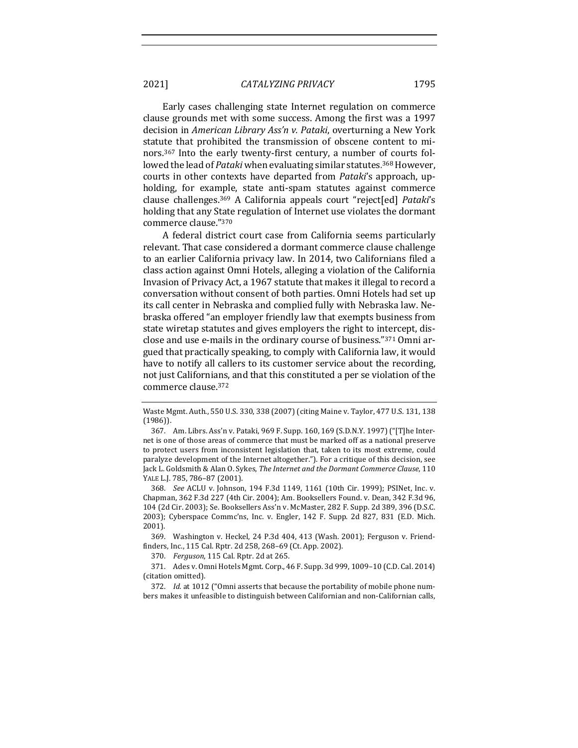Early cases challenging state Internet regulation on commerce clause grounds met with some success. Among the first was a 1997 decision in *American Library Ass'n v. Pataki*, overturning a New York statute that prohibited the transmission of obscene content to minors.<sup>367</sup> Into the early twenty-first century, a number of courts followed the lead of *Pataki* when evaluating similar statutes.<sup>368</sup> However, courts in other contexts have departed from *Pataki's* approach, upholding, for example, state anti-spam statutes against commerce clause challenges.<sup>369</sup> A California appeals court "reject[ed] *Pataki's* holding that any State regulation of Internet use violates the dormant commerce clause."370

A federal district court case from California seems particularly relevant. That case considered a dormant commerce clause challenge to an earlier California privacy law. In 2014, two Californians filed a class action against Omni Hotels, alleging a violation of the California Invasion of Privacy Act, a 1967 statute that makes it illegal to record a conversation without consent of both parties. Omni Hotels had set up its call center in Nebraska and complied fully with Nebraska law. Nebraska offered "an employer friendly law that exempts business from state wiretap statutes and gives employers the right to intercept, disclose and use e-mails in the ordinary course of business."371 Omni argued that practically speaking, to comply with California law, it would have to notify all callers to its customer service about the recording, not just Californians, and that this constituted a per se violation of the commerce clause.<sup>372</sup>

368. *See* ACLU v. Johnson, 194 F.3d 1149, 1161 (10th Cir. 1999); PSINet, Inc. v. Chapman, 362 F.3d 227 (4th Cir. 2004); Am. Booksellers Found. v. Dean, 342 F.3d 96, 104 (2d Cir. 2003); Se. Booksellers Ass'n v. McMaster, 282 F. Supp. 2d 389, 396 (D.S.C. 2003); Cyberspace Commc'ns, Inc. v. Engler, 142 F. Supp. 2d 827, 831 (E.D. Mich. 2001).

369. Washington v. Heckel, 24 P.3d 404, 413 (Wash. 2001); Ferguson v. Friendfinders, Inc., 115 Cal. Rptr. 2d 258, 268-69 (Ct. App. 2002).

370. *Ferguson*, 115 Cal. Rptr. 2d at 265.

371. Ades v. Omni Hotels Mgmt. Corp., 46 F. Supp. 3d 999, 1009-10 (C.D. Cal. 2014) (citation omitted).

372. *Id.* at 1012 ("Omni asserts that because the portability of mobile phone numbers makes it unfeasible to distinguish between Californian and non-Californian calls,

Waste Mgmt. Auth., 550 U.S. 330, 338 (2007) (citing Maine v. Taylor, 477 U.S. 131, 138 (1986)).

<sup>367.</sup> Am. Librs. Ass'n v. Pataki, 969 F. Supp. 160, 169 (S.D.N.Y. 1997) ("[T]he Internet is one of those areas of commerce that must be marked off as a national preserve to protect users from inconsistent legislation that, taken to its most extreme, could paralyze development of the Internet altogether."). For a critique of this decision, see Jack L. Goldsmith & Alan O. Sykes, *The Internet and the Dormant Commerce Clause*, 110 YALE L.J. 785, 786-87 (2001).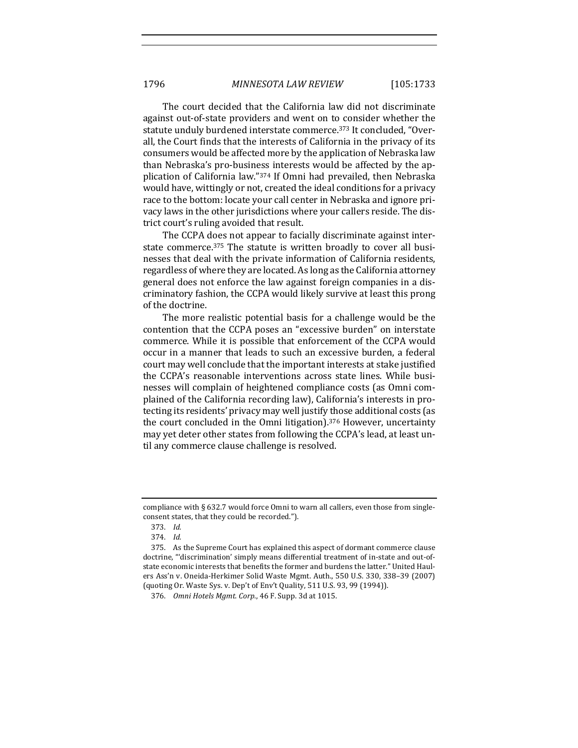The court decided that the California law did not discriminate against out-of-state providers and went on to consider whether the statute unduly burdened interstate commerce.<sup>373</sup> It concluded, "Overall, the Court finds that the interests of California in the privacy of its consumers would be affected more by the application of Nebraska law than Nebraska's pro-business interests would be affected by the application of California law."<sup>374</sup> If Omni had prevailed, then Nebraska would have, wittingly or not, created the ideal conditions for a privacy race to the bottom: locate your call center in Nebraska and ignore privacy laws in the other jurisdictions where your callers reside. The district court's ruling avoided that result.

The CCPA does not appear to facially discriminate against interstate commerce.<sup>375</sup> The statute is written broadly to cover all businesses that deal with the private information of California residents, regardless of where they are located. As long as the California attorney general does not enforce the law against foreign companies in a discriminatory fashion, the CCPA would likely survive at least this prong of the doctrine.

The more realistic potential basis for a challenge would be the contention that the CCPA poses an "excessive burden" on interstate commerce. While it is possible that enforcement of the CCPA would occur in a manner that leads to such an excessive burden, a federal court may well conclude that the important interests at stake justified the CCPA's reasonable interventions across state lines. While businesses will complain of heightened compliance costs (as Omni complained of the California recording law), California's interests in protecting its residents' privacy may well justify those additional costs (as the court concluded in the Omni litigation).<sup>376</sup> However, uncertainty may yet deter other states from following the CCPA's lead, at least until any commerce clause challenge is resolved.

compliance with  $\S 632.7$  would force Omni to warn all callers, even those from singleconsent states, that they could be recorded.").

<sup>373.</sup> *Id.*

<sup>374.</sup> *Id.*

<sup>375.</sup> As the Supreme Court has explained this aspect of dormant commerce clause doctrine, "'discrimination' simply means differential treatment of in-state and out-ofstate economic interests that benefits the former and burdens the latter." United Haulers Ass'n v. Oneida-Herkimer Solid Waste Mgmt. Auth., 550 U.S. 330, 338-39 (2007) (quoting Or. Waste Sys. v. Dep't of Env't Quality, 511 U.S. 93, 99 (1994)).

<sup>376.</sup> *Omni Hotels Mgmt. Corp.*, 46 F. Supp. 3d at 1015.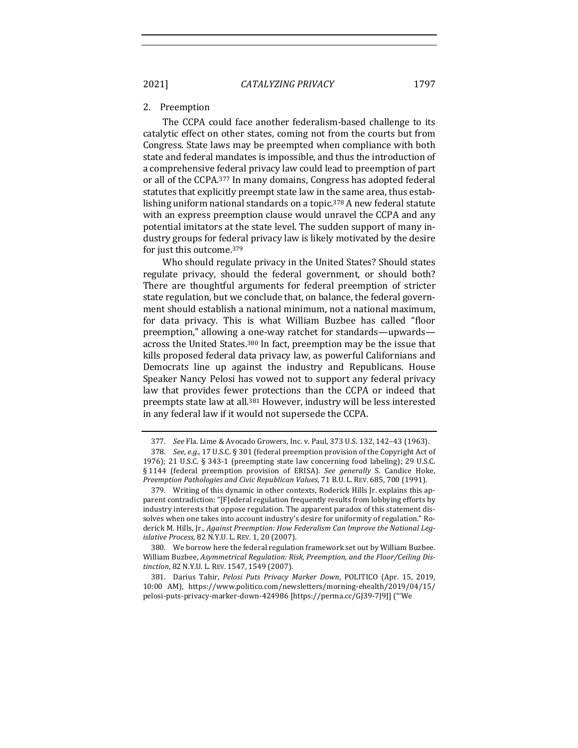#### 2. Preemption

The CCPA could face another federalism-based challenge to its catalytic effect on other states, coming not from the courts but from Congress. State laws may be preempted when compliance with both state and federal mandates is impossible, and thus the introduction of a comprehensive federal privacy law could lead to preemption of part or all of the CCPA.<sup>377</sup> In many domains, Congress has adopted federal statutes that explicitly preempt state law in the same area, thus establishing uniform national standards on a topic.<sup>378</sup> A new federal statute with an express preemption clause would unravel the CCPA and any potential imitators at the state level. The sudden support of many industry groups for federal privacy law is likely motivated by the desire for just this outcome.<sup>379</sup>

Who should regulate privacy in the United States? Should states regulate privacy, should the federal government, or should both? There are thoughtful arguments for federal preemption of stricter state regulation, but we conclude that, on balance, the federal government should establish a national minimum, not a national maximum, for data privacy. This is what William Buzbee has called "floor preemption," allowing a one-way ratchet for standards—upwards across the United States.<sup>380</sup> In fact, preemption may be the issue that kills proposed federal data privacy law, as powerful Californians and Democrats line up against the industry and Republicans. House Speaker Nancy Pelosi has vowed not to support any federal privacy law that provides fewer protections than the CCPA or indeed that preempts state law at all.<sup>381</sup> However, industry will be less interested in any federal law if it would not supersede the CCPA.

380. We borrow here the federal regulation framework set out by William Buzbee. William Buzbee, Asymmetrical Regulation: Risk, Preemption, and the Floor/Ceiling Dis*tinction*, 82 N.Y.U. L. REV. 1547, 1549 (2007).

381. Darius Tahir, *Pelosi Puts Privacy Marker Down*, POLITICO (Apr. 15. 2019. 10:00 AM), https://www.politico.com/newsletters/morning-ehealth/2019/04/15/ pelosi-puts-privacy-marker-down-424986 [https://perma.cc/GJ39-7J9J] ("'We 

<sup>377.</sup> *See* Fla. Lime & Avocado Growers, Inc. v. Paul, 373 U.S. 132, 142-43 (1963).

<sup>378.</sup> *See, e.g.*, 17 U.S.C. § 301 (federal preemption provision of the Copyright Act of 1976); 21 U.S.C. § 343-1 (preempting state law concerning food labeling); 29 U.S.C. § 1144 (federal preemption provision of ERISA). *See generally* S. Candice Hoke, *Preemption Pathologies and Civic Republican Values,* 71 B.U. L. REV. 685, 700 (1991).

<sup>379.</sup> Writing of this dynamic in other contexts, Roderick Hills Jr. explains this apparent contradiction: "[F]ederal regulation frequently results from lobbying efforts by industry interests that oppose regulation. The apparent paradox of this statement dissolves when one takes into account industry's desire for uniformity of regulation." Roderick M. Hills, Jr., *Against Preemption: How Federalism Can Improve the National Legislative Process*, 82 N.Y.U. L. REV. 1, 20 (2007).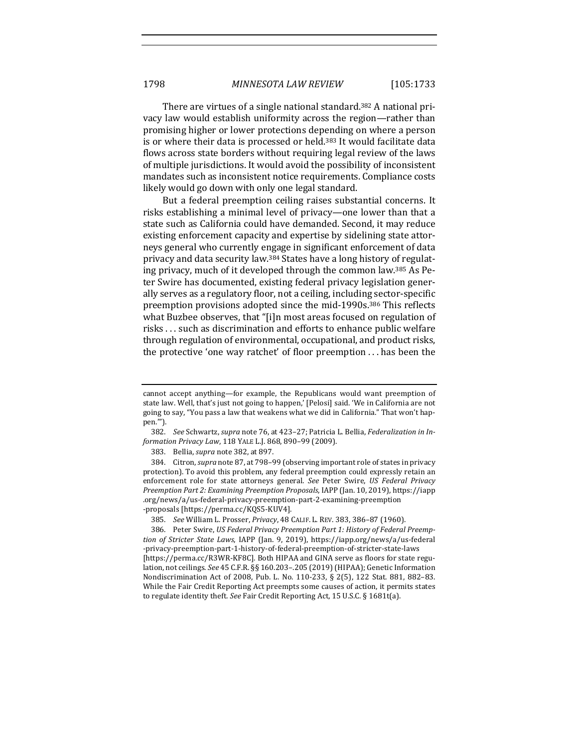There are virtues of a single national standard.<sup>382</sup> A national privacy law would establish uniformity across the region—rather than promising higher or lower protections depending on where a person is or where their data is processed or held.<sup>383</sup> It would facilitate data flows across state borders without requiring legal review of the laws of multiple jurisdictions. It would avoid the possibility of inconsistent mandates such as inconsistent notice requirements. Compliance costs likely would go down with only one legal standard.

But a federal preemption ceiling raises substantial concerns. It risks establishing a minimal level of privacy—one lower than that a state such as California could have demanded. Second, it may reduce existing enforcement capacity and expertise by sidelining state attorneys general who currently engage in significant enforcement of data privacy and data security law.<sup>384</sup> States have a long history of regulating privacy, much of it developed through the common law.<sup>385</sup> As Peter Swire has documented, existing federal privacy legislation generally serves as a regulatory floor, not a ceiling, including sector-specific preemption provisions adopted since the mid-1990s.<sup>386</sup> This reflects what Buzbee observes, that "[i]n most areas focused on regulation of risks ... such as discrimination and efforts to enhance public welfare through regulation of environmental, occupational, and product risks, the protective 'one way ratchet' of floor preemption  $\dots$  has been the

cannot accept anything—for example, the Republicans would want preemption of state law. Well, that's just not going to happen,' [Pelosi] said. 'We in California are not going to say, "You pass a law that weakens what we did in California." That won't happen.'").

<sup>382.</sup> See Schwartz, *supra* note 76, at 423-27; Patricia L. Bellia, *Federalization in Information Privacy Law*, 118 YALE L.J. 868, 890–99 (2009).

<sup>383.</sup> Bellia, *supra* note 382, at 897.

<sup>384.</sup> Citron, *supra* note 87, at 798-99 (observing important role of states in privacy protection). To avoid this problem, any federal preemption could expressly retain an enforcement role for state attorneys general. See Peter Swire, US Federal Privacy *Preemption Part 2: Examining Preemption Proposals*, IAPP (Jan. 10, 2019), https://iapp .org/news/a/us-federal-privacy-preemption-part-2-examining-preemption -proposals [https://perma.cc/KQS5-KUV4].

<sup>385.</sup> *See* William L. Prosser, *Privacy*, 48 CALIF. L. REV. 383, 386-87 (1960).

<sup>386.</sup> Peter Swire, US Federal Privacy Preemption Part 1: History of Federal Preemp*tion of Stricter State Laws*, IAPP (Jan. 9, 2019), https://iapp.org/news/a/us-federal -privacy-preemption-part-1-history-of-federal-preemption-of-stricter-state-laws [https://perma.cc/R3WR-KF8C]. Both HIPAA and GINA serve as floors for state regulation, not ceilings. See 45 C.F.R. §§ 160.203-.205 (2019) (HIPAA); Genetic Information Nondiscrimination Act of 2008, Pub. L. No. 110-233, § 2(5), 122 Stat. 881, 882-83. While the Fair Credit Reporting Act preempts some causes of action, it permits states to regulate identity theft. See Fair Credit Reporting Act, 15 U.S.C. § 1681t(a).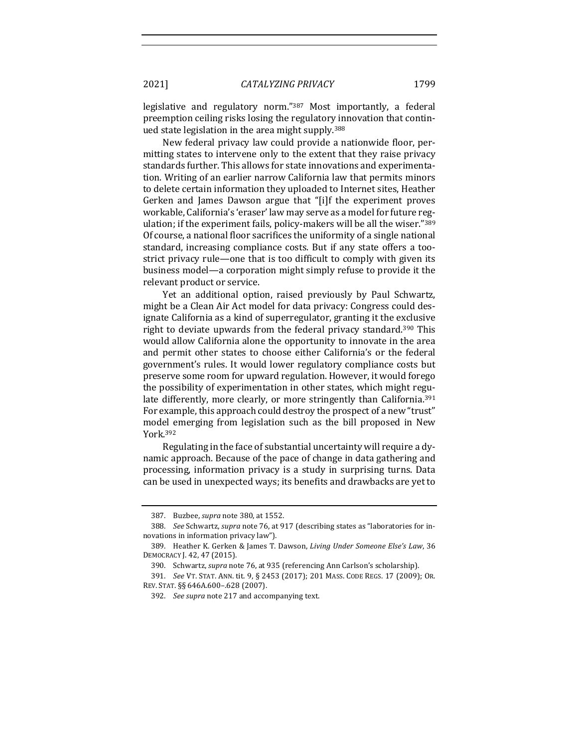legislative and regulatory norm."<sup>387</sup> Most importantly, a federal preemption ceiling risks losing the regulatory innovation that continued state legislation in the area might supply.<sup>388</sup>

New federal privacy law could provide a nationwide floor, permitting states to intervene only to the extent that they raise privacy standards further. This allows for state innovations and experimentation. Writing of an earlier narrow California law that permits minors to delete certain information they uploaded to Internet sites, Heather Gerken and James Dawson argue that "[i]f the experiment proves workable, California's 'eraser' law may serve as a model for future regulation; if the experiment fails, policy-makers will be all the wiser."389 Of course, a national floor sacrifices the uniformity of a single national standard, increasing compliance costs. But if any state offers a toostrict privacy rule—one that is too difficult to comply with given its business model—a corporation might simply refuse to provide it the relevant product or service.

Yet an additional option, raised previously by Paul Schwartz, might be a Clean Air Act model for data privacy: Congress could designate California as a kind of superregulator, granting it the exclusive right to deviate upwards from the federal privacy standard.<sup>390</sup> This would allow California alone the opportunity to innovate in the area and permit other states to choose either California's or the federal government's rules. It would lower regulatory compliance costs but preserve some room for upward regulation. However, it would forego the possibility of experimentation in other states, which might regulate differently, more clearly, or more stringently than California.<sup>391</sup> For example, this approach could destroy the prospect of a new "trust" model emerging from legislation such as the bill proposed in New York.392

Regulating in the face of substantial uncertainty will require a dynamic approach. Because of the pace of change in data gathering and processing, information privacy is a study in surprising turns. Data can be used in unexpected ways; its benefits and drawbacks are yet to

<sup>387.</sup> Buzbee, *supra* note 380, at 1552.

<sup>388.</sup> *See* Schwartz, *supra* note 76, at 917 (describing states as "laboratories for innovations in information privacy law").

<sup>389.</sup> Heather K. Gerken & James T. Dawson, *Living Under Someone Else's Law*, 36 DEMOCRACY J. 42, 47 (2015).

<sup>390.</sup> Schwartz, *supra* note 76, at 935 (referencing Ann Carlson's scholarship).

<sup>391.</sup> *See VT. STAT. ANN. tit.* 9, § 2453 (2017); 201 MASS. CODE REGS. 17 (2009); OR. REV. STAT. §§ 646A.600–.628 (2007).

<sup>392.</sup> *See supra* note 217 and accompanying text.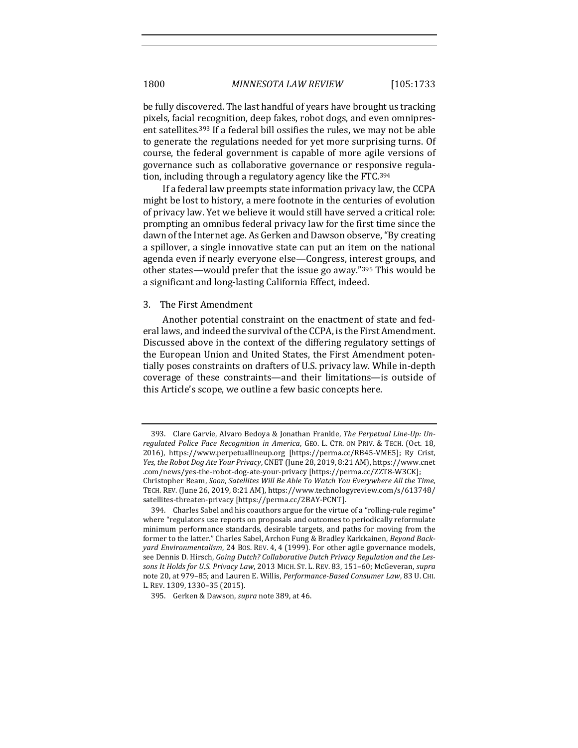be fully discovered. The last handful of years have brought us tracking pixels, facial recognition, deep fakes, robot dogs, and even omnipresent satellites.<sup>393</sup> If a federal bill ossifies the rules, we may not be able to generate the regulations needed for yet more surprising turns. Of course, the federal government is capable of more agile versions of governance such as collaborative governance or responsive regulation, including through a regulatory agency like the FTC.<sup>394</sup>

If a federal law preempts state information privacy law, the CCPA might be lost to history, a mere footnote in the centuries of evolution of privacy law. Yet we believe it would still have served a critical role: prompting an omnibus federal privacy law for the first time since the dawn of the Internet age. As Gerken and Dawson observe, "By creating a spillover, a single innovative state can put an item on the national agenda even if nearly everyone else-Congress, interest groups, and other states—would prefer that the issue go away."<sup>395</sup> This would be a significant and long-lasting California Effect, indeed.

#### 3. The First Amendment

Another potential constraint on the enactment of state and federal laws, and indeed the survival of the CCPA, is the First Amendment. Discussed above in the context of the differing regulatory settings of the European Union and United States, the First Amendment potentially poses constraints on drafters of U.S. privacy law. While in-depth coverage of these constraints—and their limitations—is outside of this Article's scope, we outline a few basic concepts here.

<sup>393.</sup> Clare Garvie, Alvaro Bedoya & Jonathan Frankle, *The Perpetual Line-Up: Unregulated Police Face Recognition in America, GEO. L. CTR. ON PRIV. & TECH. (Oct. 18,* 2016), https://www.perpetuallineup.org [https://perma.cc/RB45-VME5]; Ry Crist, *Yes, the Robot Dog Ate Your Privacy,* CNET (June 28, 2019, 8:21 AM), https://www.cnet .com/news/yes-the-robot-dog-ate-your-privacy [https://perma.cc/ZZT8-W3CK]; Christopher Beam, *Soon, Satellites Will Be Able To Watch You Everywhere All the Time*, TECH. REV. (June 26, 2019, 8:21 AM), https://www.technologyreview.com/s/613748/ satellites-threaten-privacy [https://perma.cc/2BAY-PCNT].

<sup>394.</sup> Charles Sabel and his coauthors argue for the virtue of a "rolling-rule regime" where "regulators use reports on proposals and outcomes to periodically reformulate minimum performance standards, desirable targets, and paths for moving from the former to the latter." Charles Sabel, Archon Fung & Bradley Karkkainen, *Beyond Backyard Environmentalism*, 24 Bos. REV. 4, 4 (1999). For other agile governance models, see Dennis D. Hirsch, *Going Dutch? Collaborative Dutch Privacy Regulation and the Les*sons It Holds for U.S. Privacy Law, 2013 MICH. ST. L. REV. 83, 151-60; McGeveran, supra note 20, at 979-85; and Lauren E. Willis, *Performance-Based Consumer Law*, 83 U. CHI. L. REV. 1309, 1330-35 (2015).

<sup>395.</sup> Gerken & Dawson, *supra* note 389, at 46.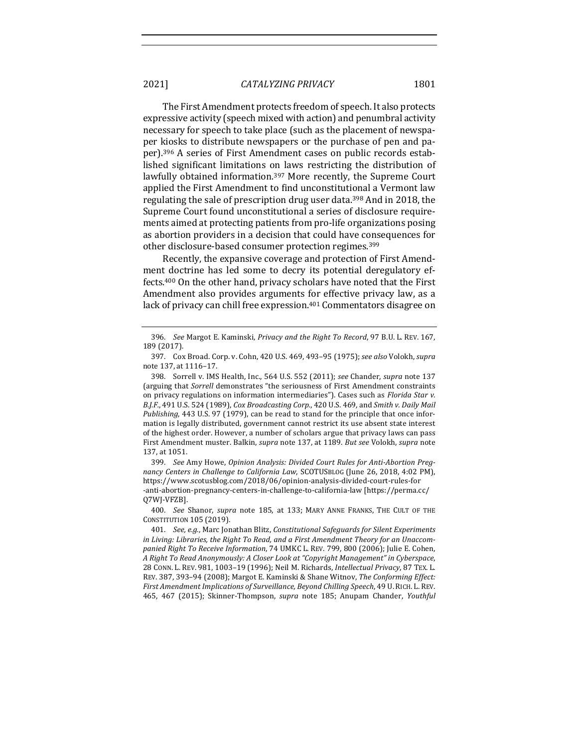The First Amendment protects freedom of speech. It also protects expressive activity (speech mixed with action) and penumbral activity necessary for speech to take place (such as the placement of newspaper kiosks to distribute newspapers or the purchase of pen and paper).<sup>396</sup> A series of First Amendment cases on public records established significant limitations on laws restricting the distribution of lawfully obtained information.<sup>397</sup> More recently, the Supreme Court applied the First Amendment to find unconstitutional a Vermont law regulating the sale of prescription drug user data.<sup>398</sup> And in 2018, the Supreme Court found unconstitutional a series of disclosure requirements aimed at protecting patients from pro-life organizations posing as abortion providers in a decision that could have consequences for other disclosure-based consumer protection regimes.<sup>399</sup>

Recently, the expansive coverage and protection of First Amendment doctrine has led some to decry its potential deregulatory effects.<sup>400</sup> On the other hand, privacy scholars have noted that the First Amendment also provides arguments for effective privacy law, as a lack of privacy can chill free expression.<sup>401</sup> Commentators disagree on

399. See Amy Howe, Opinion Analysis: Divided Court Rules for Anti-Abortion Preg*nancy Centers in Challenge to California Law, SCOTUSBLOG* (June 26, 2018, 4:02 PM), https://www.scotusblog.com/2018/06/opinion-analysis-divided-court-rules-for -anti-abortion-pregnancy-centers-in-challenge-to-california-law [https://perma.cc/ Q7WJ-VFZB].

400. *See* Shanor, *supra* note 185, at 133; MARY ANNE FRANKS, THE CULT OF THE CONSTITUTION 105 (2019).

<sup>396.</sup> *See* Margot E. Kaminski, *Privacy and the Right To Record*, 97 B.U. L. REV. 167, 189 (2017).

<sup>397.</sup> Cox Broad. Corp. v. Cohn, 420 U.S. 469, 493–95 (1975); *see also* Volokh, *supra*  note 137, at 1116-17.

<sup>398.</sup> Sorrell v. IMS Health, Inc., 564 U.S. 552 (2011); see Chander, *supra* note 137 (arguing that *Sorrell* demonstrates "the seriousness of First Amendment constraints on privacy regulations on information intermediaries"). Cases such as *Florida Star v.* B.J.F., 491 U.S. 524 (1989), *Cox Broadcasting Corp.*, 420 U.S. 469, and *Smith v. Daily Mail Publishing*, 443 U.S. 97 (1979), can be read to stand for the principle that once information is legally distributed, government cannot restrict its use absent state interest of the highest order. However, a number of scholars argue that privacy laws can pass First Amendment muster. Balkin, *supra* note 137, at 1189. But see Volokh, supra note 137, at 1051.

<sup>401.</sup> *See, e.g.*, Marc Jonathan Blitz, *Constitutional Safeguards for Silent Experiments* in Living: Libraries, the Right To Read, and a First Amendment Theory for an Unaccom*panied Right To Receive Information,* 74 UMKC L. REV. 799, 800 (2006); Julie E. Cohen, *A Right To Read Anonymously: A Closer Look at "Copyright Management" in Cyberspace*, 28 CONN. L. REV. 981, 1003–19 (1996); Neil M. Richards, *Intellectual Privacy*, 87 TEX. L. REV. 387, 393-94 (2008); Margot E. Kaminski & Shane Witnov, *The Conforming Effect:* First Amendment Implications of Surveillance, Beyond Chilling Speech, 49 U. RICH. L. REV. 465, 467 (2015); Skinner-Thompson, *supra* note 185; Anupam Chander, *Youthful*